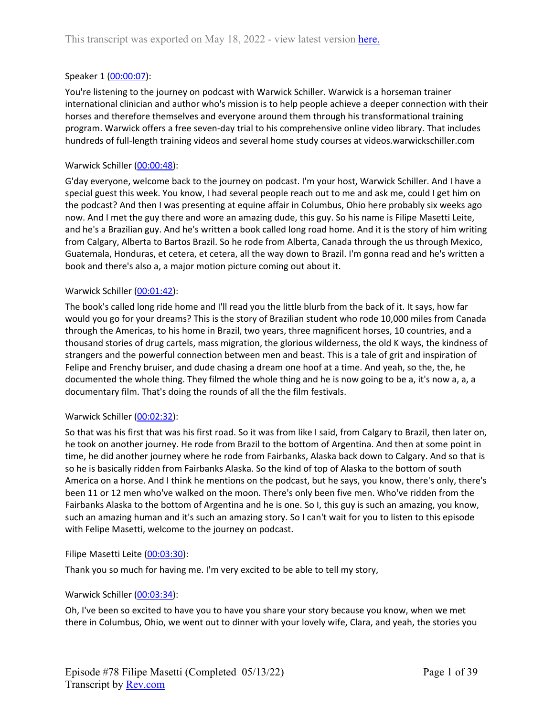## Speaker 1 ([00:00:07](https://www.rev.com/transcript-editor/Edit?token=bGDzOf4_Xni2VFaErRE96nY_GWazYGJ9GCPsriJmLsDoQ4W4Zkq4UvGaDrxXlE-0WZKvBEkixz6Bt878JneYsuON1jM&loadFrom=DocumentDeeplink&ts=7.16)):

You're listening to the journey on podcast with Warwick Schiller. Warwick is a horseman trainer international clinician and author who's mission is to help people achieve a deeper connection with their horses and therefore themselves and everyone around them through his transformational training program. Warwick offers a free seven-day trial to his comprehensive online video library. That includes hundreds of full-length training videos and several home study courses at videos.warwickschiller.com

## Warwick Schiller ([00:00:48\)](https://www.rev.com/transcript-editor/Edit?token=Pl7_w2NKIdBzApF2mef4SefEmugUNB_Kx1O3AG9aBKIx66_JPovvU3Xepk-K60f-GVLnmGCloslEJgbU_MujYZdxGNc&loadFrom=DocumentDeeplink&ts=48.159):

G'day everyone, welcome back to the journey on podcast. I'm your host, Warwick Schiller. And I have a special guest this week. You know, I had several people reach out to me and ask me, could I get him on the podcast? And then I was presenting at equine affair in Columbus, Ohio here probably six weeks ago now. And I met the guy there and wore an amazing dude, this guy. So his name is Filipe Masetti Leite, and he's a Brazilian guy. And he's written a book called long road home. And it is the story of him writing from Calgary, Alberta to Bartos Brazil. So he rode from Alberta, Canada through the us through Mexico, Guatemala, Honduras, et cetera, et cetera, all the way down to Brazil. I'm gonna read and he's written a book and there's also a, a major motion picture coming out about it.

## Warwick Schiller ([00:01:42\)](https://www.rev.com/transcript-editor/Edit?token=jkYZFZ0qQOWkXDAS3D2R89K_uUAEpFeOYKyfqpREz_fdtXLQZWlRdUQ7fQpIzJvHP8Fxzl8IColJctVt_k2DzmnS8zg&loadFrom=DocumentDeeplink&ts=102.26):

The book's called long ride home and I'll read you the little blurb from the back of it. It says, how far would you go for your dreams? This is the story of Brazilian student who rode 10,000 miles from Canada through the Americas, to his home in Brazil, two years, three magnificent horses, 10 countries, and a thousand stories of drug cartels, mass migration, the glorious wilderness, the old K ways, the kindness of strangers and the powerful connection between men and beast. This is a tale of grit and inspiration of Felipe and Frenchy bruiser, and dude chasing a dream one hoof at a time. And yeah, so the, the, he documented the whole thing. They filmed the whole thing and he is now going to be a, it's now a, a, a documentary film. That's doing the rounds of all the the film festivals.

## Warwick Schiller ([00:02:32\)](https://www.rev.com/transcript-editor/Edit?token=87BDiHdjtquknhtxpQXFzXvFQ8899XJZG1UTFWFwAFJkpmTIjX3esRTUHjwmf-6bOLPet2_MAdWz6eup80Lm3yjuqEk&loadFrom=DocumentDeeplink&ts=152.13):

So that was his first that was his first road. So it was from like I said, from Calgary to Brazil, then later on, he took on another journey. He rode from Brazil to the bottom of Argentina. And then at some point in time, he did another journey where he rode from Fairbanks, Alaska back down to Calgary. And so that is so he is basically ridden from Fairbanks Alaska. So the kind of top of Alaska to the bottom of south America on a horse. And I think he mentions on the podcast, but he says, you know, there's only, there's been 11 or 12 men who've walked on the moon. There's only been five men. Who've ridden from the Fairbanks Alaska to the bottom of Argentina and he is one. So I, this guy is such an amazing, you know, such an amazing human and it's such an amazing story. So I can't wait for you to listen to this episode with Felipe Masetti, welcome to the journey on podcast.

## Filipe Masetti Leite ([00:03:30](https://www.rev.com/transcript-editor/Edit?token=xq3Sv-3nm0E-WQ0ZF0KqJbITo6mGr6B-Y7ex_-ObaDJyx3CL2XhwKYztRibjBJCB8ZzlOCb43-mW8sDoEwHD2ce7TYQ&loadFrom=DocumentDeeplink&ts=210.19)):

Thank you so much for having me. I'm very excited to be able to tell my story,

## Warwick Schiller ([00:03:34\)](https://www.rev.com/transcript-editor/Edit?token=8S5102FGSXLYdUtrxKthanMXL9ZFpuv2lQ2qrFOnbZQWWxTEn00OsnHlQPfoa0wNSkJLjkSeq4T2ecf1Ir-3rKQe5mI&loadFrom=DocumentDeeplink&ts=214.32):

Oh, I've been so excited to have you to have you share your story because you know, when we met there in Columbus, Ohio, we went out to dinner with your lovely wife, Clara, and yeah, the stories you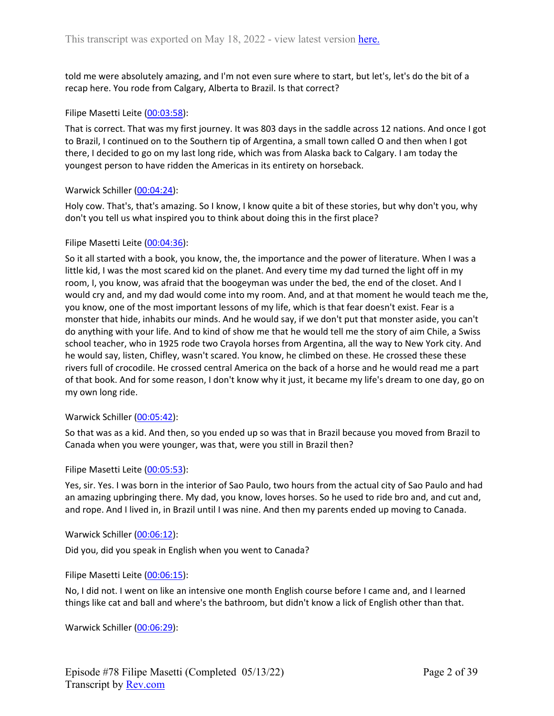told me were absolutely amazing, and I'm not even sure where to start, but let's, let's do the bit of a recap here. You rode from Calgary, Alberta to Brazil. Is that correct?

## Filipe Masetti Leite ([00:03:58](https://www.rev.com/transcript-editor/Edit?token=DdUeSo2G-1cGHiCoaOpA3EHYPjihHA3i6-OF2Tt-PxwaGvLk0qRK1MQsuIQ9lWxbLcwy4DAUKrMSb1cHoE2OsXGhxN4&loadFrom=DocumentDeeplink&ts=238.67)):

That is correct. That was my first journey. It was 803 days in the saddle across 12 nations. And once I got to Brazil, I continued on to the Southern tip of Argentina, a small town called O and then when I got there, I decided to go on my last long ride, which was from Alaska back to Calgary. I am today the youngest person to have ridden the Americas in its entirety on horseback.

## Warwick Schiller ([00:04:24\)](https://www.rev.com/transcript-editor/Edit?token=OQ8CVR1DUpltt4Ics2Og_Jzm9b8K24oUIGYqW0LeIjNCnL9ikw8P-U4vc4Ar7_OX4-KZt_81GtLPxLi8MPF5mlpfRVw&loadFrom=DocumentDeeplink&ts=264.43):

Holy cow. That's, that's amazing. So I know, I know quite a bit of these stories, but why don't you, why don't you tell us what inspired you to think about doing this in the first place?

## Filipe Masetti Leite ([00:04:36](https://www.rev.com/transcript-editor/Edit?token=7rWK037xCDoZ3y9C9Sy3p8A935xXQ1pheUnQ367uVmhog-sCx6DNB3ow96bv0lj3_jTOKcg2n67fiKF3yrcTS-UovvQ&loadFrom=DocumentDeeplink&ts=276.38)):

So it all started with a book, you know, the, the importance and the power of literature. When I was a little kid, I was the most scared kid on the planet. And every time my dad turned the light off in my room, I, you know, was afraid that the boogeyman was under the bed, the end of the closet. And I would cry and, and my dad would come into my room. And, and at that moment he would teach me the, you know, one of the most important lessons of my life, which is that fear doesn't exist. Fear is a monster that hide, inhabits our minds. And he would say, if we don't put that monster aside, you can't do anything with your life. And to kind of show me that he would tell me the story of aim Chile, a Swiss school teacher, who in 1925 rode two Crayola horses from Argentina, all the way to New York city. And he would say, listen, Chifley, wasn't scared. You know, he climbed on these. He crossed these these rivers full of crocodile. He crossed central America on the back of a horse and he would read me a part of that book. And for some reason, I don't know why it just, it became my life's dream to one day, go on my own long ride.

## Warwick Schiller ([00:05:42\)](https://www.rev.com/transcript-editor/Edit?token=Q7Bw0hwnXJObh2eGTALVlEFiSgWNR6FE3Tfn8bJDgmSNPDnUAHdCYSj8DTC0DleNrZ8QX68D0PdwEb4kGn7r4keFbdA&loadFrom=DocumentDeeplink&ts=342.17):

So that was as a kid. And then, so you ended up so was that in Brazil because you moved from Brazil to Canada when you were younger, was that, were you still in Brazil then?

## Filipe Masetti Leite ([00:05:53](https://www.rev.com/transcript-editor/Edit?token=sArjN-28PCg9PY4dVUpEa7MleGcuGFDCUOv9Nix2Ary86PuD3XyAf4l1Uit2Xum7h-RfO7vEZHDj9oJ5-QQMocdfPqs&loadFrom=DocumentDeeplink&ts=353.42)):

Yes, sir. Yes. I was born in the interior of Sao Paulo, two hours from the actual city of Sao Paulo and had an amazing upbringing there. My dad, you know, loves horses. So he used to ride bro and, and cut and, and rope. And I lived in, in Brazil until I was nine. And then my parents ended up moving to Canada.

## Warwick Schiller ([00:06:12\)](https://www.rev.com/transcript-editor/Edit?token=wh6o1jaYvvNba5dChpaxIFXHz2XSmeIJJXD7RfiGHSuhX62EgKs73KUPNnwkhCqcnza4UQBJ5NN3lF8nUoNibGFMsrI&loadFrom=DocumentDeeplink&ts=372.27):

Did you, did you speak in English when you went to Canada?

## Filipe Masetti Leite ([00:06:15](https://www.rev.com/transcript-editor/Edit?token=b0t0tpisRnhKnfj49eefftxpGDYsKIgwaQ5yQWRRMXy0duB_icv2Gqu4oh4qAd2OE0tm_j6pEw9hRIhYLdj7FBO7j84&loadFrom=DocumentDeeplink&ts=375.61)):

No, I did not. I went on like an intensive one month English course before I came and, and I learned things like cat and ball and where's the bathroom, but didn't know a lick of English other than that.

Warwick Schiller ([00:06:29\)](https://www.rev.com/transcript-editor/Edit?token=ex1hE2SZTdgYA-qFuYpIsMtRp8QvWw0Rfm01oKCdcxBHHH5QqZ4cA8cX9G8KhUVZd1vfHuWyBMu5LTlgcsC5sM4lWWk&loadFrom=DocumentDeeplink&ts=389.05):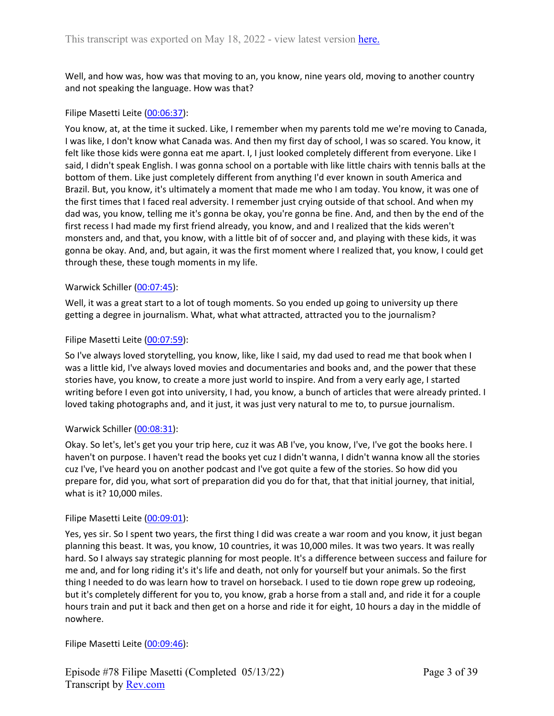Well, and how was, how was that moving to an, you know, nine years old, moving to another country and not speaking the language. How was that?

## Filipe Masetti Leite ([00:06:37](https://www.rev.com/transcript-editor/Edit?token=0XGIP777hi_nghDNxn6b2UD7rD8eBiK72mYegz9H2EGV6ryXVWzDV6EIwdThImQlxDeedSqaN6_UK0LBAHi2nrtQBd4&loadFrom=DocumentDeeplink&ts=397.69)):

You know, at, at the time it sucked. Like, I remember when my parents told me we're moving to Canada, I was like, I don't know what Canada was. And then my first day of school, I was so scared. You know, it felt like those kids were gonna eat me apart. I, I just looked completely different from everyone. Like I said, I didn't speak English. I was gonna school on a portable with like little chairs with tennis balls at the bottom of them. Like just completely different from anything I'd ever known in south America and Brazil. But, you know, it's ultimately a moment that made me who I am today. You know, it was one of the first times that I faced real adversity. I remember just crying outside of that school. And when my dad was, you know, telling me it's gonna be okay, you're gonna be fine. And, and then by the end of the first recess I had made my first friend already, you know, and and I realized that the kids weren't monsters and, and that, you know, with a little bit of of soccer and, and playing with these kids, it was gonna be okay. And, and, but again, it was the first moment where I realized that, you know, I could get through these, these tough moments in my life.

## Warwick Schiller ([00:07:45\)](https://www.rev.com/transcript-editor/Edit?token=BfKIfBFCPkNGMiw8FReHvwGBvhSd-_mhOQt_0k-Kbpc2XkhaaAEePBF6TzG3BBpLe4KRt6TM46uE4reWkr3aHFDB9ik&loadFrom=DocumentDeeplink&ts=465.65):

Well, it was a great start to a lot of tough moments. So you ended up going to university up there getting a degree in journalism. What, what what attracted, attracted you to the journalism?

#### Filipe Masetti Leite ([00:07:59](https://www.rev.com/transcript-editor/Edit?token=P7STGhzgmvHrjr4t0weSQIYvhOzm2tfvAF5pPaiDg7HpqgZ0R7ib0GhoSe60e7I_xAMC8f4Ko2Cv_ikywY5t9SIJ98o&loadFrom=DocumentDeeplink&ts=479.18)):

So I've always loved storytelling, you know, like, like I said, my dad used to read me that book when I was a little kid, I've always loved movies and documentaries and books and, and the power that these stories have, you know, to create a more just world to inspire. And from a very early age, I started writing before I even got into university, I had, you know, a bunch of articles that were already printed. I loved taking photographs and, and it just, it was just very natural to me to, to pursue journalism.

## Warwick Schiller ([00:08:31\)](https://www.rev.com/transcript-editor/Edit?token=q5nh-Qz9YSO7BMdm5uzawrAErurlazj5dYrzznI9E1pyxeLk_pDTgOgV4UliozvvGUn13KfaTyIe10J2kjMvPg95DHg&loadFrom=DocumentDeeplink&ts=511.63):

Okay. So let's, let's get you your trip here, cuz it was AB I've, you know, I've, I've got the books here. I haven't on purpose. I haven't read the books yet cuz I didn't wanna, I didn't wanna know all the stories cuz I've, I've heard you on another podcast and I've got quite a few of the stories. So how did you prepare for, did you, what sort of preparation did you do for that, that that initial journey, that initial, what is it? 10,000 miles.

#### Filipe Masetti Leite ([00:09:01](https://www.rev.com/transcript-editor/Edit?token=0iZyoTiY_uLrQOjaxRJ4C_7wdjWG0zYm1AUqbX3YFwAncJ57ce1cxVR0ZURicsVkZpA1lZrPe3R32EyotFdyrD-U-4Q&loadFrom=DocumentDeeplink&ts=541.26)):

Yes, yes sir. So I spent two years, the first thing I did was create a war room and you know, it just began planning this beast. It was, you know, 10 countries, it was 10,000 miles. It was two years. It was really hard. So I always say strategic planning for most people. It's a difference between success and failure for me and, and for long riding it's it's life and death, not only for yourself but your animals. So the first thing I needed to do was learn how to travel on horseback. I used to tie down rope grew up rodeoing, but it's completely different for you to, you know, grab a horse from a stall and, and ride it for a couple hours train and put it back and then get on a horse and ride it for eight, 10 hours a day in the middle of nowhere.

## Filipe Masetti Leite ([00:09:46](https://www.rev.com/transcript-editor/Edit?token=OAjs5-xPjEWMmhaDHUX5mM31iLME1T0hwlnmIvpY9gDlNQqyzmFps59hBGrYZhpxb-DAFYldFSOA11ieh6Ma2C4Tzsg&loadFrom=DocumentDeeplink&ts=586.12)):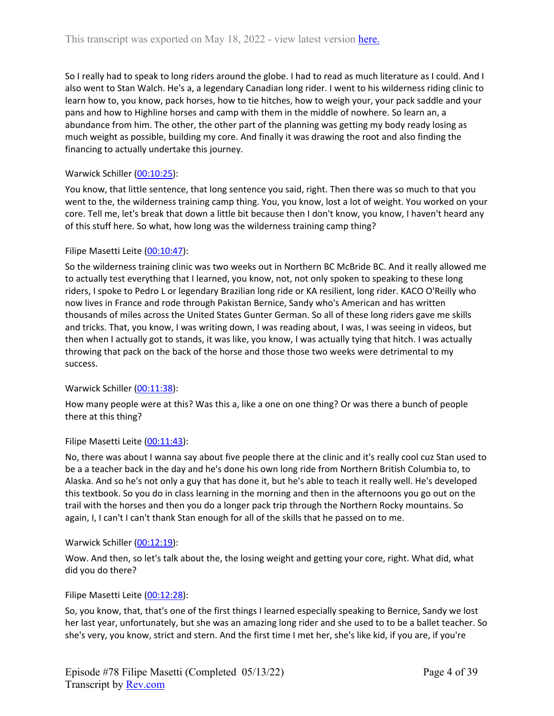So I really had to speak to long riders around the globe. I had to read as much literature as I could. And I also went to Stan Walch. He's a, a legendary Canadian long rider. I went to his wilderness riding clinic to learn how to, you know, pack horses, how to tie hitches, how to weigh your, your pack saddle and your pans and how to Highline horses and camp with them in the middle of nowhere. So learn an, a abundance from him. The other, the other part of the planning was getting my body ready losing as much weight as possible, building my core. And finally it was drawing the root and also finding the financing to actually undertake this journey.

# Warwick Schiller ([00:10:25\)](https://www.rev.com/transcript-editor/Edit?token=UaxdDVFf3B9gDJStzcWUKS7C5lf9kaUoBhqPzMRfx9eTfeDk00Fgd459V6GEyyEL1bhLf95RINgck0cKr5WSJX7U7HQ&loadFrom=DocumentDeeplink&ts=625.8):

You know, that little sentence, that long sentence you said, right. Then there was so much to that you went to the, the wilderness training camp thing. You, you know, lost a lot of weight. You worked on your core. Tell me, let's break that down a little bit because then I don't know, you know, I haven't heard any of this stuff here. So what, how long was the wilderness training camp thing?

# Filipe Masetti Leite ([00:10:47](https://www.rev.com/transcript-editor/Edit?token=3pzB1zbMz71kyTjXn3Rfx8TU48BbCrScZr-YJ2AqdMihRIA_ulizy3b7MX2ZANIW0OOAqMA_fMvy2RqIYHFeKedCgXE&loadFrom=DocumentDeeplink&ts=647.89)):

So the wilderness training clinic was two weeks out in Northern BC McBride BC. And it really allowed me to actually test everything that I learned, you know, not, not only spoken to speaking to these long riders, I spoke to Pedro L or legendary Brazilian long ride or KA resilient, long rider. KACO O'Reilly who now lives in France and rode through Pakistan Bernice, Sandy who's American and has written thousands of miles across the United States Gunter German. So all of these long riders gave me skills and tricks. That, you know, I was writing down, I was reading about, I was, I was seeing in videos, but then when I actually got to stands, it was like, you know, I was actually tying that hitch. I was actually throwing that pack on the back of the horse and those those two weeks were detrimental to my success.

# Warwick Schiller ([00:11:38\)](https://www.rev.com/transcript-editor/Edit?token=Z5W-YlkrZiD0H7F7jGZ1cEuzZa8OE5tu_9AlWOHM6xy5sIQPl217RxTlQgKXTpqNF-Xc2oSf4f1ke7RNZ9T4MQzngZA&loadFrom=DocumentDeeplink&ts=698.4):

How many people were at this? Was this a, like a one on one thing? Or was there a bunch of people there at this thing?

# Filipe Masetti Leite ([00:11:43](https://www.rev.com/transcript-editor/Edit?token=lKs6zD6toJmd3X5ROlocCoI3Z1eQRR0Mjwd5EDg1GGwFgAPpNFpXkeIqNIJeilpYFM1taVK89BajlxBOJUBe_iF-qpE&loadFrom=DocumentDeeplink&ts=703.59)):

No, there was about I wanna say about five people there at the clinic and it's really cool cuz Stan used to be a a teacher back in the day and he's done his own long ride from Northern British Columbia to, to Alaska. And so he's not only a guy that has done it, but he's able to teach it really well. He's developed this textbook. So you do in class learning in the morning and then in the afternoons you go out on the trail with the horses and then you do a longer pack trip through the Northern Rocky mountains. So again, I, I can't I can't thank Stan enough for all of the skills that he passed on to me.

## Warwick Schiller ([00:12:19\)](https://www.rev.com/transcript-editor/Edit?token=1IWriMPwYWQXcRNNW0gR8J9yzPI_13ymW8FNr7idpuGvkSRveWukFYUK2LtadV-l1jchtILyrfFGa6gquRobmgwlfCY&loadFrom=DocumentDeeplink&ts=739.63):

Wow. And then, so let's talk about the, the losing weight and getting your core, right. What did, what did you do there?

## Filipe Masetti Leite ([00:12:28](https://www.rev.com/transcript-editor/Edit?token=4IHbI0OygP4w9ELt7KOg-tzlP6o2H_h9VAAatSerhVrcYavfhijUTnxCxCBLfdBuJkF_7bSI9bQP8eMoteJbmfmN0SY&loadFrom=DocumentDeeplink&ts=748.809)):

So, you know, that, that's one of the first things I learned especially speaking to Bernice, Sandy we lost her last year, unfortunately, but she was an amazing long rider and she used to to be a ballet teacher. So she's very, you know, strict and stern. And the first time I met her, she's like kid, if you are, if you're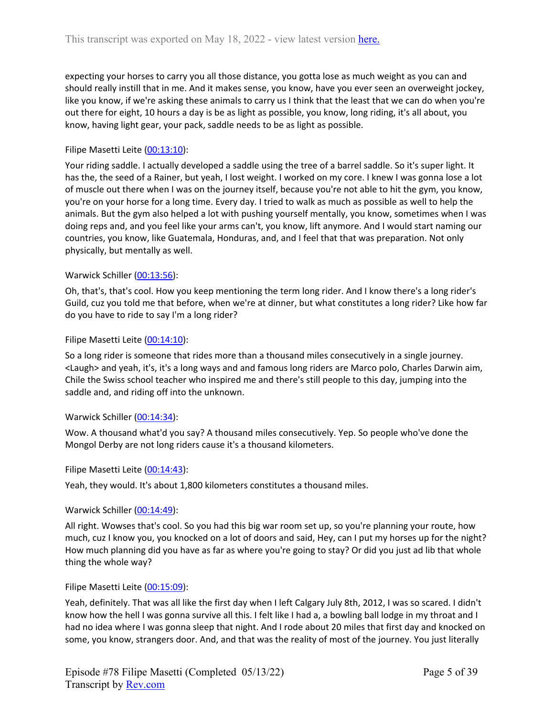expecting your horses to carry you all those distance, you gotta lose as much weight as you can and should really instill that in me. And it makes sense, you know, have you ever seen an overweight jockey, like you know, if we're asking these animals to carry us I think that the least that we can do when you're out there for eight, 10 hours a day is be as light as possible, you know, long riding, it's all about, you know, having light gear, your pack, saddle needs to be as light as possible.

## Filipe Masetti Leite ([00:13:10](https://www.rev.com/transcript-editor/Edit?token=VtWwDsBS3bPoF2Z-7LDQPzKPUYVGr_PCI9eHS8Tb7NjyBWjboKcS12yAOXuaIidL7NKHZ2RWBYgiyZlhIHdimoMGxr0&loadFrom=DocumentDeeplink&ts=790.4)):

Your riding saddle. I actually developed a saddle using the tree of a barrel saddle. So it's super light. It has the, the seed of a Rainer, but yeah, I lost weight. I worked on my core. I knew I was gonna lose a lot of muscle out there when I was on the journey itself, because you're not able to hit the gym, you know, you're on your horse for a long time. Every day. I tried to walk as much as possible as well to help the animals. But the gym also helped a lot with pushing yourself mentally, you know, sometimes when I was doing reps and, and you feel like your arms can't, you know, lift anymore. And I would start naming our countries, you know, like Guatemala, Honduras, and, and I feel that that was preparation. Not only physically, but mentally as well.

## Warwick Schiller ([00:13:56\)](https://www.rev.com/transcript-editor/Edit?token=zMoZ4kKCaSlH4fgR4XrDM6UdlLYMk-pgFCiMIi60Nm22VemCtpHFYrrl2CkNu27k6BsQ90t8k5luhCM9dDsb16k9CVs&loadFrom=DocumentDeeplink&ts=836.83):

Oh, that's, that's cool. How you keep mentioning the term long rider. And I know there's a long rider's Guild, cuz you told me that before, when we're at dinner, but what constitutes a long rider? Like how far do you have to ride to say I'm a long rider?

## Filipe Masetti Leite ([00:14:10](https://www.rev.com/transcript-editor/Edit?token=68ygVM9lIDOMXTLIG_4IEQngoK1_77cjMNC4uq2PwRvBf65uttG4D4T0iYujhJ5Em7jR2cyzy--0nsEw4KxahlyH5uM&loadFrom=DocumentDeeplink&ts=850.7)):

So a long rider is someone that rides more than a thousand miles consecutively in a single journey. <Laugh> and yeah, it's, it's a long ways and and famous long riders are Marco polo, Charles Darwin aim, Chile the Swiss school teacher who inspired me and there's still people to this day, jumping into the saddle and, and riding off into the unknown.

## Warwick Schiller ([00:14:34\)](https://www.rev.com/transcript-editor/Edit?token=ZNViNbLDt8_CCdcQMALhpg6WIWGM-5kSc-M34bEGnmCutux8g8GUI9xxNDNlo8QZQBoQKKI49OzPLZPhz_7p97mNS1o&loadFrom=DocumentDeeplink&ts=874.14):

Wow. A thousand what'd you say? A thousand miles consecutively. Yep. So people who've done the Mongol Derby are not long riders cause it's a thousand kilometers.

## Filipe Masetti Leite ([00:14:43](https://www.rev.com/transcript-editor/Edit?token=JPuCOLMIlUGyZ1bhXrOhxCskovxiZ59Z4z765wiBtAqa-9SQ9yd7Yf68PI3mi1SeniKVc9V0UyTV3_1hkJcSpNCa5dQ&loadFrom=DocumentDeeplink&ts=883.24)):

Yeah, they would. It's about 1,800 kilometers constitutes a thousand miles.

## Warwick Schiller ([00:14:49\)](https://www.rev.com/transcript-editor/Edit?token=p0DEnlDZohDfj3_ci-KJw-GPuTOvDzd5MRzJiGPqGPvAoUWTj1PJcEAPYIgf8kDTVUeZrjnZnduDtK4JaRhi3NMsIOA&loadFrom=DocumentDeeplink&ts=889.13):

All right. Wowses that's cool. So you had this big war room set up, so you're planning your route, how much, cuz I know you, you knocked on a lot of doors and said, Hey, can I put my horses up for the night? How much planning did you have as far as where you're going to stay? Or did you just ad lib that whole thing the whole way?

## Filipe Masetti Leite ([00:15:09](https://www.rev.com/transcript-editor/Edit?token=Sm7wSDqIrherZ2TDsUFhRdom4r7HWXPhG3Wv4S82VYlwx0CzhD-_407vKxEqoIR14BJ6LRLsaImPzjtlKeJMOVWjstw&loadFrom=DocumentDeeplink&ts=909.72)):

Yeah, definitely. That was all like the first day when I left Calgary July 8th, 2012, I was so scared. I didn't know how the hell I was gonna survive all this. I felt like I had a, a bowling ball lodge in my throat and I had no idea where I was gonna sleep that night. And I rode about 20 miles that first day and knocked on some, you know, strangers door. And, and that was the reality of most of the journey. You just literally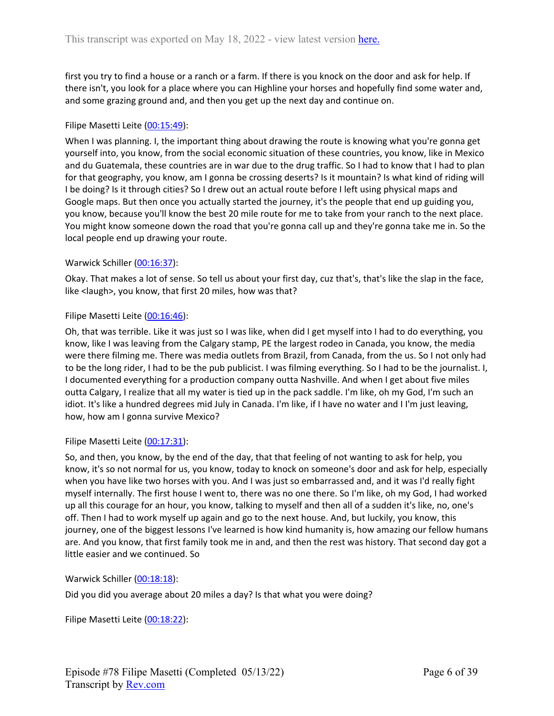first you try to find a house or a ranch or a farm. If there is you knock on the door and ask for help. If there isn't, you look for a place where you can Highline your horses and hopefully find some water and, and some grazing ground and, and then you get up the next day and continue on.

## Filipe Masetti Leite ([00:15:49](https://www.rev.com/transcript-editor/Edit?token=8X4cd9gVi4Fp8WPCm-f8XD5ZZnMGRt5Jj21CBsesfrYKUOBMt4iFOKH4jwLmztfMQPvQ-etwqf4gp8IH9Wc3w_OjdYM&loadFrom=DocumentDeeplink&ts=949.97)):

When I was planning. I, the important thing about drawing the route is knowing what you're gonna get yourself into, you know, from the social economic situation of these countries, you know, like in Mexico and du Guatemala, these countries are in war due to the drug traffic. So I had to know that I had to plan for that geography, you know, am I gonna be crossing deserts? Is it mountain? Is what kind of riding will I be doing? Is it through cities? So I drew out an actual route before I left using physical maps and Google maps. But then once you actually started the journey, it's the people that end up guiding you, you know, because you'll know the best 20 mile route for me to take from your ranch to the next place. You might know someone down the road that you're gonna call up and they're gonna take me in. So the local people end up drawing your route.

## Warwick Schiller ([00:16:37\)](https://www.rev.com/transcript-editor/Edit?token=2DHDgWIwMh8HJnfY10hHwieMBXM7L52QnbZHgcrTGirGlcoGz8SGEvWuE7Ty__pEwffy7OTHQ8u9oskCjJO0WDwu1jg&loadFrom=DocumentDeeplink&ts=997.07):

Okay. That makes a lot of sense. So tell us about your first day, cuz that's, that's like the slap in the face, like <laugh>, you know, that first 20 miles, how was that?

#### Filipe Masetti Leite ([00:16:46](https://www.rev.com/transcript-editor/Edit?token=ML1HUs4R64Y_wp0DMg9RwerUtPydWnVwADmMEotVE9XNXXE37YZ_iAu10BHUhlPsaMOe5c_QAuz77UEnSCOP0djiRQ0&loadFrom=DocumentDeeplink&ts=1006.49)):

Oh, that was terrible. Like it was just so I was like, when did I get myself into I had to do everything, you know, like I was leaving from the Calgary stamp, PE the largest rodeo in Canada, you know, the media were there filming me. There was media outlets from Brazil, from Canada, from the us. So I not only had to be the long rider, I had to be the pub publicist. I was filming everything. So I had to be the journalist. I, I documented everything for a production company outta Nashville. And when I get about five miles outta Calgary, I realize that all my water is tied up in the pack saddle. I'm like, oh my God, I'm such an idiot. It's like a hundred degrees mid July in Canada. I'm like, if I have no water and I I'm just leaving, how, how am I gonna survive Mexico?

#### Filipe Masetti Leite ([00:17:31](https://www.rev.com/transcript-editor/Edit?token=D3pH9wntK-mctw1pkvYlj_0LaxLK-_HuQL0tpm6o1cxONkVJ6Ytu_N2RKSw7Uta8Hmb-13AaC4-_zxmDhhugzreX1Hk&loadFrom=DocumentDeeplink&ts=1051.15)):

So, and then, you know, by the end of the day, that that feeling of not wanting to ask for help, you know, it's so not normal for us, you know, today to knock on someone's door and ask for help, especially when you have like two horses with you. And I was just so embarrassed and, and it was I'd really fight myself internally. The first house I went to, there was no one there. So I'm like, oh my God, I had worked up all this courage for an hour, you know, talking to myself and then all of a sudden it's like, no, one's off. Then I had to work myself up again and go to the next house. And, but luckily, you know, this journey, one of the biggest lessons I've learned is how kind humanity is, how amazing our fellow humans are. And you know, that first family took me in and, and then the rest was history. That second day got a little easier and we continued. So

Warwick Schiller ([00:18:18\)](https://www.rev.com/transcript-editor/Edit?token=_EDTBxaf4DdGmYsLuRLj69bhRiyLL8Px8IRhnn-0gUeJycUzimpG-AjZoQwglYsuRrc9vVYPQAE5gJvRrFUvMMqvGlc&loadFrom=DocumentDeeplink&ts=1098.34):

Did you did you average about 20 miles a day? Is that what you were doing?

Filipe Masetti Leite ([00:18:22](https://www.rev.com/transcript-editor/Edit?token=DoZ4p1-AwFEUvCIobrgIVa23FyyfMYml5eY9jediWW0SHJRKwCVSN_-4uHi5i3FKqlk31v_WNowJjWo_ydK3wrfxJOo&loadFrom=DocumentDeeplink&ts=1102.67)):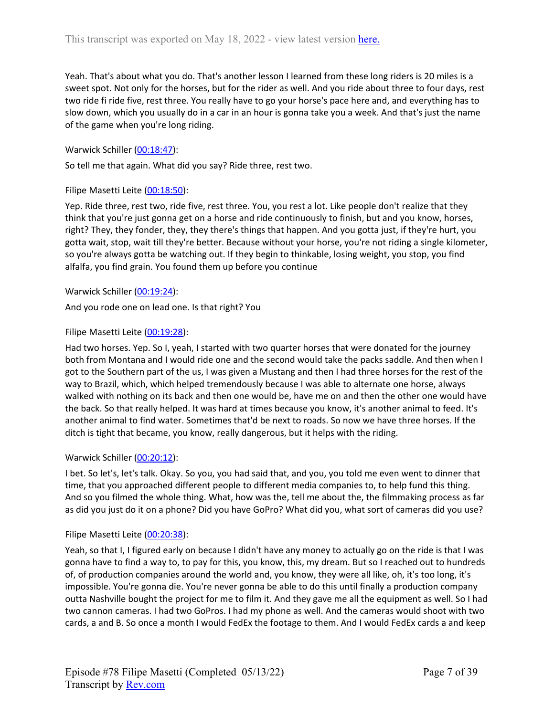Yeah. That's about what you do. That's another lesson I learned from these long riders is 20 miles is a sweet spot. Not only for the horses, but for the rider as well. And you ride about three to four days, rest two ride fi ride five, rest three. You really have to go your horse's pace here and, and everything has to slow down, which you usually do in a car in an hour is gonna take you a week. And that's just the name of the game when you're long riding.

Warwick Schiller ([00:18:47\)](https://www.rev.com/transcript-editor/Edit?token=URwScmp5LhuaGOaWlnHulJQM3dWEz9Qn1ajxE4-gK1W13W_Yq0kLM476cWoGWIuGzmXlAXqhCuUHPP2cI80dAbgdrGE&loadFrom=DocumentDeeplink&ts=1127.359):

So tell me that again. What did you say? Ride three, rest two.

#### Filipe Masetti Leite ([00:18:50](https://www.rev.com/transcript-editor/Edit?token=bJJac1JbJzGXrZt_c61dntIfvPu1XEfepJ--CYdvwpIJqWddIliJMrqcz5giicTOEmHEFtNuW-HId0c_F4Be4U87niE&loadFrom=DocumentDeeplink&ts=1130.9)):

Yep. Ride three, rest two, ride five, rest three. You, you rest a lot. Like people don't realize that they think that you're just gonna get on a horse and ride continuously to finish, but and you know, horses, right? They, they fonder, they, they there's things that happen. And you gotta just, if they're hurt, you gotta wait, stop, wait till they're better. Because without your horse, you're not riding a single kilometer, so you're always gotta be watching out. If they begin to thinkable, losing weight, you stop, you find alfalfa, you find grain. You found them up before you continue

Warwick Schiller ([00:19:24\)](https://www.rev.com/transcript-editor/Edit?token=jFWbVVI1BFfVMjMtcfKmz102dhPhxxO4j3rfAr0KXWVF1h4qzywTN27eYC8a8GhkTl0pZqEEdPCxwXvleXx9gZPacdw&loadFrom=DocumentDeeplink&ts=1164.66):

And you rode one on lead one. Is that right? You

#### Filipe Masetti Leite ([00:19:28](https://www.rev.com/transcript-editor/Edit?token=J0c6Oops3j8Ro9HGleroAgc2srtvRt8IUrza4LaY5lqQbbcBTS7ZBYRloRKbl3uW2nU5WjmTsJrWs4vPvzoKSedy-cY&loadFrom=DocumentDeeplink&ts=1168.04)):

Had two horses. Yep. So I, yeah, I started with two quarter horses that were donated for the journey both from Montana and I would ride one and the second would take the packs saddle. And then when I got to the Southern part of the us, I was given a Mustang and then I had three horses for the rest of the way to Brazil, which, which helped tremendously because I was able to alternate one horse, always walked with nothing on its back and then one would be, have me on and then the other one would have the back. So that really helped. It was hard at times because you know, it's another animal to feed. It's another animal to find water. Sometimes that'd be next to roads. So now we have three horses. If the ditch is tight that became, you know, really dangerous, but it helps with the riding.

## Warwick Schiller ([00:20:12\)](https://www.rev.com/transcript-editor/Edit?token=dpvHycoCNKHjEYDP3ptvnuR1QyvrawkHL_1ya4fqi_jUIRrv9PLSwKsrSMStOTRNv2jhS8Mq5N5s5poKPIRUoEuVsZg&loadFrom=DocumentDeeplink&ts=1212.67):

I bet. So let's, let's talk. Okay. So you, you had said that, and you, you told me even went to dinner that time, that you approached different people to different media companies to, to help fund this thing. And so you filmed the whole thing. What, how was the, tell me about the, the filmmaking process as far as did you just do it on a phone? Did you have GoPro? What did you, what sort of cameras did you use?

#### Filipe Masetti Leite ([00:20:38](https://www.rev.com/transcript-editor/Edit?token=TqM9KD9EEvgFBXJtYGRPq6FSFAuXtiJsCCeIDmkLNjr6sii-hBtuCP-_J3Ol2RkMXo9hL6VP1EKBkXndbz2TB0B_FyA&loadFrom=DocumentDeeplink&ts=1238.92)):

Yeah, so that I, I figured early on because I didn't have any money to actually go on the ride is that I was gonna have to find a way to, to pay for this, you know, this, my dream. But so I reached out to hundreds of, of production companies around the world and, you know, they were all like, oh, it's too long, it's impossible. You're gonna die. You're never gonna be able to do this until finally a production company outta Nashville bought the project for me to film it. And they gave me all the equipment as well. So I had two cannon cameras. I had two GoPros. I had my phone as well. And the cameras would shoot with two cards, a and B. So once a month I would FedEx the footage to them. And I would FedEx cards a and keep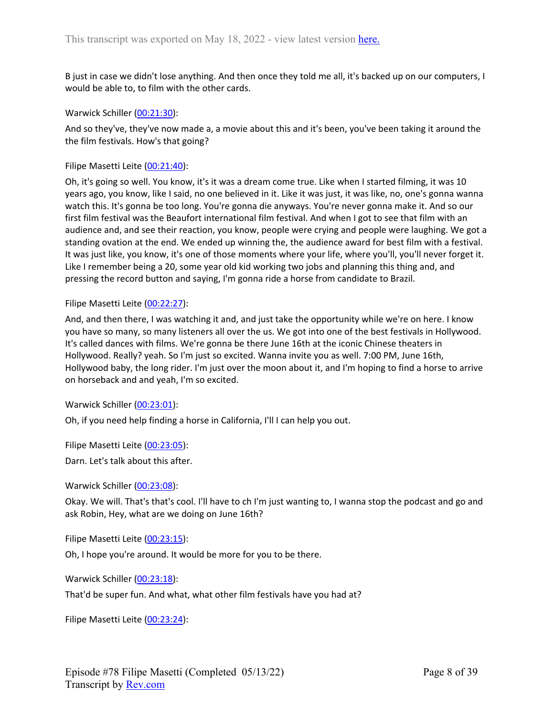B just in case we didn't lose anything. And then once they told me all, it's backed up on our computers, I would be able to, to film with the other cards.

Warwick Schiller ([00:21:30\)](https://www.rev.com/transcript-editor/Edit?token=glpV8t6lf-UFscJC2rLc45a1K2kUGNo9yY4i1P1IbiDSlVYMD4_1g3GykK_pZ869pXAP5sitKm3raoxglTLXgqplPAM&loadFrom=DocumentDeeplink&ts=1290.27):

And so they've, they've now made a, a movie about this and it's been, you've been taking it around the the film festivals. How's that going?

Filipe Masetti Leite ([00:21:40](https://www.rev.com/transcript-editor/Edit?token=1RM6rkX_ZzJPmxmuXBn8C91UaIyNYl1Ny_pIkz-JeFxlQm7eGy08d3W3DGRAuibm9lTUArH9qlV2FOcaoY4o26tvWhw&loadFrom=DocumentDeeplink&ts=1300.71)):

Oh, it's going so well. You know, it's it was a dream come true. Like when I started filming, it was 10 years ago, you know, like I said, no one believed in it. Like it was just, it was like, no, one's gonna wanna watch this. It's gonna be too long. You're gonna die anyways. You're never gonna make it. And so our first film festival was the Beaufort international film festival. And when I got to see that film with an audience and, and see their reaction, you know, people were crying and people were laughing. We got a standing ovation at the end. We ended up winning the, the audience award for best film with a festival. It was just like, you know, it's one of those moments where your life, where you'll, you'll never forget it. Like I remember being a 20, some year old kid working two jobs and planning this thing and, and pressing the record button and saying, I'm gonna ride a horse from candidate to Brazil.

#### Filipe Masetti Leite ([00:22:27](https://www.rev.com/transcript-editor/Edit?token=I662LcX2xsoELk0JXayvrH4JMDuDrYPyAPjBpdut4eq6d6hayZtG0ZJBL-P9vMnzaTgdlesO1g7GUV3w2qqAhU2jBqM&loadFrom=DocumentDeeplink&ts=1347.2)):

And, and then there, I was watching it and, and just take the opportunity while we're on here. I know you have so many, so many listeners all over the us. We got into one of the best festivals in Hollywood. It's called dances with films. We're gonna be there June 16th at the iconic Chinese theaters in Hollywood. Really? yeah. So I'm just so excited. Wanna invite you as well. 7:00 PM, June 16th, Hollywood baby, the long rider. I'm just over the moon about it, and I'm hoping to find a horse to arrive on horseback and and yeah, I'm so excited.

Warwick Schiller ([00:23:01\)](https://www.rev.com/transcript-editor/Edit?token=LMGZ7FwQMobIeWxrjDYGkwDYFK3wPr6Px4cKC-p8oa4ylCd3VJQ7tuOYUzaFRE3uZ2XM0NJPf-Nrd0lJPNSueXGv60s&loadFrom=DocumentDeeplink&ts=1381.05):

Oh, if you need help finding a horse in California, I'll I can help you out.

Filipe Masetti Leite ([00:23:05](https://www.rev.com/transcript-editor/Edit?token=3aoAW2XNr7HAVSmPWSt_ceUkcBFI55EOY-VIlO4ztX12bfu_McNNYfI6MXeaHwLBwS7kCNAMit_a_a59iymjHLqp8VA&loadFrom=DocumentDeeplink&ts=1385.71)):

Darn. Let's talk about this after.

Warwick Schiller ([00:23:08\)](https://www.rev.com/transcript-editor/Edit?token=LQtTp523hmeWMYoGo3sT5VBwmuQg0iwNz0AyRmLh9l5myh50XBl5fd52WjrtnhIGcPysnPSA_UGZ7KiBkvVNr52uejs&loadFrom=DocumentDeeplink&ts=1388.07):

Okay. We will. That's that's cool. I'll have to ch I'm just wanting to, I wanna stop the podcast and go and ask Robin, Hey, what are we doing on June 16th?

Filipe Masetti Leite ([00:23:15](https://www.rev.com/transcript-editor/Edit?token=XP2DFd-ejczDpN9SwFR92Lldj_7ivADNT0pI5vvF9stbIWa0UGdlxWZMCHGlhF9b8yhsDdfqvNxFn5tUJ4MqPTf24Hc&loadFrom=DocumentDeeplink&ts=1395.39)):

Oh, I hope you're around. It would be more for you to be there.

Warwick Schiller ([00:23:18\)](https://www.rev.com/transcript-editor/Edit?token=5u0eLyB11IAkmUQ9pC_kg7sKZGfV39AHi5QfEUZ5goaVQCtusjH-6BiM7dcf8XDsGhrR_HZh6oMFtLF8F_wBQM6OeoU&loadFrom=DocumentDeeplink&ts=1398.28):

That'd be super fun. And what, what other film festivals have you had at?

Filipe Masetti Leite ([00:23:24](https://www.rev.com/transcript-editor/Edit?token=N1ANW7cudb3Sv9Q8p2mgA9W2esNwppBE7GABeueoYxL7L5c9Ia2VWdg6OSpbNsZByXxMpUaS-dbiPSljPLT87RadeDQ&loadFrom=DocumentDeeplink&ts=1404.56)):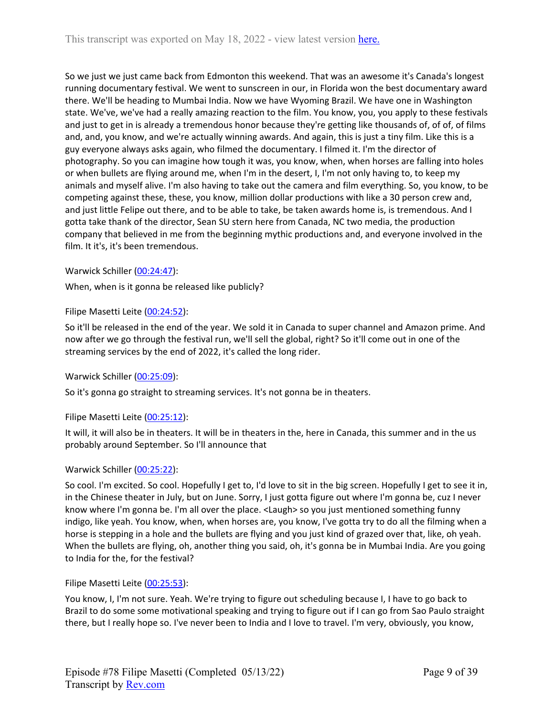So we just we just came back from Edmonton this weekend. That was an awesome it's Canada's longest running documentary festival. We went to sunscreen in our, in Florida won the best documentary award there. We'll be heading to Mumbai India. Now we have Wyoming Brazil. We have one in Washington state. We've, we've had a really amazing reaction to the film. You know, you, you apply to these festivals and just to get in is already a tremendous honor because they're getting like thousands of, of of, of films and, and, you know, and we're actually winning awards. And again, this is just a tiny film. Like this is a guy everyone always asks again, who filmed the documentary. I filmed it. I'm the director of photography. So you can imagine how tough it was, you know, when, when horses are falling into holes or when bullets are flying around me, when I'm in the desert, I, I'm not only having to, to keep my animals and myself alive. I'm also having to take out the camera and film everything. So, you know, to be competing against these, these, you know, million dollar productions with like a 30 person crew and, and just little Felipe out there, and to be able to take, be taken awards home is, is tremendous. And I gotta take thank of the director, Sean SU stern here from Canada, NC two media, the production company that believed in me from the beginning mythic productions and, and everyone involved in the film. It it's, it's been tremendous.

Warwick Schiller ([00:24:47\)](https://www.rev.com/transcript-editor/Edit?token=OMxfFqUIhkQ9hFYaYYhvwE8TSKZoG2gKXckwFQ0nBJnH3Rs1vDoz7EINT8QF6jzKthRGcuYbw71NSRSP3ae1SzcGhrk&loadFrom=DocumentDeeplink&ts=1487.27):

When, when is it gonna be released like publicly?

## Filipe Masetti Leite ([00:24:52](https://www.rev.com/transcript-editor/Edit?token=WI2lOrlQRwxl23IakrpmunQMO3814ORtN4uMx_Bhukch3NxqoGaL5pz9E5rupCNu0IGo49jX4lv_LA5hi_FhDK0WV1M&loadFrom=DocumentDeeplink&ts=1492.59)):

So it'll be released in the end of the year. We sold it in Canada to super channel and Amazon prime. And now after we go through the festival run, we'll sell the global, right? So it'll come out in one of the streaming services by the end of 2022, it's called the long rider.

## Warwick Schiller ([00:25:09\)](https://www.rev.com/transcript-editor/Edit?token=IZfvbAIijIFzFJrIptCahKbeJvD4gav-Yia7F8JIKMD1O0xEHQXDtiR68aaCajEYTtPkx7mtFkc-41ZVZ7jP5Ah0nxI&loadFrom=DocumentDeeplink&ts=1509.46):

So it's gonna go straight to streaming services. It's not gonna be in theaters.

## Filipe Masetti Leite ([00:25:12](https://www.rev.com/transcript-editor/Edit?token=_zogJ8OgZ4PzU0m8JJjvSfkQcHQ7-pMwLiwnnLAVgXbKH8z1QVOW9qVbyBLymNC9YAV_Mlo7HfuaD_yl050XC-ftkmI&loadFrom=DocumentDeeplink&ts=1512.9)):

It will, it will also be in theaters. It will be in theaters in the, here in Canada, this summer and in the us probably around September. So I'll announce that

## Warwick Schiller ([00:25:22\)](https://www.rev.com/transcript-editor/Edit?token=khN4yePf2POw0w4mlq6_GZiNr9t6uE3CX578oGmJku4rXemJAmIOND-yu2xx6fy1euTrzZLpdKByvCpFMFKn9pycWdg&loadFrom=DocumentDeeplink&ts=1522.57):

So cool. I'm excited. So cool. Hopefully I get to, I'd love to sit in the big screen. Hopefully I get to see it in, in the Chinese theater in July, but on June. Sorry, I just gotta figure out where I'm gonna be, cuz I never know where I'm gonna be. I'm all over the place. <Laugh> so you just mentioned something funny indigo, like yeah. You know, when, when horses are, you know, I've gotta try to do all the filming when a horse is stepping in a hole and the bullets are flying and you just kind of grazed over that, like, oh yeah. When the bullets are flying, oh, another thing you said, oh, it's gonna be in Mumbai India. Are you going to India for the, for the festival?

## Filipe Masetti Leite ([00:25:53](https://www.rev.com/transcript-editor/Edit?token=lXw546BAYe50DjHUbd1BhW5eRNYxcES4oO2tvktsKWEzY9ZKS7KNKl4uMs2Yr3h_NKUxXpasWthFK8_VPktGQJJj_hM&loadFrom=DocumentDeeplink&ts=1553.01)):

You know, I, I'm not sure. Yeah. We're trying to figure out scheduling because I, I have to go back to Brazil to do some some motivational speaking and trying to figure out if I can go from Sao Paulo straight there, but I really hope so. I've never been to India and I love to travel. I'm very, obviously, you know,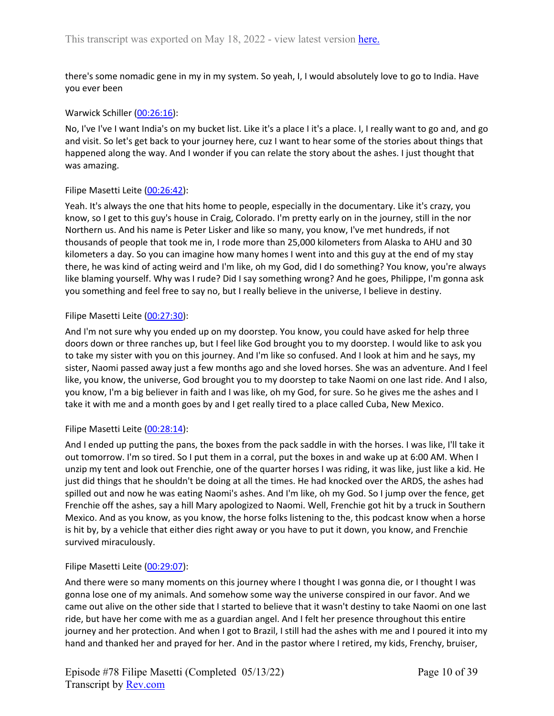there's some nomadic gene in my in my system. So yeah, I, I would absolutely love to go to India. Have you ever been

## Warwick Schiller ([00:26:16\)](https://www.rev.com/transcript-editor/Edit?token=HKiqI9kXiwj4HfjbzYAI7D4o72-lLBvkySVTQTmfyrdvqdFMYS0UnfxA5aH-lXrNnZ1M5Ik_mdWeWvfY1IJp5Htv-VY&loadFrom=DocumentDeeplink&ts=1576.47):

No, I've I've I want India's on my bucket list. Like it's a place I it's a place. I, I really want to go and, and go and visit. So let's get back to your journey here, cuz I want to hear some of the stories about things that happened along the way. And I wonder if you can relate the story about the ashes. I just thought that was amazing.

## Filipe Masetti Leite ([00:26:42](https://www.rev.com/transcript-editor/Edit?token=aVElvKi0oer2dmBqvZby8WX0ig5j2MEHhZPY9-v23q9WEFUvMgwQeLveDu0W1ws9zWGdX7ALIW_Sl-CkxRQDT0MnnJE&loadFrom=DocumentDeeplink&ts=1602.609)):

Yeah. It's always the one that hits home to people, especially in the documentary. Like it's crazy, you know, so I get to this guy's house in Craig, Colorado. I'm pretty early on in the journey, still in the nor Northern us. And his name is Peter Lisker and like so many, you know, I've met hundreds, if not thousands of people that took me in, I rode more than 25,000 kilometers from Alaska to AHU and 30 kilometers a day. So you can imagine how many homes I went into and this guy at the end of my stay there, he was kind of acting weird and I'm like, oh my God, did I do something? You know, you're always like blaming yourself. Why was I rude? Did I say something wrong? And he goes, Philippe, I'm gonna ask you something and feel free to say no, but I really believe in the universe, I believe in destiny.

## Filipe Masetti Leite ([00:27:30](https://www.rev.com/transcript-editor/Edit?token=TWbS2Xuq73zdJ6ZkkvElB4OBkGmUZ4xZGjRkCRVTvvlTaFDQhr1P2ZEm3GcqC_zxJMt6PIDdPc92TyTk0XE81fWdZlU&loadFrom=DocumentDeeplink&ts=1650.56)):

And I'm not sure why you ended up on my doorstep. You know, you could have asked for help three doors down or three ranches up, but I feel like God brought you to my doorstep. I would like to ask you to take my sister with you on this journey. And I'm like so confused. And I look at him and he says, my sister, Naomi passed away just a few months ago and she loved horses. She was an adventure. And I feel like, you know, the universe, God brought you to my doorstep to take Naomi on one last ride. And I also, you know, I'm a big believer in faith and I was like, oh my God, for sure. So he gives me the ashes and I take it with me and a month goes by and I get really tired to a place called Cuba, New Mexico.

## Filipe Masetti Leite ([00:28:14](https://www.rev.com/transcript-editor/Edit?token=JSjlI3xo7E0PrD5aHZMXBHTs2HrpnPIyMEdjqYO1QDcx5reHMS1wEajNrff21MG-ec3f5pL9P60HaAd5axlC-nd3hUY&loadFrom=DocumentDeeplink&ts=1694.59)):

And I ended up putting the pans, the boxes from the pack saddle in with the horses. I was like, I'll take it out tomorrow. I'm so tired. So I put them in a corral, put the boxes in and wake up at 6:00 AM. When I unzip my tent and look out Frenchie, one of the quarter horses I was riding, it was like, just like a kid. He just did things that he shouldn't be doing at all the times. He had knocked over the ARDS, the ashes had spilled out and now he was eating Naomi's ashes. And I'm like, oh my God. So I jump over the fence, get Frenchie off the ashes, say a hill Mary apologized to Naomi. Well, Frenchie got hit by a truck in Southern Mexico. And as you know, as you know, the horse folks listening to the, this podcast know when a horse is hit by, by a vehicle that either dies right away or you have to put it down, you know, and Frenchie survived miraculously.

## Filipe Masetti Leite ([00:29:07](https://www.rev.com/transcript-editor/Edit?token=xJdUWrbCEJ7XQwFqQr5iYtluW-gZ3PTKAga9BAnLp-ROcrsuEiz3cIw_pLAGsJqZsyc4S4e8rzrIFSm3FGpsX1Cors4&loadFrom=DocumentDeeplink&ts=1747.84)):

And there were so many moments on this journey where I thought I was gonna die, or I thought I was gonna lose one of my animals. And somehow some way the universe conspired in our favor. And we came out alive on the other side that I started to believe that it wasn't destiny to take Naomi on one last ride, but have her come with me as a guardian angel. And I felt her presence throughout this entire journey and her protection. And when I got to Brazil, I still had the ashes with me and I poured it into my hand and thanked her and prayed for her. And in the pastor where I retired, my kids, Frenchy, bruiser,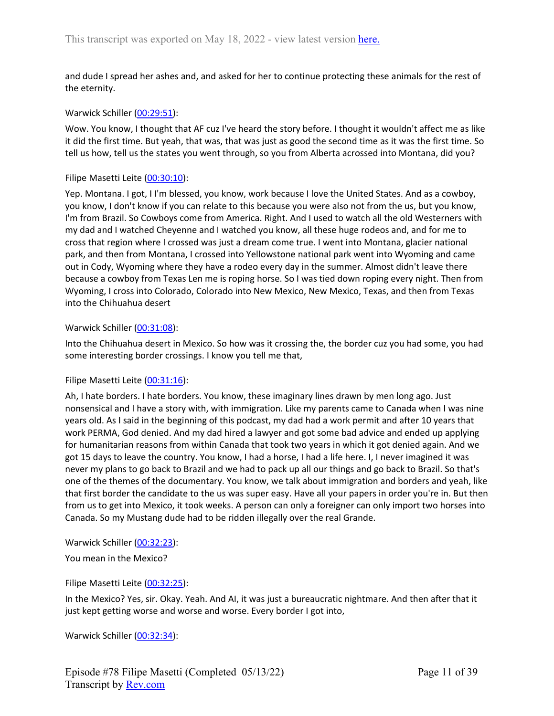and dude I spread her ashes and, and asked for her to continue protecting these animals for the rest of the eternity.

### Warwick Schiller ([00:29:51\)](https://www.rev.com/transcript-editor/Edit?token=GnQrEb-aK9luNNV-NRHoWGqWV961XhJebgx1X1pupO7zKoc6OBYf5op5B074t_yXHOWlDD_qRDRUlCpdeixaPpPBLo4&loadFrom=DocumentDeeplink&ts=1791.46):

Wow. You know, I thought that AF cuz I've heard the story before. I thought it wouldn't affect me as like it did the first time. But yeah, that was, that was just as good the second time as it was the first time. So tell us how, tell us the states you went through, so you from Alberta acrossed into Montana, did you?

#### Filipe Masetti Leite ([00:30:10](https://www.rev.com/transcript-editor/Edit?token=jfft_UKBwC7X6G7uIfLCpFvufwoEZtYGgs5AJgkYUWG8rLCM0ND5YjNYLQ54PipcClrgae3X7SSZicwOwfGp_k0Mmmc&loadFrom=DocumentDeeplink&ts=1810.27)):

Yep. Montana. I got, I I'm blessed, you know, work because I love the United States. And as a cowboy, you know, I don't know if you can relate to this because you were also not from the us, but you know, I'm from Brazil. So Cowboys come from America. Right. And I used to watch all the old Westerners with my dad and I watched Cheyenne and I watched you know, all these huge rodeos and, and for me to cross that region where I crossed was just a dream come true. I went into Montana, glacier national park, and then from Montana, I crossed into Yellowstone national park went into Wyoming and came out in Cody, Wyoming where they have a rodeo every day in the summer. Almost didn't leave there because a cowboy from Texas Len me is roping horse. So I was tied down roping every night. Then from Wyoming, I cross into Colorado, Colorado into New Mexico, New Mexico, Texas, and then from Texas into the Chihuahua desert

#### Warwick Schiller ([00:31:08\)](https://www.rev.com/transcript-editor/Edit?token=AeKw2_k-rQH-621ucX62D5XZzsGQkbixJGBwRRmMnm3pHiYT0y-VB3JO9mDhPruv2i1Nv7SobCqQpuaGBTErfdvqX40&loadFrom=DocumentDeeplink&ts=1868.58):

Into the Chihuahua desert in Mexico. So how was it crossing the, the border cuz you had some, you had some interesting border crossings. I know you tell me that,

## Filipe Masetti Leite ([00:31:16](https://www.rev.com/transcript-editor/Edit?token=MOj4c6IMhTMcrnQ0cH3DIUPhIzM35lVBMZzNYcX_VpTJsk9zEFx8-Q4br6yO_kFsgVQIS7fNp0myqQHrk_sp1u20LUE&loadFrom=DocumentDeeplink&ts=1876.34)):

Ah, I hate borders. I hate borders. You know, these imaginary lines drawn by men long ago. Just nonsensical and I have a story with, with immigration. Like my parents came to Canada when I was nine years old. As I said in the beginning of this podcast, my dad had a work permit and after 10 years that work PERMA, God denied. And my dad hired a lawyer and got some bad advice and ended up applying for humanitarian reasons from within Canada that took two years in which it got denied again. And we got 15 days to leave the country. You know, I had a horse, I had a life here. I, I never imagined it was never my plans to go back to Brazil and we had to pack up all our things and go back to Brazil. So that's one of the themes of the documentary. You know, we talk about immigration and borders and yeah, like that first border the candidate to the us was super easy. Have all your papers in order you're in. But then from us to get into Mexico, it took weeks. A person can only a foreigner can only import two horses into Canada. So my Mustang dude had to be ridden illegally over the real Grande.

Warwick Schiller ([00:32:23\)](https://www.rev.com/transcript-editor/Edit?token=tknkxWFCsHJXmhZn5oo1B833uriStRSf8IkgJwjZvRDtDRXV3mks5yqROcyT8T71PvyhlbqnFQp35BuM9iCrBUDV-l4&loadFrom=DocumentDeeplink&ts=1943.85):

You mean in the Mexico?

Filipe Masetti Leite ([00:32:25](https://www.rev.com/transcript-editor/Edit?token=Q5c8_5FSTLg9TbfmJ1J8JlLQe7C8Xmw5RN5sJrsHGKyvkrIlUy__72gumHYNEiZXCsUMkC2X_8q_bWWkNq_NdEUyvKQ&loadFrom=DocumentDeeplink&ts=1945.55)):

In the Mexico? Yes, sir. Okay. Yeah. And AI, it was just a bureaucratic nightmare. And then after that it just kept getting worse and worse and worse. Every border I got into,

Warwick Schiller ([00:32:34\)](https://www.rev.com/transcript-editor/Edit?token=lR9mpuOHjwxXKc7KoupUZbSsVK6mD710X0SBiBsgEWWUAL4cNqlRFaLbcYniCIsbOVxrmFIQoa4haigjLqcS_k3wfP8&loadFrom=DocumentDeeplink&ts=1954.02):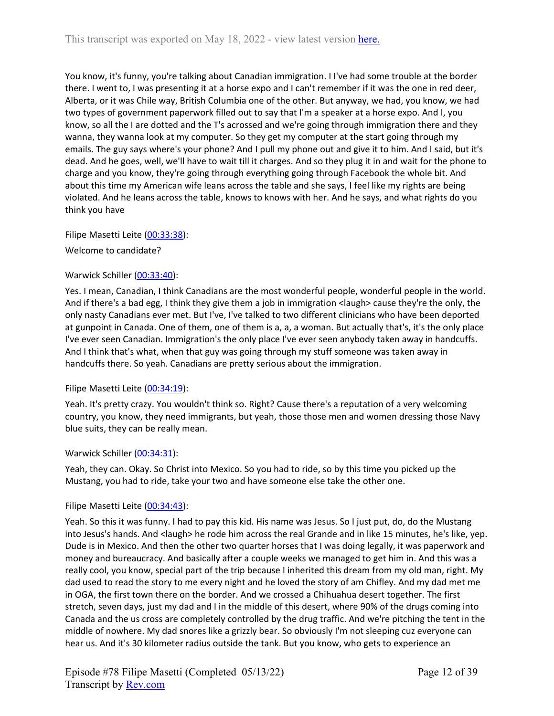You know, it's funny, you're talking about Canadian immigration. I I've had some trouble at the border there. I went to, I was presenting it at a horse expo and I can't remember if it was the one in red deer, Alberta, or it was Chile way, British Columbia one of the other. But anyway, we had, you know, we had two types of government paperwork filled out to say that I'm a speaker at a horse expo. And I, you know, so all the I are dotted and the T's acrossed and we're going through immigration there and they wanna, they wanna look at my computer. So they get my computer at the start going through my emails. The guy says where's your phone? And I pull my phone out and give it to him. And I said, but it's dead. And he goes, well, we'll have to wait till it charges. And so they plug it in and wait for the phone to charge and you know, they're going through everything going through Facebook the whole bit. And about this time my American wife leans across the table and she says, I feel like my rights are being violated. And he leans across the table, knows to knows with her. And he says, and what rights do you think you have

Filipe Masetti Leite ([00:33:38](https://www.rev.com/transcript-editor/Edit?token=4w3P0Apf6TetxdJt0JtnaDbv4zvvOg_iBCIwYcBSv8lkKwj3WAGvcoYBHCDvuhaFVwIi7vZvqpGHNdKp7qKBNzpGD_4&loadFrom=DocumentDeeplink&ts=2018.16)):

Welcome to candidate?

## Warwick Schiller ([00:33:40\)](https://www.rev.com/transcript-editor/Edit?token=DcyYpVVPlBKn6N3FVJ7q8EuWPgd9RZlYURJzgYo3arjjKj2N3sYWGpmcIgvXPsF_ADZ1K6dKGEXjeHWu-YbyE8pHspg&loadFrom=DocumentDeeplink&ts=2020.13):

Yes. I mean, Canadian, I think Canadians are the most wonderful people, wonderful people in the world. And if there's a bad egg, I think they give them a job in immigration <laugh> cause they're the only, the only nasty Canadians ever met. But I've, I've talked to two different clinicians who have been deported at gunpoint in Canada. One of them, one of them is a, a, a woman. But actually that's, it's the only place I've ever seen Canadian. Immigration's the only place I've ever seen anybody taken away in handcuffs. And I think that's what, when that guy was going through my stuff someone was taken away in handcuffs there. So yeah. Canadians are pretty serious about the immigration.

## Filipe Masetti Leite ([00:34:19](https://www.rev.com/transcript-editor/Edit?token=J--hIEPBtoaEwwx_dKJh5huqPsBb31HnUL-rMgaZ2BLt1eVv6dYWpwRZ-9smOtwSentgk_sKK7FCxdgJODJ1dUYlbvU&loadFrom=DocumentDeeplink&ts=2059.18)):

Yeah. It's pretty crazy. You wouldn't think so. Right? Cause there's a reputation of a very welcoming country, you know, they need immigrants, but yeah, those those men and women dressing those Navy blue suits, they can be really mean.

## Warwick Schiller ([00:34:31\)](https://www.rev.com/transcript-editor/Edit?token=EOkL26qlqjpQ-UARVu_FzygWjTPRGu2b-47eyS3nrQZShBg8BzC4KsLJEOcM2rf9kF06D4IzNFzvdw_uz2NQAJKlfww&loadFrom=DocumentDeeplink&ts=2071.57):

Yeah, they can. Okay. So Christ into Mexico. So you had to ride, so by this time you picked up the Mustang, you had to ride, take your two and have someone else take the other one.

## Filipe Masetti Leite ([00:34:43](https://www.rev.com/transcript-editor/Edit?token=rzCcHxkXlE78oyaM6yL2ovoPmXhrddZQNbAn73ZJv2aarBKHBjf88PcLfnPAy9u3Jj_fuy_yGJLbSiMJ1iztNJ4FDrY&loadFrom=DocumentDeeplink&ts=2083.17)):

Yeah. So this it was funny. I had to pay this kid. His name was Jesus. So I just put, do, do the Mustang into Jesus's hands. And <laugh> he rode him across the real Grande and in like 15 minutes, he's like, yep. Dude is in Mexico. And then the other two quarter horses that I was doing legally, it was paperwork and money and bureaucracy. And basically after a couple weeks we managed to get him in. And this was a really cool, you know, special part of the trip because I inherited this dream from my old man, right. My dad used to read the story to me every night and he loved the story of am Chifley. And my dad met me in OGA, the first town there on the border. And we crossed a Chihuahua desert together. The first stretch, seven days, just my dad and I in the middle of this desert, where 90% of the drugs coming into Canada and the us cross are completely controlled by the drug traffic. And we're pitching the tent in the middle of nowhere. My dad snores like a grizzly bear. So obviously I'm not sleeping cuz everyone can hear us. And it's 30 kilometer radius outside the tank. But you know, who gets to experience an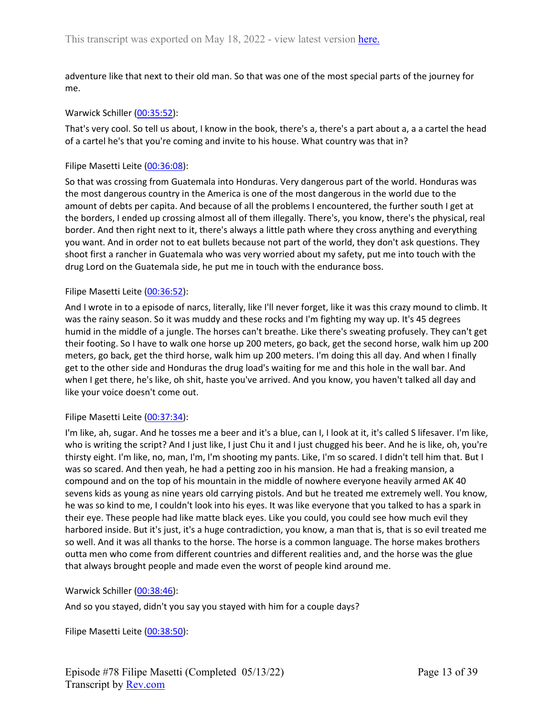adventure like that next to their old man. So that was one of the most special parts of the journey for me.

### Warwick Schiller ([00:35:52\)](https://www.rev.com/transcript-editor/Edit?token=TynWINuBXMX8ZhZMgwyEE3seA7haI3ocuK8Irkl4ORJvscxrxXAlhy5juJ2Pu_jgF_jcZJ7WyOXUddPxTlQoyWiM-f4&loadFrom=DocumentDeeplink&ts=2152.739):

That's very cool. So tell us about, I know in the book, there's a, there's a part about a, a a cartel the head of a cartel he's that you're coming and invite to his house. What country was that in?

### Filipe Masetti Leite ([00:36:08](https://www.rev.com/transcript-editor/Edit?token=i06-YhdU1rb38lg0jsqu0Is80JTavl4stgsSjMJ_2FH-tt6SSUs8LvYjhF3K04p4Ye3ImZHe8eJs3Z31P8SY4vpWI0o&loadFrom=DocumentDeeplink&ts=2168.739)):

So that was crossing from Guatemala into Honduras. Very dangerous part of the world. Honduras was the most dangerous country in the America is one of the most dangerous in the world due to the amount of debts per capita. And because of all the problems I encountered, the further south I get at the borders, I ended up crossing almost all of them illegally. There's, you know, there's the physical, real border. And then right next to it, there's always a little path where they cross anything and everything you want. And in order not to eat bullets because not part of the world, they don't ask questions. They shoot first a rancher in Guatemala who was very worried about my safety, put me into touch with the drug Lord on the Guatemala side, he put me in touch with the endurance boss.

#### Filipe Masetti Leite ([00:36:52](https://www.rev.com/transcript-editor/Edit?token=JOLZh7f2FewYcOYhrXk73_jOj4wmxWddWyDZc7vL_XNZA28ehJ7c0ScEZdvM494dpgouXMO3uyIMzessKFVO1Y2wHyA&loadFrom=DocumentDeeplink&ts=2212.739)):

And I wrote in to a episode of narcs, literally, like I'll never forget, like it was this crazy mound to climb. It was the rainy season. So it was muddy and these rocks and I'm fighting my way up. It's 45 degrees humid in the middle of a jungle. The horses can't breathe. Like there's sweating profusely. They can't get their footing. So I have to walk one horse up 200 meters, go back, get the second horse, walk him up 200 meters, go back, get the third horse, walk him up 200 meters. I'm doing this all day. And when I finally get to the other side and Honduras the drug load's waiting for me and this hole in the wall bar. And when I get there, he's like, oh shit, haste you've arrived. And you know, you haven't talked all day and like your voice doesn't come out.

#### Filipe Masetti Leite ([00:37:34](https://www.rev.com/transcript-editor/Edit?token=Y6sbhPqgxEwKzQvlX5CBCIp9ad-DC5yU9Dxg4PagZQ_Kjauzs1zZte1bw64x2xX0UYwtbexV2T891300A8qa5NGS25c&loadFrom=DocumentDeeplink&ts=2254.28)):

I'm like, ah, sugar. And he tosses me a beer and it's a blue, can I, I look at it, it's called S lifesaver. I'm like, who is writing the script? And I just like, I just Chu it and I just chugged his beer. And he is like, oh, you're thirsty eight. I'm like, no, man, I'm, I'm shooting my pants. Like, I'm so scared. I didn't tell him that. But I was so scared. And then yeah, he had a petting zoo in his mansion. He had a freaking mansion, a compound and on the top of his mountain in the middle of nowhere everyone heavily armed AK 40 sevens kids as young as nine years old carrying pistols. And but he treated me extremely well. You know, he was so kind to me, I couldn't look into his eyes. It was like everyone that you talked to has a spark in their eye. These people had like matte black eyes. Like you could, you could see how much evil they harbored inside. But it's just, it's a huge contradiction, you know, a man that is, that is so evil treated me so well. And it was all thanks to the horse. The horse is a common language. The horse makes brothers outta men who come from different countries and different realities and, and the horse was the glue that always brought people and made even the worst of people kind around me.

## Warwick Schiller ([00:38:46\)](https://www.rev.com/transcript-editor/Edit?token=IKNGEitv12oh-COilJnO9AuyI0lYqT4ixs5Q7CkcZ3_jQqbBjpJ-qXiUenUgFwJUzKH6r_bgujiO2m3uxVvys9EBV98&loadFrom=DocumentDeeplink&ts=2326.5):

And so you stayed, didn't you say you stayed with him for a couple days?

Filipe Masetti Leite ([00:38:50](https://www.rev.com/transcript-editor/Edit?token=1K_oSPgJS9RyrEYs_XtfhBMcHfc5O2WFIcBaDLPBhi765HA47y3HOKuUsGAIlOG06vqDW0OBXRW1HNPbSv_Wjoty9jo&loadFrom=DocumentDeeplink&ts=2330.239)):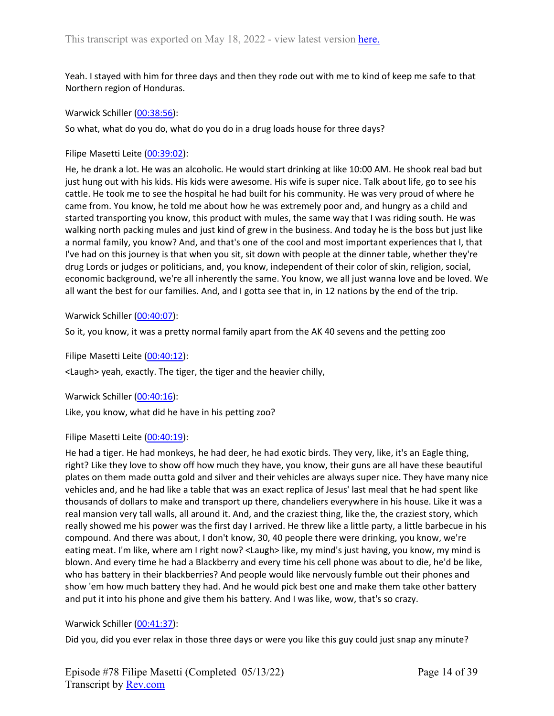Yeah. I stayed with him for three days and then they rode out with me to kind of keep me safe to that Northern region of Honduras.

Warwick Schiller ([00:38:56\)](https://www.rev.com/transcript-editor/Edit?token=PIydd_6xRemaYD_HxQMbfUryrP23JW8oxTFMIJLinmXyV-0xsnxX-UoZGDGFjz3egxFeuCP7KLTzOuYoYP_2qRSIR5E&loadFrom=DocumentDeeplink&ts=2336.57):

So what, what do you do, what do you do in a drug loads house for three days?

Filipe Masetti Leite ([00:39:02](https://www.rev.com/transcript-editor/Edit?token=sw6_IerpEu8PVhNi0TzBEuGNC6pnN_F6hmacp-Hg_EId_pY5un7QxH_uaoTJjWhQj2yxHrgAcgNcTYmYqG4WwTLKQ2s&loadFrom=DocumentDeeplink&ts=2342.27)):

He, he drank a lot. He was an alcoholic. He would start drinking at like 10:00 AM. He shook real bad but just hung out with his kids. His kids were awesome. His wife is super nice. Talk about life, go to see his cattle. He took me to see the hospital he had built for his community. He was very proud of where he came from. You know, he told me about how he was extremely poor and, and hungry as a child and started transporting you know, this product with mules, the same way that I was riding south. He was walking north packing mules and just kind of grew in the business. And today he is the boss but just like a normal family, you know? And, and that's one of the cool and most important experiences that I, that I've had on this journey is that when you sit, sit down with people at the dinner table, whether they're drug Lords or judges or politicians, and, you know, independent of their color of skin, religion, social, economic background, we're all inherently the same. You know, we all just wanna love and be loved. We all want the best for our families. And, and I gotta see that in, in 12 nations by the end of the trip.

Warwick Schiller ([00:40:07\)](https://www.rev.com/transcript-editor/Edit?token=JunE2Uajo2SoKlVmDQt2nMPe-PWGH94qrr_Y4dBq4Kc1J4By4uA2LvS_WJXGt4oYWJ83i2yKa_gDAMs-3PbR2MSjrPA&loadFrom=DocumentDeeplink&ts=2407.12):

So it, you know, it was a pretty normal family apart from the AK 40 sevens and the petting zoo

Filipe Masetti Leite ([00:40:12](https://www.rev.com/transcript-editor/Edit?token=zEZuozViFDNenBA52IJLTkXfY7xJy3JNezUZ6KcUrix5DW1t01ZKtFHJ09L6f8Lk0W4kI1ZvUzwSdooIwkpM4MsO_g4&loadFrom=DocumentDeeplink&ts=2412.53)):

<Laugh> yeah, exactly. The tiger, the tiger and the heavier chilly,

Warwick Schiller ([00:40:16\)](https://www.rev.com/transcript-editor/Edit?token=FyZ2iHzb42KKlNq4Q9ZpWOxE8_rvetzpZLSxK_z6BGhWZZW6Nyli5FASwEyEz2jCl6gnu4iQqpo8Ul-G2hArzMzEpYI&loadFrom=DocumentDeeplink&ts=2416.53):

Like, you know, what did he have in his petting zoo?

Filipe Masetti Leite ([00:40:19](https://www.rev.com/transcript-editor/Edit?token=IDw_F2LqroaUzB0Se-z1p-otBySGyjKwpOpDHnEJ0lxKjUwPXQ66xNIEfvi31T9O_n-xfjC5tzyLZ9kW555pqhlVZoE&loadFrom=DocumentDeeplink&ts=2419.3)):

He had a tiger. He had monkeys, he had deer, he had exotic birds. They very, like, it's an Eagle thing, right? Like they love to show off how much they have, you know, their guns are all have these beautiful plates on them made outta gold and silver and their vehicles are always super nice. They have many nice vehicles and, and he had like a table that was an exact replica of Jesus' last meal that he had spent like thousands of dollars to make and transport up there, chandeliers everywhere in his house. Like it was a real mansion very tall walls, all around it. And, and the craziest thing, like the, the craziest story, which really showed me his power was the first day I arrived. He threw like a little party, a little barbecue in his compound. And there was about, I don't know, 30, 40 people there were drinking, you know, we're eating meat. I'm like, where am I right now? <Laugh> like, my mind's just having, you know, my mind is blown. And every time he had a Blackberry and every time his cell phone was about to die, he'd be like, who has battery in their blackberries? And people would like nervously fumble out their phones and show 'em how much battery they had. And he would pick best one and make them take other battery and put it into his phone and give them his battery. And I was like, wow, that's so crazy.

## Warwick Schiller ([00:41:37\)](https://www.rev.com/transcript-editor/Edit?token=TvgCPN1xcZqQ2asm3UgI1911zlBmc_oKKpp16oSIxo1lHUpclDiMmToaR5EdQtCxFiiiVrZYFrYv3ORX2XDzzJhCw0M&loadFrom=DocumentDeeplink&ts=2497.26):

Did you, did you ever relax in those three days or were you like this guy could just snap any minute?

Episode #78 Filipe Masetti (Completed 05/13/22) Transcript by [Rev.com](https://www.rev.com/)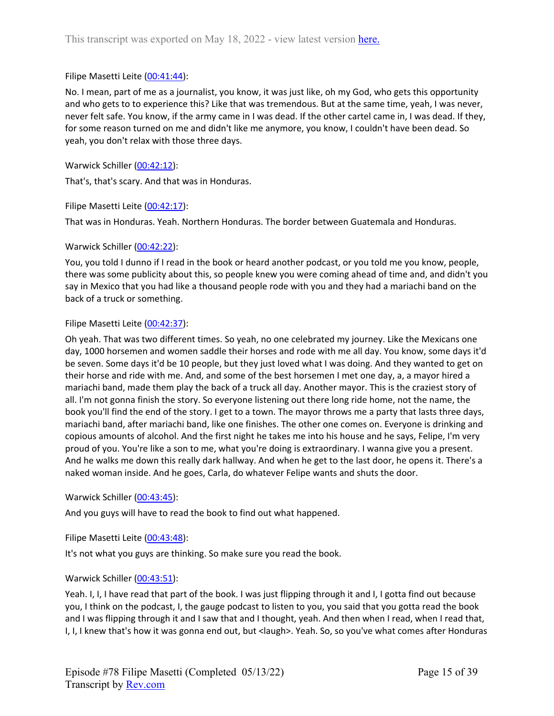## Filipe Masetti Leite ([00:41:44](https://www.rev.com/transcript-editor/Edit?token=hW0neXfNUEeF5eVYL3eiX8NAlJcsLlfwk19KFOsvhT1SpW8SBIiQs0CO5bFgWOlr9KTSqYytu6NNO0N6PU8LO6gDbB8&loadFrom=DocumentDeeplink&ts=2504.34)):

No. I mean, part of me as a journalist, you know, it was just like, oh my God, who gets this opportunity and who gets to to experience this? Like that was tremendous. But at the same time, yeah, I was never, never felt safe. You know, if the army came in I was dead. If the other cartel came in, I was dead. If they, for some reason turned on me and didn't like me anymore, you know, I couldn't have been dead. So yeah, you don't relax with those three days.

Warwick Schiller ([00:42:12\)](https://www.rev.com/transcript-editor/Edit?token=BxH4UxN_YC5X7Z1oTPktqq910EpI2XrbQP1LLB12ohdeyDiIyWNQGF5HvQWpYGXaNo5jeZS3oZCwtaKqFe49svoMvkU&loadFrom=DocumentDeeplink&ts=2532.27):

That's, that's scary. And that was in Honduras.

Filipe Masetti Leite ([00:42:17](https://www.rev.com/transcript-editor/Edit?token=kSebRH-jUsTJswJ22pGELLUpQk0RevVV9bJwMkSFo5X1f0JHfu5ww5-Y_hg7qmKHEuzXpTtODxOygtdXtCeiVSREoZA&loadFrom=DocumentDeeplink&ts=2537.33)):

That was in Honduras. Yeah. Northern Honduras. The border between Guatemala and Honduras.

#### Warwick Schiller ([00:42:22\)](https://www.rev.com/transcript-editor/Edit?token=diiToI6iWBa4dFN_wBRMuvNdMoxwKy_CGz7y5JOG5E50lAFuyyDlbDW5O0owQsSWuM7lD4bzpE8uJFL1HMLZH9EbSyI&loadFrom=DocumentDeeplink&ts=2542.81):

You, you told I dunno if I read in the book or heard another podcast, or you told me you know, people, there was some publicity about this, so people knew you were coming ahead of time and, and didn't you say in Mexico that you had like a thousand people rode with you and they had a mariachi band on the back of a truck or something.

#### Filipe Masetti Leite ([00:42:37](https://www.rev.com/transcript-editor/Edit?token=fVc9isX1BZMzjSqLE5C4fAzEv-j0rX_1yk0id0H5c_G22qqDHcafmm17dL9uUB0l5GYZvNFHlZeWs8ZFcrk_pegISUU&loadFrom=DocumentDeeplink&ts=2557.82)):

Oh yeah. That was two different times. So yeah, no one celebrated my journey. Like the Mexicans one day, 1000 horsemen and women saddle their horses and rode with me all day. You know, some days it'd be seven. Some days it'd be 10 people, but they just loved what I was doing. And they wanted to get on their horse and ride with me. And, and some of the best horsemen I met one day, a, a mayor hired a mariachi band, made them play the back of a truck all day. Another mayor. This is the craziest story of all. I'm not gonna finish the story. So everyone listening out there long ride home, not the name, the book you'll find the end of the story. I get to a town. The mayor throws me a party that lasts three days, mariachi band, after mariachi band, like one finishes. The other one comes on. Everyone is drinking and copious amounts of alcohol. And the first night he takes me into his house and he says, Felipe, I'm very proud of you. You're like a son to me, what you're doing is extraordinary. I wanna give you a present. And he walks me down this really dark hallway. And when he get to the last door, he opens it. There's a naked woman inside. And he goes, Carla, do whatever Felipe wants and shuts the door.

Warwick Schiller ([00:43:45\)](https://www.rev.com/transcript-editor/Edit?token=PHbwm-eubxCA7Ibcf8HlQ8NbY41sKdmVMrLuj4L4mtc1kwPA_1ZPB_5wayVi7xZVkTfEwwNZwkhA2-Ucg7Sz73BXeGw&loadFrom=DocumentDeeplink&ts=2625.36):

And you guys will have to read the book to find out what happened.

Filipe Masetti Leite ([00:43:48](https://www.rev.com/transcript-editor/Edit?token=j1_GlXD22NhIBsSrWJQ7Rd02N2-hih9AFA2B8LvjcnefEgKvmnheDPcdhCqYZtAVaYrpqlP4Qfl1S62t42amvwuHK0g&loadFrom=DocumentDeeplink&ts=2628.8)):

It's not what you guys are thinking. So make sure you read the book.

## Warwick Schiller ([00:43:51\)](https://www.rev.com/transcript-editor/Edit?token=fPIzZ6s4FsGx9ve1Bs86qRJFV_QSZ3mPMwM2_NV1Z60pXud1ScBVxQ4KA8FYnbE1cmIxGNFi-MisFnSyURtY0qst1mU&loadFrom=DocumentDeeplink&ts=2631.36):

Yeah. I, I, I have read that part of the book. I was just flipping through it and I, I gotta find out because you, I think on the podcast, I, the gauge podcast to listen to you, you said that you gotta read the book and I was flipping through it and I saw that and I thought, yeah. And then when I read, when I read that, I, I, I knew that's how it was gonna end out, but <laugh>. Yeah. So, so you've what comes after Honduras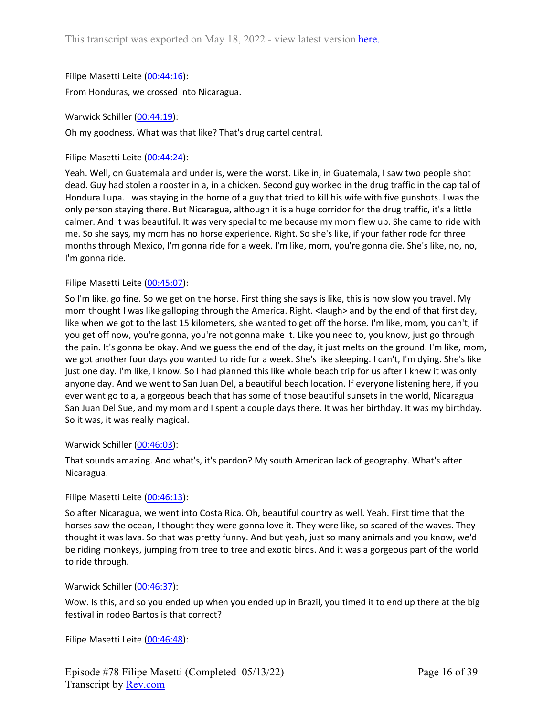Filipe Masetti Leite ([00:44:16](https://www.rev.com/transcript-editor/Edit?token=iQ1B1N89alFp4hOrgq4-JlM-8gUEkFLL49uujQYiNT4w9UerHJAtkVAQHH5livoFr_82RE4y30FYsKHoh26thpAN8mc&loadFrom=DocumentDeeplink&ts=2656.739)): From Honduras, we crossed into Nicaragua.

Warwick Schiller ([00:44:19\)](https://www.rev.com/transcript-editor/Edit?token=Z4Y47BBz7HcgJoy-JLvHdumDtthWXoY7Y3aFsdUwCY9dMBWKVR5LtkFWswZe01SvPdxhFQeorjWiAeFh8CKcJ9n410E&loadFrom=DocumentDeeplink&ts=2659.95):

Oh my goodness. What was that like? That's drug cartel central.

Filipe Masetti Leite ([00:44:24](https://www.rev.com/transcript-editor/Edit?token=9PYaiwzUlPm-B-Pb0uc4Sp-ACKH9QTVKFwhn3633RLhkIYLPWmZAiA2bufVyfnrZFkUQcGrsvihPYIsK6AFMFZfJBiE&loadFrom=DocumentDeeplink&ts=2664.37)):

Yeah. Well, on Guatemala and under is, were the worst. Like in, in Guatemala, I saw two people shot dead. Guy had stolen a rooster in a, in a chicken. Second guy worked in the drug traffic in the capital of Hondura Lupa. I was staying in the home of a guy that tried to kill his wife with five gunshots. I was the only person staying there. But Nicaragua, although it is a huge corridor for the drug traffic, it's a little calmer. And it was beautiful. It was very special to me because my mom flew up. She came to ride with me. So she says, my mom has no horse experience. Right. So she's like, if your father rode for three months through Mexico, I'm gonna ride for a week. I'm like, mom, you're gonna die. She's like, no, no, I'm gonna ride.

## Filipe Masetti Leite ([00:45:07](https://www.rev.com/transcript-editor/Edit?token=S4o8_cv6YvfKxOCCIIA5-xBWjlnR2m6MYxTeEUc2uEKRwDcxvWswxyTx1enztPIpPUizgnekt7bJlVjkc6GViLKkvmA&loadFrom=DocumentDeeplink&ts=2707.07)):

So I'm like, go fine. So we get on the horse. First thing she says is like, this is how slow you travel. My mom thought I was like galloping through the America. Right. < laugh> and by the end of that first day, like when we got to the last 15 kilometers, she wanted to get off the horse. I'm like, mom, you can't, if you get off now, you're gonna, you're not gonna make it. Like you need to, you know, just go through the pain. It's gonna be okay. And we guess the end of the day, it just melts on the ground. I'm like, mom, we got another four days you wanted to ride for a week. She's like sleeping. I can't, I'm dying. She's like just one day. I'm like, I know. So I had planned this like whole beach trip for us after I knew it was only anyone day. And we went to San Juan Del, a beautiful beach location. If everyone listening here, if you ever want go to a, a gorgeous beach that has some of those beautiful sunsets in the world, Nicaragua San Juan Del Sue, and my mom and I spent a couple days there. It was her birthday. It was my birthday. So it was, it was really magical.

## Warwick Schiller ([00:46:03\)](https://www.rev.com/transcript-editor/Edit?token=cFtuA5Lk2C7b8n8i8BjQuxpiYL9M9dUkfQ8JO7ZDfG1zAZsNfmMZx5pjpRUeK81nmXog6uoc9twO_7mSc02PqFic59g&loadFrom=DocumentDeeplink&ts=2763.92):

That sounds amazing. And what's, it's pardon? My south American lack of geography. What's after Nicaragua.

## Filipe Masetti Leite ([00:46:13](https://www.rev.com/transcript-editor/Edit?token=taOvuOleTDHQAgM294DcbxDoK788LuY8JRrMBY_gVOskCjXQCTj5OT2ee-rZMBZV-jE6E3blHTu-AZ_YM_RfyqOlSko&loadFrom=DocumentDeeplink&ts=2773.64)):

So after Nicaragua, we went into Costa Rica. Oh, beautiful country as well. Yeah. First time that the horses saw the ocean, I thought they were gonna love it. They were like, so scared of the waves. They thought it was lava. So that was pretty funny. And but yeah, just so many animals and you know, we'd be riding monkeys, jumping from tree to tree and exotic birds. And it was a gorgeous part of the world to ride through.

## Warwick Schiller ([00:46:37\)](https://www.rev.com/transcript-editor/Edit?token=BTh6Fh4v8HhsFxsWRx3oKwo4pKGPwE2yU9Qvvm6T56x1t1Tzg_4ZZ1jtJqEbxgIDxJ2c9FVi08VecPaC6GPobK-63BI&loadFrom=DocumentDeeplink&ts=2797.92):

Wow. Is this, and so you ended up when you ended up in Brazil, you timed it to end up there at the big festival in rodeo Bartos is that correct?

Filipe Masetti Leite ([00:46:48](https://www.rev.com/transcript-editor/Edit?token=j9F-10T1Liybevd7ECCr7c02sls5NFWcAnVSJ4mvs23frSMiQxP7serUlaGzQo2ubKsHn59gZsfeec-PHVUiLY1fW6Y&loadFrom=DocumentDeeplink&ts=2808.239)):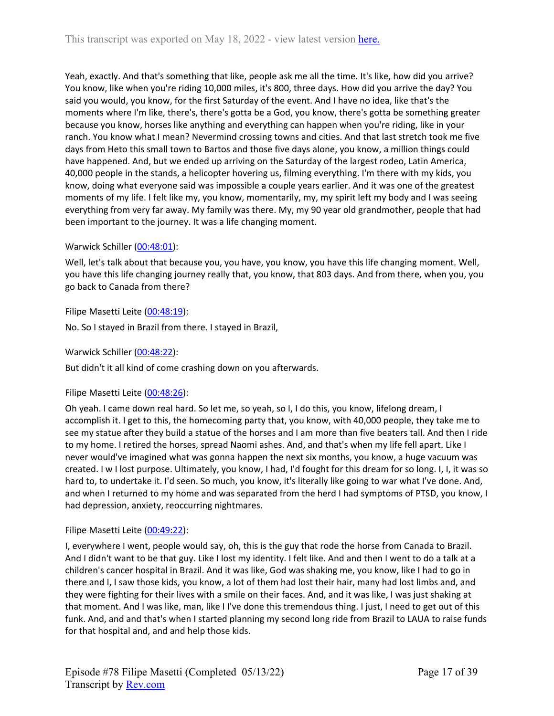Yeah, exactly. And that's something that like, people ask me all the time. It's like, how did you arrive? You know, like when you're riding 10,000 miles, it's 800, three days. How did you arrive the day? You said you would, you know, for the first Saturday of the event. And I have no idea, like that's the moments where I'm like, there's, there's gotta be a God, you know, there's gotta be something greater because you know, horses like anything and everything can happen when you're riding, like in your ranch. You know what I mean? Nevermind crossing towns and cities. And that last stretch took me five days from Heto this small town to Bartos and those five days alone, you know, a million things could have happened. And, but we ended up arriving on the Saturday of the largest rodeo, Latin America, 40,000 people in the stands, a helicopter hovering us, filming everything. I'm there with my kids, you know, doing what everyone said was impossible a couple years earlier. And it was one of the greatest moments of my life. I felt like my, you know, momentarily, my, my spirit left my body and I was seeing everything from very far away. My family was there. My, my 90 year old grandmother, people that had been important to the journey. It was a life changing moment.

# Warwick Schiller ([00:48:01\)](https://www.rev.com/transcript-editor/Edit?token=v-nQYNm82aEw98XTBM-_0BtPL2_R65XQBIk16ibUvd0wU6XLrwkxiWpEJ6QNMaA6RCVw4rnUv1C7qEdr2FCf4Lu-yGw&loadFrom=DocumentDeeplink&ts=2881.94):

Well, let's talk about that because you, you have, you know, you have this life changing moment. Well, you have this life changing journey really that, you know, that 803 days. And from there, when you, you go back to Canada from there?

## Filipe Masetti Leite ([00:48:19](https://www.rev.com/transcript-editor/Edit?token=Ogz4i5FDytB__szYqyKV8cM-fJy2DZPG9xbyHJkuFtIxSAQSL1qmEbh4CwyTI-Wb9dP8lS1yM8tyU6MhwFZo-3_h1_c&loadFrom=DocumentDeeplink&ts=2899.331)):

No. So I stayed in Brazil from there. I stayed in Brazil,

Warwick Schiller ([00:48:22\)](https://www.rev.com/transcript-editor/Edit?token=UODPnrRihVDodQSGbtYPl2m1L5BRGm0KnSGUzjUSwKRKoyrYT3gD-XMmPeGJqyKWBmSmiHqRYvTqvS3GO6oHULp9bUY&loadFrom=DocumentDeeplink&ts=2902.19):

But didn't it all kind of come crashing down on you afterwards.

## Filipe Masetti Leite ([00:48:26](https://www.rev.com/transcript-editor/Edit?token=3WlFfuYV9bK1OXGC8GycqQtujiHIkaN0UlZEMT4OeltUuB-W-RcGWvsRmDKPAO2mxZkjzLMp5AQhMVdYuDTlCagGC8Y&loadFrom=DocumentDeeplink&ts=2906.57)):

Oh yeah. I came down real hard. So let me, so yeah, so I, I do this, you know, lifelong dream, I accomplish it. I get to this, the homecoming party that, you know, with 40,000 people, they take me to see my statue after they build a statue of the horses and I am more than five beaters tall. And then I ride to my home. I retired the horses, spread Naomi ashes. And, and that's when my life fell apart. Like I never would've imagined what was gonna happen the next six months, you know, a huge vacuum was created. I w I lost purpose. Ultimately, you know, I had, I'd fought for this dream for so long. I, I, it was so hard to, to undertake it. I'd seen. So much, you know, it's literally like going to war what I've done. And, and when I returned to my home and was separated from the herd I had symptoms of PTSD, you know, I had depression, anxiety, reoccurring nightmares.

## Filipe Masetti Leite ([00:49:22](https://www.rev.com/transcript-editor/Edit?token=_7J6D6SyVnAy74KjVKd8Pz-DYxvWQhLObc8ljfCEsgf_oKn58dJ6kERWo00djAmjAazGSWDGCX66aLI5nvKE0_xu_c8&loadFrom=DocumentDeeplink&ts=2962.35)):

I, everywhere I went, people would say, oh, this is the guy that rode the horse from Canada to Brazil. And I didn't want to be that guy. Like I lost my identity. I felt like. And and then I went to do a talk at a children's cancer hospital in Brazil. And it was like, God was shaking me, you know, like I had to go in there and I, I saw those kids, you know, a lot of them had lost their hair, many had lost limbs and, and they were fighting for their lives with a smile on their faces. And, and it was like, I was just shaking at that moment. And I was like, man, like I I've done this tremendous thing. I just, I need to get out of this funk. And, and and that's when I started planning my second long ride from Brazil to LAUA to raise funds for that hospital and, and and help those kids.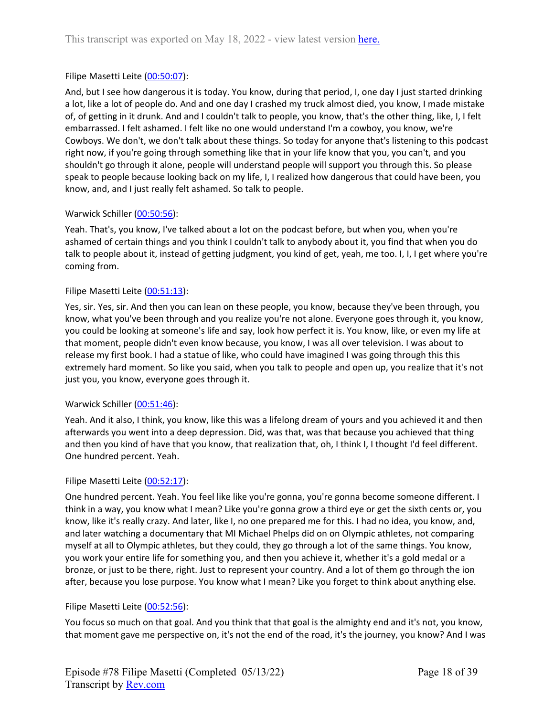## Filipe Masetti Leite ([00:50:07](https://www.rev.com/transcript-editor/Edit?token=ZeMD0e4xpHXpIKWn2XX8mF34Ny4-ZCSJ7NHDoc9AjSs0t9HTnQ5qTH_Dd_j1CXEhUCQeJ-rtt0nsPwCd8190PtXGKBs&loadFrom=DocumentDeeplink&ts=3007.489)):

And, but I see how dangerous it is today. You know, during that period, I, one day I just started drinking a lot, like a lot of people do. And and one day I crashed my truck almost died, you know, I made mistake of, of getting in it drunk. And and I couldn't talk to people, you know, that's the other thing, like, I, I felt embarrassed. I felt ashamed. I felt like no one would understand I'm a cowboy, you know, we're Cowboys. We don't, we don't talk about these things. So today for anyone that's listening to this podcast right now, if you're going through something like that in your life know that you, you can't, and you shouldn't go through it alone, people will understand people will support you through this. So please speak to people because looking back on my life, I, I realized how dangerous that could have been, you know, and, and I just really felt ashamed. So talk to people.

## Warwick Schiller ([00:50:56\)](https://www.rev.com/transcript-editor/Edit?token=2jd0mC96zRmY7ng1Jo-D70dd_4ZBCQ6kJ1f0Bgr_KtPCm26tre2Kmw-OULpUddINkWLIA4w5ZtOeqAtt9Ebin2RgwmU&loadFrom=DocumentDeeplink&ts=3056.91):

Yeah. That's, you know, I've talked about a lot on the podcast before, but when you, when you're ashamed of certain things and you think I couldn't talk to anybody about it, you find that when you do talk to people about it, instead of getting judgment, you kind of get, yeah, me too. I, I, I get where you're coming from.

## Filipe Masetti Leite ([00:51:13](https://www.rev.com/transcript-editor/Edit?token=SG8Q07wx2XZ_v4eAuoc1vobQcIws-Q9N8Cf5gA9IDfn1WxV_TQDF-JAS3GMhy-EV6dmZcp2imZxClWlY3WW9Q6ZydBw&loadFrom=DocumentDeeplink&ts=3073.1)):

Yes, sir. Yes, sir. And then you can lean on these people, you know, because they've been through, you know, what you've been through and you realize you're not alone. Everyone goes through it, you know, you could be looking at someone's life and say, look how perfect it is. You know, like, or even my life at that moment, people didn't even know because, you know, I was all over television. I was about to release my first book. I had a statue of like, who could have imagined I was going through this this extremely hard moment. So like you said, when you talk to people and open up, you realize that it's not just you, you know, everyone goes through it.

## Warwick Schiller ([00:51:46\)](https://www.rev.com/transcript-editor/Edit?token=LHpK7eKvthvghz0M3fa-qRUhceNjFMcnFTGonaXyQUcTTxgpe1wPqwwbmIh2JBGX-0BFH5maaIohY0xUL8qPlN-UNVg&loadFrom=DocumentDeeplink&ts=3106.64):

Yeah. And it also, I think, you know, like this was a lifelong dream of yours and you achieved it and then afterwards you went into a deep depression. Did, was that, was that because you achieved that thing and then you kind of have that you know, that realization that, oh, I think I, I thought I'd feel different. One hundred percent. Yeah.

## Filipe Masetti Leite ([00:52:17](https://www.rev.com/transcript-editor/Edit?token=7kd42TvrzNqBQrBlqXszP4YlLzB69Z0hlaXk_AjungwOc3_Qd7Lom24xzgV9-oORiw91o7XXxL7Age6ZEMoyBvDtP3E&loadFrom=DocumentDeeplink&ts=3137.52)):

One hundred percent. Yeah. You feel like like you're gonna, you're gonna become someone different. I think in a way, you know what I mean? Like you're gonna grow a third eye or get the sixth cents or, you know, like it's really crazy. And later, like I, no one prepared me for this. I had no idea, you know, and, and later watching a documentary that MI Michael Phelps did on on Olympic athletes, not comparing myself at all to Olympic athletes, but they could, they go through a lot of the same things. You know, you work your entire life for something you, and then you achieve it, whether it's a gold medal or a bronze, or just to be there, right. Just to represent your country. And a lot of them go through the ion after, because you lose purpose. You know what I mean? Like you forget to think about anything else.

## Filipe Masetti Leite ([00:52:56](https://www.rev.com/transcript-editor/Edit?token=Jo3ENuBMVrjR8GZcpaM_d9_LSpadLiY-ckMWVDhg0YzH59OuCJiELlMg0QKwsvWgWzxuXh5F6GHSXjYDBL1tsxqWmhA&loadFrom=DocumentDeeplink&ts=3176.63)):

You focus so much on that goal. And you think that that goal is the almighty end and it's not, you know, that moment gave me perspective on, it's not the end of the road, it's the journey, you know? And I was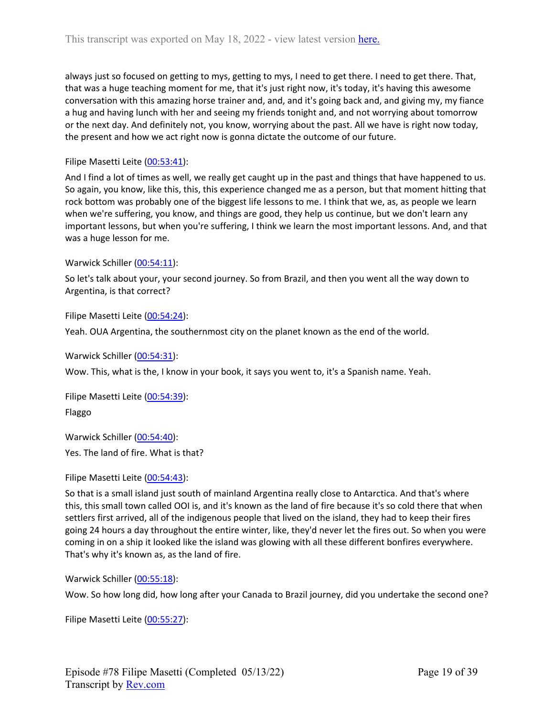always just so focused on getting to mys, getting to mys, I need to get there. I need to get there. That, that was a huge teaching moment for me, that it's just right now, it's today, it's having this awesome conversation with this amazing horse trainer and, and, and it's going back and, and giving my, my fiance a hug and having lunch with her and seeing my friends tonight and, and not worrying about tomorrow or the next day. And definitely not, you know, worrying about the past. All we have is right now today, the present and how we act right now is gonna dictate the outcome of our future.

## Filipe Masetti Leite ([00:53:41](https://www.rev.com/transcript-editor/Edit?token=z0mD7LJxmgbx4dWJSSdZdmLz0DLShDazd1H3_5EHS-PZIqldqFFYE_ZTq3Ae9VTah2MNMGo3nW7tmZhIgptCBzARgJg&loadFrom=DocumentDeeplink&ts=3221.66)):

And I find a lot of times as well, we really get caught up in the past and things that have happened to us. So again, you know, like this, this, this experience changed me as a person, but that moment hitting that rock bottom was probably one of the biggest life lessons to me. I think that we, as, as people we learn when we're suffering, you know, and things are good, they help us continue, but we don't learn any important lessons, but when you're suffering, I think we learn the most important lessons. And, and that was a huge lesson for me.

#### Warwick Schiller ([00:54:11\)](https://www.rev.com/transcript-editor/Edit?token=ykCyqg_O9zms2tlHDQd6atZb5EMlDxuN93I8MEXVaBVOg3jqWJXJAXVrDLucCHFmWAXduHkePcGZHlet2PvRwKPM89g&loadFrom=DocumentDeeplink&ts=3251.66):

So let's talk about your, your second journey. So from Brazil, and then you went all the way down to Argentina, is that correct?

Filipe Masetti Leite ([00:54:24](https://www.rev.com/transcript-editor/Edit?token=_9H9Y8WByC9BIYUArCmSyLmk2OBz5YzP3KhBuqdW_DCfShySlWDJEtr6MoOm32K_g-nhhJCUy6LbfmJ-l6uRj9apIG4&loadFrom=DocumentDeeplink&ts=3264.59)):

Yeah. OUA Argentina, the southernmost city on the planet known as the end of the world.

Warwick Schiller ([00:54:31\)](https://www.rev.com/transcript-editor/Edit?token=VuaG-hFZSuMkz-rMhwlE7PQFzHhkIaLep6tlw0wHIX3svwKCAYCC2ogXchJCIaVyNqmUsYs4UTs7jIS8LB7cUtWJh-I&loadFrom=DocumentDeeplink&ts=3271.61):

Wow. This, what is the, I know in your book, it says you went to, it's a Spanish name. Yeah.

Filipe Masetti Leite ([00:54:39](https://www.rev.com/transcript-editor/Edit?token=ieKTdZuy_g923bGgVZ-w84DdmTKAjDzW4DPpqvq7T82bOr_LquoblNkM0F-1jdgtmpZlKOsVhVIoryp6VN1VUgsf3JI&loadFrom=DocumentDeeplink&ts=3279.89)): Flaggo

Warwick Schiller ([00:54:40\)](https://www.rev.com/transcript-editor/Edit?token=Ngj0ohOY4nEW4NTydQjlr66_Sgm1A18tZu7wYsluhV0-js5q0zn3gNewP35DcTX7xCbMm9mjunJlOhT6ChckZCinL2Y&loadFrom=DocumentDeeplink&ts=3280.23): Yes. The land of fire. What is that?

Filipe Masetti Leite ([00:54:43](https://www.rev.com/transcript-editor/Edit?token=2NC1z_5vprXSbcIoS1bTGkVPRSLDX--PZGhSvCGWvTfezYnUkUY8c9-Kb2OwFX4aZq1f7SSANVAD-gqGZ6aGGF9164U&loadFrom=DocumentDeeplink&ts=3283.16)):

So that is a small island just south of mainland Argentina really close to Antarctica. And that's where this, this small town called OOI is, and it's known as the land of fire because it's so cold there that when settlers first arrived, all of the indigenous people that lived on the island, they had to keep their fires going 24 hours a day throughout the entire winter, like, they'd never let the fires out. So when you were coming in on a ship it looked like the island was glowing with all these different bonfires everywhere. That's why it's known as, as the land of fire.

Warwick Schiller ([00:55:18\)](https://www.rev.com/transcript-editor/Edit?token=GDEOtmIUj4FP22wlZWZjamb3V6ichfdFiK3-5aP60aBhSp1RojpusAFeA73dOBzjOMgrz2U5ehlIPwjqGd0F75rtbDA&loadFrom=DocumentDeeplink&ts=3318.04):

Wow. So how long did, how long after your Canada to Brazil journey, did you undertake the second one?

Filipe Masetti Leite ([00:55:27](https://www.rev.com/transcript-editor/Edit?token=c7cI2jHAkriDzkQ8phO_BlGB5rFusVGMMjE-Xv6CT7zZZF4REcRV91kjv49Ga_2KYpYkkRh4C8qJXkJE3dUAJqZQ2b4&loadFrom=DocumentDeeplink&ts=3327.16)):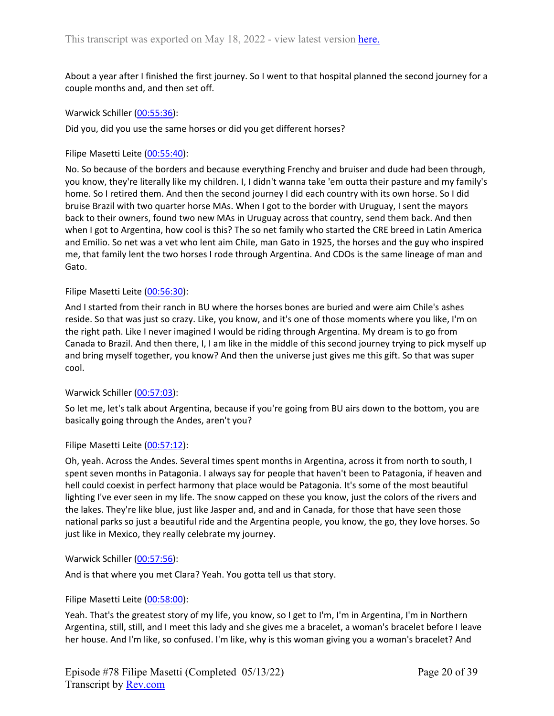About a year after I finished the first journey. So I went to that hospital planned the second journey for a couple months and, and then set off.

Warwick Schiller ([00:55:36\)](https://www.rev.com/transcript-editor/Edit?token=N2vmMpKna4xI4kumE6yf8z7AzyAEOKM3W718ATcyQnEiRPJi5CXiAzFm9E142r5Iv1Q6paHHsO2JzPVle_lG7IMBaEg&loadFrom=DocumentDeeplink&ts=3336.89):

Did you, did you use the same horses or did you get different horses?

Filipe Masetti Leite ([00:55:40](https://www.rev.com/transcript-editor/Edit?token=yBnlpEnKBSif9oxzElk9q-3YkizWdlBwsvvmC8Yw5sRbpfsjwto0Zk66ycdGiOWO_sB_8SGEDoptt78un-ZJk_6t5Vo&loadFrom=DocumentDeeplink&ts=3340.48)):

No. So because of the borders and because everything Frenchy and bruiser and dude had been through, you know, they're literally like my children. I, I didn't wanna take 'em outta their pasture and my family's home. So I retired them. And then the second journey I did each country with its own horse. So I did bruise Brazil with two quarter horse MAs. When I got to the border with Uruguay, I sent the mayors back to their owners, found two new MAs in Uruguay across that country, send them back. And then when I got to Argentina, how cool is this? The so net family who started the CRE breed in Latin America and Emilio. So net was a vet who lent aim Chile, man Gato in 1925, the horses and the guy who inspired me, that family lent the two horses I rode through Argentina. And CDOs is the same lineage of man and Gato.

#### Filipe Masetti Leite ([00:56:30](https://www.rev.com/transcript-editor/Edit?token=xkuDV7lXeLo3Lg8ohPnDdQA00pGG8ssLpSirF3woDohIRF-dvwBlxp0tDCITc9dD06JtI-nyegHVHT1A7b5bVvnQWLc&loadFrom=DocumentDeeplink&ts=3390.86)):

And I started from their ranch in BU where the horses bones are buried and were aim Chile's ashes reside. So that was just so crazy. Like, you know, and it's one of those moments where you like, I'm on the right path. Like I never imagined I would be riding through Argentina. My dream is to go from Canada to Brazil. And then there, I, I am like in the middle of this second journey trying to pick myself up and bring myself together, you know? And then the universe just gives me this gift. So that was super cool.

## Warwick Schiller ([00:57:03\)](https://www.rev.com/transcript-editor/Edit?token=NGiLY6DNuvXqXqZV2Jbpr5IYIPIywXAXhIc6uU9n-dS82OUVgiCmPbV9vD1sroXmXyhTsdPyLHf8qek8CngTbyImoBQ&loadFrom=DocumentDeeplink&ts=3423.739):

So let me, let's talk about Argentina, because if you're going from BU airs down to the bottom, you are basically going through the Andes, aren't you?

#### Filipe Masetti Leite ([00:57:12](https://www.rev.com/transcript-editor/Edit?token=b4VKGjNdPNLkVCuf4JTOKvqWy52UOZLqoaeV7-jckiE4IzMYB926MbIUZmVCOEu_NfgIK7l6JXrV4zB2gBH7ORFIUSA&loadFrom=DocumentDeeplink&ts=3432.34)):

Oh, yeah. Across the Andes. Several times spent months in Argentina, across it from north to south, I spent seven months in Patagonia. I always say for people that haven't been to Patagonia, if heaven and hell could coexist in perfect harmony that place would be Patagonia. It's some of the most beautiful lighting I've ever seen in my life. The snow capped on these you know, just the colors of the rivers and the lakes. They're like blue, just like Jasper and, and and in Canada, for those that have seen those national parks so just a beautiful ride and the Argentina people, you know, the go, they love horses. So just like in Mexico, they really celebrate my journey.

#### Warwick Schiller ([00:57:56\)](https://www.rev.com/transcript-editor/Edit?token=gwBk7rNQyQ6C56Mj0CiH-jROqyWsfyFSwMzetIXCFQ91_6Z0ZjWu5g9_zYiOeIk9gjKEbcJUs7ewq-rVdoYN9KB7aLk&loadFrom=DocumentDeeplink&ts=3476.42):

And is that where you met Clara? Yeah. You gotta tell us that story.

## Filipe Masetti Leite ([00:58:00](https://www.rev.com/transcript-editor/Edit?token=537RMsQiHbzRJ-EziRYL1wemj7VXdsBGoD5Ock0lljwwP-aXnOViXSyRJruRHK1VyeAbjiRr1z2YUhIHmw0JCNo31eo&loadFrom=DocumentDeeplink&ts=3480.64)):

Yeah. That's the greatest story of my life, you know, so I get to I'm, I'm in Argentina, I'm in Northern Argentina, still, still, and I meet this lady and she gives me a bracelet, a woman's bracelet before I leave her house. And I'm like, so confused. I'm like, why is this woman giving you a woman's bracelet? And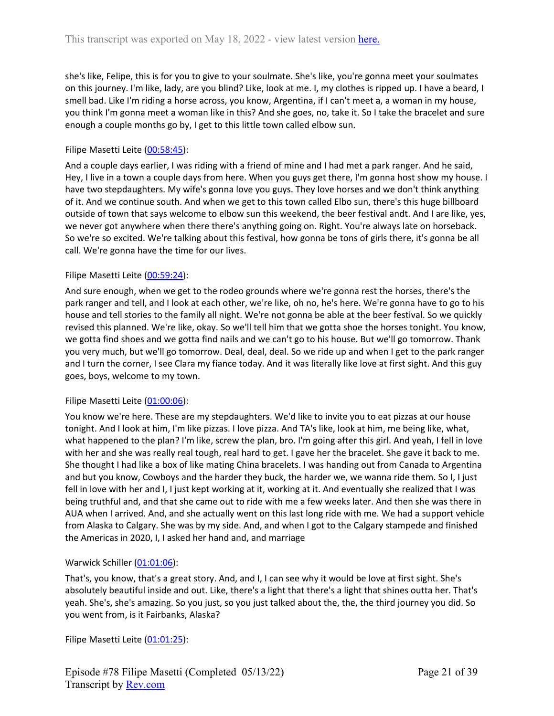she's like, Felipe, this is for you to give to your soulmate. She's like, you're gonna meet your soulmates on this journey. I'm like, lady, are you blind? Like, look at me. I, my clothes is ripped up. I have a beard, I smell bad. Like I'm riding a horse across, you know, Argentina, if I can't meet a, a woman in my house, you think I'm gonna meet a woman like in this? And she goes, no, take it. So I take the bracelet and sure enough a couple months go by, I get to this little town called elbow sun.

# Filipe Masetti Leite ([00:58:45](https://www.rev.com/transcript-editor/Edit?token=Zk7RdS8fJJ9IC90oxfnW8otRx9vhhRH94aWq3EuIdlEKHP0FG0djrMgkl5Z0xiMlX2M9pRtp5V0mXmz2-ONj9bvvzOM&loadFrom=DocumentDeeplink&ts=3525.21)):

And a couple days earlier, I was riding with a friend of mine and I had met a park ranger. And he said, Hey, I live in a town a couple days from here. When you guys get there, I'm gonna host show my house. I have two stepdaughters. My wife's gonna love you guys. They love horses and we don't think anything of it. And we continue south. And when we get to this town called Elbo sun, there's this huge billboard outside of town that says welcome to elbow sun this weekend, the beer festival andt. And I are like, yes, we never got anywhere when there there's anything going on. Right. You're always late on horseback. So we're so excited. We're talking about this festival, how gonna be tons of girls there, it's gonna be all call. We're gonna have the time for our lives.

## Filipe Masetti Leite ([00:59:24](https://www.rev.com/transcript-editor/Edit?token=KE29KwE9J1TmJcxJx9BKWWe0d7CR8ZmZYIMzn2NQ3xlj2xBtrEXX8ZGYG0ONgUufqGurcnWnZuPjsgJyqVwvFdml23A&loadFrom=DocumentDeeplink&ts=3564.82)):

And sure enough, when we get to the rodeo grounds where we're gonna rest the horses, there's the park ranger and tell, and I look at each other, we're like, oh no, he's here. We're gonna have to go to his house and tell stories to the family all night. We're not gonna be able at the beer festival. So we quickly revised this planned. We're like, okay. So we'll tell him that we gotta shoe the horses tonight. You know, we gotta find shoes and we gotta find nails and we can't go to his house. But we'll go tomorrow. Thank you very much, but we'll go tomorrow. Deal, deal, deal. So we ride up and when I get to the park ranger and I turn the corner, I see Clara my fiance today. And it was literally like love at first sight. And this guy goes, boys, welcome to my town.

## Filipe Masetti Leite ([01:00:06](https://www.rev.com/transcript-editor/Edit?token=ebdlWJ3Nrxi3-TGe771riWb2ecvTNiUPBAMkfaVeDTxBWjhSy8f9M6Zyx2CDgvXkagvszirixHvkHPq1YJF1B1xwcP8&loadFrom=DocumentDeeplink&ts=3606.52)):

You know we're here. These are my stepdaughters. We'd like to invite you to eat pizzas at our house tonight. And I look at him, I'm like pizzas. I love pizza. And TA's like, look at him, me being like, what, what happened to the plan? I'm like, screw the plan, bro. I'm going after this girl. And yeah, I fell in love with her and she was really real tough, real hard to get. I gave her the bracelet. She gave it back to me. She thought I had like a box of like mating China bracelets. I was handing out from Canada to Argentina and but you know, Cowboys and the harder they buck, the harder we, we wanna ride them. So I, I just fell in love with her and I, I just kept working at it, working at it. And eventually she realized that I was being truthful and, and that she came out to ride with me a few weeks later. And then she was there in AUA when I arrived. And, and she actually went on this last long ride with me. We had a support vehicle from Alaska to Calgary. She was by my side. And, and when I got to the Calgary stampede and finished the Americas in 2020, I, I asked her hand and, and marriage

# Warwick Schiller ([01:01:06\)](https://www.rev.com/transcript-editor/Edit?token=l5GtBUfYHCEIG6csZRpLlBsdg5zvewTeXIfqGmt3Tii92ml38dkVhWuV_XCK6_zcI3WDNecMOEyXz-1kkiEs1IHZlgY&loadFrom=DocumentDeeplink&ts=3666.26):

That's, you know, that's a great story. And, and I, I can see why it would be love at first sight. She's absolutely beautiful inside and out. Like, there's a light that there's a light that shines outta her. That's yeah. She's, she's amazing. So you just, so you just talked about the, the, the third journey you did. So you went from, is it Fairbanks, Alaska?

Filipe Masetti Leite ([01:01:25](https://www.rev.com/transcript-editor/Edit?token=59WM0WCM5zqbGeIYikuPSz7jSEBTCXO5R_6N7KkrE_CN1soTg3ICZDk1vD6GXUzJ34bG-2x61Zjmb1QVTa-vEsjay2o&loadFrom=DocumentDeeplink&ts=3685.84)):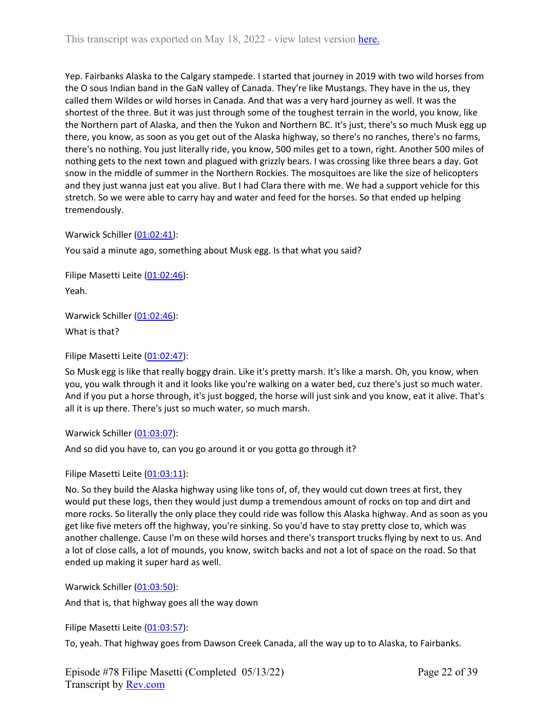Yep. Fairbanks Alaska to the Calgary stampede. I started that journey in 2019 with two wild horses from the O sous Indian band in the GaN valley of Canada. They're like Mustangs. They have in the us, they called them Wildes or wild horses in Canada. And that was a very hard journey as well. It was the shortest of the three. But it was just through some of the toughest terrain in the world, you know, like the Northern part of Alaska, and then the Yukon and Northern BC. It's just, there's so much Musk egg up there, you know, as soon as you get out of the Alaska highway, so there's no ranches, there's no farms, there's no nothing. You just literally ride, you know, 500 miles get to a town, right. Another 500 miles of nothing gets to the next town and plagued with grizzly bears. I was crossing like three bears a day. Got snow in the middle of summer in the Northern Rockies. The mosquitoes are like the size of helicopters and they just wanna just eat you alive. But I had Clara there with me. We had a support vehicle for this stretch. So we were able to carry hay and water and feed for the horses. So that ended up helping tremendously.

Warwick Schiller ([01:02:41\)](https://www.rev.com/transcript-editor/Edit?token=CJipdZlp0r31xB_oHirORmVQKLVCKoBYeuCyuq5ZoiUDVfMDD4uOrDLG-qIjL62DE6ixQGl4kc1-1KKvD03RgIOMeuY&loadFrom=DocumentDeeplink&ts=3761.59):

You said a minute ago, something about Musk egg. Is that what you said?

Filipe Masetti Leite ([01:02:46](https://www.rev.com/transcript-editor/Edit?token=xlj0qV4HTUcACNZWb0hLie9X67FNiJaKhNL4FZ4uW1334E105JfUU4mVVjWh-s5gX4o53iGCk0KwcgncovlPJctrRvE&loadFrom=DocumentDeeplink&ts=3766.24)): Yeah.

Warwick Schiller ([01:02:46\)](https://www.rev.com/transcript-editor/Edit?token=8AoOyRcJcvjJGeZzYo3KuQrcRb30G3GK0UOqe7-0ZeR_j1Vd5wj6Sk1sVu8nIAH6BtYihjd9RGymZfHDh5Vn3XvQj1U&loadFrom=DocumentDeeplink&ts=3766.68):

What is that?

Filipe Masetti Leite ([01:02:47](https://www.rev.com/transcript-editor/Edit?token=Fkl2xpC-0ODTtinFRrG0CYUu9B9n0bclpybUF6Mj3ZmRgGBvMv-IiSZ8X9fP2ENJ96b0Z69L37plLRy_mIwwR9N924k&loadFrom=DocumentDeeplink&ts=3767.96)):

So Musk egg is like that really boggy drain. Like it's pretty marsh. It's like a marsh. Oh, you know, when you, you walk through it and it looks like you're walking on a water bed, cuz there's just so much water. And if you put a horse through, it's just bogged, the horse will just sink and you know, eat it alive. That's all it is up there. There's just so much water, so much marsh.

Warwick Schiller ([01:03:07\)](https://www.rev.com/transcript-editor/Edit?token=lCShyDbqpY1inmQirEo3Qt8HM-eNdPNHMlGJaX-OXU4tYvfN1XHiKe5npbAs2Jb7J6VFKHdvstcuj1vyXxUwrgZc_nI&loadFrom=DocumentDeeplink&ts=3787.97):

And so did you have to, can you go around it or you gotta go through it?

Filipe Masetti Leite ([01:03:11](https://www.rev.com/transcript-editor/Edit?token=ayaVzPWIIWBIhpeAZWYNaKWvOiHbf5mDna3ZedstGUc0NBoL6tgMYdwnmGNs_GHPWNBPClSh7yjcrdCpLR7q1xof83g&loadFrom=DocumentDeeplink&ts=3791.93)):

No. So they build the Alaska highway using like tons of, of, they would cut down trees at first, they would put these logs, then they would just dump a tremendous amount of rocks on top and dirt and more rocks. So literally the only place they could ride was follow this Alaska highway. And as soon as you get like five meters off the highway, you're sinking. So you'd have to stay pretty close to, which was another challenge. Cause I'm on these wild horses and there's transport trucks flying by next to us. And a lot of close calls, a lot of mounds, you know, switch backs and not a lot of space on the road. So that ended up making it super hard as well.

Warwick Schiller ([01:03:50\)](https://www.rev.com/transcript-editor/Edit?token=G0FJW1mUiv0wnSVDdVlbiHUhg_saj3nfRaSf2xqZFEg_WosgQwA79Wq-mzOU5_WnF4T8PedGZFlRZhdaAHNqTYcQY5Q&loadFrom=DocumentDeeplink&ts=3830.97):

And that is, that highway goes all the way down

Filipe Masetti Leite ([01:03:57](https://www.rev.com/transcript-editor/Edit?token=42sJJDDQ3lDPvkjU-e9Adcv7Zq0tpYTCglZMgnnMN1L8eoT26UhN0Sb4A8qNMoguuAhx5HsK7ETbqt2LCyZ0Xjkn6CE&loadFrom=DocumentDeeplink&ts=3837.09)):

To, yeah. That highway goes from Dawson Creek Canada, all the way up to to Alaska, to Fairbanks.

Episode #78 Filipe Masetti (Completed 05/13/22) Transcript by [Rev.com](https://www.rev.com/)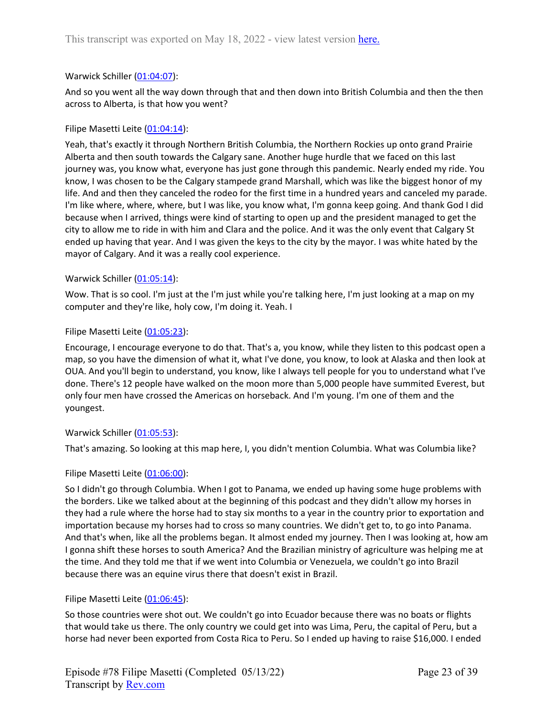# Warwick Schiller ([01:04:07\)](https://www.rev.com/transcript-editor/Edit?token=3tFLp8b2auj0qmOLVtd7iGO9OQsuZUtfXNuv8pzv62dpIsRQsiJv8hZ-PF9_jtxbTuAJSvu-mmXtQ900D67C94eHdsk&loadFrom=DocumentDeeplink&ts=3847.12):

And so you went all the way down through that and then down into British Columbia and then the then across to Alberta, is that how you went?

## Filipe Masetti Leite ([01:04:14](https://www.rev.com/transcript-editor/Edit?token=7duYN7R0LS4RJ9UPCpIRA_jEBzHTI0asfGEctTflui51ytzP2TSHf99SMm6G73E8upz0WmI3FVGpjtZwykcPI8Xbc2k&loadFrom=DocumentDeeplink&ts=3854.16)):

Yeah, that's exactly it through Northern British Columbia, the Northern Rockies up onto grand Prairie Alberta and then south towards the Calgary sane. Another huge hurdle that we faced on this last journey was, you know what, everyone has just gone through this pandemic. Nearly ended my ride. You know, I was chosen to be the Calgary stampede grand Marshall, which was like the biggest honor of my life. And and then they canceled the rodeo for the first time in a hundred years and canceled my parade. I'm like where, where, where, but I was like, you know what, I'm gonna keep going. And thank God I did because when I arrived, things were kind of starting to open up and the president managed to get the city to allow me to ride in with him and Clara and the police. And it was the only event that Calgary St ended up having that year. And I was given the keys to the city by the mayor. I was white hated by the mayor of Calgary. And it was a really cool experience.

## Warwick Schiller ([01:05:14\)](https://www.rev.com/transcript-editor/Edit?token=5pcb3XuGArsccuSAfHI65oZBhkxanpHwFiXpEJvNwneenr-_RmLriSnOwGBkeX84hbet742ALACl2BWtZc-iAVNAbFg&loadFrom=DocumentDeeplink&ts=3914.88):

Wow. That is so cool. I'm just at the I'm just while you're talking here, I'm just looking at a map on my computer and they're like, holy cow, I'm doing it. Yeah. I

## Filipe Masetti Leite ([01:05:23](https://www.rev.com/transcript-editor/Edit?token=o_WBroINj3_ANitFPh2ZmKjmSCj-zixtBwKe0GUnMMfeed7X2_IEthB2hLBTW8kan8euk1-P5uTwWyRY1b0NjZL_Irc&loadFrom=DocumentDeeplink&ts=3923.24)):

Encourage, I encourage everyone to do that. That's a, you know, while they listen to this podcast open a map, so you have the dimension of what it, what I've done, you know, to look at Alaska and then look at OUA. And you'll begin to understand, you know, like I always tell people for you to understand what I've done. There's 12 people have walked on the moon more than 5,000 people have summited Everest, but only four men have crossed the Americas on horseback. And I'm young. I'm one of them and the youngest.

# Warwick Schiller ([01:05:53\)](https://www.rev.com/transcript-editor/Edit?token=m_kBdHFcFr-EVXKFTINfKSsvX8d0jk1Ih4WIHkbD4X-NYnWqb1nLuW6iDAbTAe_39z8GvlkrL4-qQR52nMq9ZVcSeYg&loadFrom=DocumentDeeplink&ts=3953.97):

That's amazing. So looking at this map here, I, you didn't mention Columbia. What was Columbia like?

# Filipe Masetti Leite ([01:06:00](https://www.rev.com/transcript-editor/Edit?token=-lcGKPpK2WFlDGEPwrGPwUCiTMsF-yuCZDec9I2tTFpHaqf_5oKUspLnd_k0QT3GlGbkmpsUpq1msLIJGufNf_iafRA&loadFrom=DocumentDeeplink&ts=3960.84)):

So I didn't go through Columbia. When I got to Panama, we ended up having some huge problems with the borders. Like we talked about at the beginning of this podcast and they didn't allow my horses in they had a rule where the horse had to stay six months to a year in the country prior to exportation and importation because my horses had to cross so many countries. We didn't get to, to go into Panama. And that's when, like all the problems began. It almost ended my journey. Then I was looking at, how am I gonna shift these horses to south America? And the Brazilian ministry of agriculture was helping me at the time. And they told me that if we went into Columbia or Venezuela, we couldn't go into Brazil because there was an equine virus there that doesn't exist in Brazil.

# Filipe Masetti Leite ([01:06:45](https://www.rev.com/transcript-editor/Edit?token=wsv5c9TT_qQaY-kCPkUN9ExcQo7EFL_p6lbeNFZw3mBSJiiJNSFAmNZmiSBcU81S7P2RhXabMuWNzdAflzjUlhwun7s&loadFrom=DocumentDeeplink&ts=4005.18)):

So those countries were shot out. We couldn't go into Ecuador because there was no boats or flights that would take us there. The only country we could get into was Lima, Peru, the capital of Peru, but a horse had never been exported from Costa Rica to Peru. So I ended up having to raise \$16,000. I ended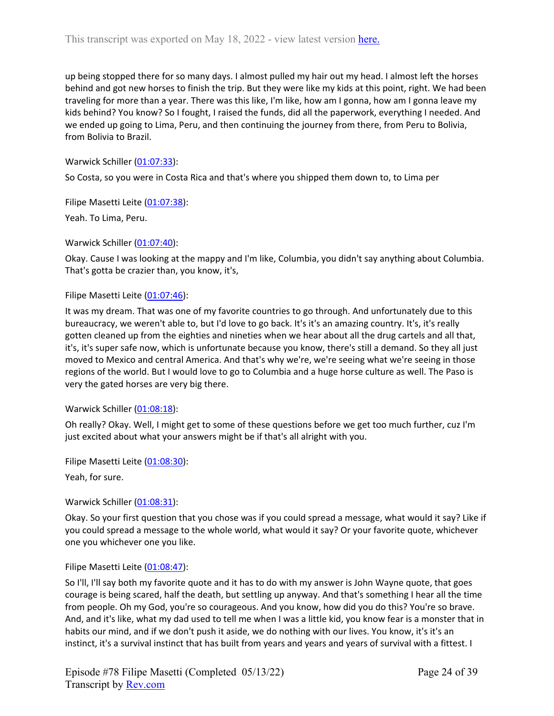up being stopped there for so many days. I almost pulled my hair out my head. I almost left the horses behind and got new horses to finish the trip. But they were like my kids at this point, right. We had been traveling for more than a year. There was this like, I'm like, how am I gonna, how am I gonna leave my kids behind? You know? So I fought, I raised the funds, did all the paperwork, everything I needed. And we ended up going to Lima, Peru, and then continuing the journey from there, from Peru to Bolivia, from Bolivia to Brazil.

Warwick Schiller ([01:07:33\)](https://www.rev.com/transcript-editor/Edit?token=3asnIO4KF3n1eHG0pKtDcuXjlytJFo8GFRDvnJvrlmtoLSCmW4Tt1Q0KsXEjdV6FTYiZ-Z-tLWS1JTZUwsTILpIk96Y&loadFrom=DocumentDeeplink&ts=4053.26):

So Costa, so you were in Costa Rica and that's where you shipped them down to, to Lima per

Filipe Masetti Leite ([01:07:38](https://www.rev.com/transcript-editor/Edit?token=y0h9IJLDkoq0wmKQk-DT6K920qniALI80r06KCzI41Jo59YS3NtYIZa-X87or6NrEg1g23Y7ZgE9Hs4S5O9zXhuQWZQ&loadFrom=DocumentDeeplink&ts=4058.36)):

Yeah. To Lima, Peru.

Warwick Schiller ([01:07:40\)](https://www.rev.com/transcript-editor/Edit?token=kStlSqi5RtfpU8WHZtxbzSxw_zG7-mxm-7yplyRCwZKMYPJApm0lpFXzW2GloeQoWJRc31oKkddLBe-aFG39Pz0rYFo&loadFrom=DocumentDeeplink&ts=4060.04):

Okay. Cause I was looking at the mappy and I'm like, Columbia, you didn't say anything about Columbia. That's gotta be crazier than, you know, it's,

## Filipe Masetti Leite ([01:07:46](https://www.rev.com/transcript-editor/Edit?token=DpQDz3W5JhqRQjdyEl4AsE6B0awiOoFBawPAJGdPVW6huVLlOLrPzN9JTaNn55iCIzxUi-jh069iWH6Wm2pAl6w1WaM&loadFrom=DocumentDeeplink&ts=4066.92)):

It was my dream. That was one of my favorite countries to go through. And unfortunately due to this bureaucracy, we weren't able to, but I'd love to go back. It's it's an amazing country. It's, it's really gotten cleaned up from the eighties and nineties when we hear about all the drug cartels and all that, it's, it's super safe now, which is unfortunate because you know, there's still a demand. So they all just moved to Mexico and central America. And that's why we're, we're seeing what we're seeing in those regions of the world. But I would love to go to Columbia and a huge horse culture as well. The Paso is very the gated horses are very big there.

## Warwick Schiller ([01:08:18\)](https://www.rev.com/transcript-editor/Edit?token=E2UKa878VDlg2qpjajDKzc8S-txDbLapJ7YPbORF2mSpxqJuc-f6ka4iAqVnj7h0bLJ5JnBPrLY35DZVaTecmBa_gB4&loadFrom=DocumentDeeplink&ts=4098.56):

Oh really? Okay. Well, I might get to some of these questions before we get too much further, cuz I'm just excited about what your answers might be if that's all alright with you.

Filipe Masetti Leite ([01:08:30](https://www.rev.com/transcript-editor/Edit?token=AP_AgvHQofCjBzaCxoAcfl3Khc4B3uACcHIoAQNwgBoIBQv9PPf-NkQbhG_zPArXk51C-45xr0qc670tivVGlvT6dTM&loadFrom=DocumentDeeplink&ts=4110.939)): Yeah, for sure.

Warwick Schiller ([01:08:31\)](https://www.rev.com/transcript-editor/Edit?token=zZYQCS3RsyXc_av8d8KPRho8OJSiYGUk9qFe4KH1Jm93gnh7f6URUs1Yqz1ldBZWOM6CDF6bGCeL63qUTcULlTNaARI&loadFrom=DocumentDeeplink&ts=4111.9):

Okay. So your first question that you chose was if you could spread a message, what would it say? Like if you could spread a message to the whole world, what would it say? Or your favorite quote, whichever one you whichever one you like.

## Filipe Masetti Leite ([01:08:47](https://www.rev.com/transcript-editor/Edit?token=XyU756nByPKxmDzPXiStgxA-LaTs3kUbY0T7poIw06JpUaQbXxRkwhZH9qOuj8flGnmzV6BgiYlHvn9hyT-usLUsips&loadFrom=DocumentDeeplink&ts=4127.55)):

So I'll, I'll say both my favorite quote and it has to do with my answer is John Wayne quote, that goes courage is being scared, half the death, but settling up anyway. And that's something I hear all the time from people. Oh my God, you're so courageous. And you know, how did you do this? You're so brave. And, and it's like, what my dad used to tell me when I was a little kid, you know fear is a monster that in habits our mind, and if we don't push it aside, we do nothing with our lives. You know, it's it's an instinct, it's a survival instinct that has built from years and years and years of survival with a fittest. I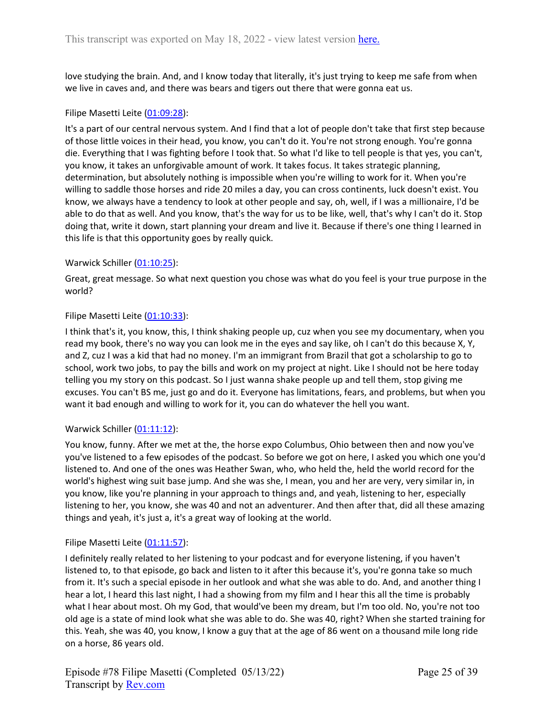love studying the brain. And, and I know today that literally, it's just trying to keep me safe from when we live in caves and, and there was bears and tigers out there that were gonna eat us.

## Filipe Masetti Leite ([01:09:28](https://www.rev.com/transcript-editor/Edit?token=2wD5YzN6rh7pYL9-TfZCCXeg1tSt6VXVAV8nbTvgJRhRVPgCr_nmwJlIctDPd8JfRdJZlMf3d1gQi8W9QzqZoVJNHHQ&loadFrom=DocumentDeeplink&ts=4168.23)):

It's a part of our central nervous system. And I find that a lot of people don't take that first step because of those little voices in their head, you know, you can't do it. You're not strong enough. You're gonna die. Everything that I was fighting before I took that. So what I'd like to tell people is that yes, you can't, you know, it takes an unforgivable amount of work. It takes focus. It takes strategic planning, determination, but absolutely nothing is impossible when you're willing to work for it. When you're willing to saddle those horses and ride 20 miles a day, you can cross continents, luck doesn't exist. You know, we always have a tendency to look at other people and say, oh, well, if I was a millionaire, I'd be able to do that as well. And you know, that's the way for us to be like, well, that's why I can't do it. Stop doing that, write it down, start planning your dream and live it. Because if there's one thing I learned in this life is that this opportunity goes by really quick.

## Warwick Schiller ([01:10:25\)](https://www.rev.com/transcript-editor/Edit?token=UojX9BEbExS9BZsIZDA0DrSak-gcOpqwXbgvjcedvbwhwZoPEf23bGI8a4gInGp3wP2Aq1NKKw3GsefP8w3Y68apozI&loadFrom=DocumentDeeplink&ts=4225.33):

Great, great message. So what next question you chose was what do you feel is your true purpose in the world?

## Filipe Masetti Leite ([01:10:33](https://www.rev.com/transcript-editor/Edit?token=JZarq6Q2l5bhGUIzCo9Q4e-2YlucM9XU4EoOVVZVugASYgiDsm0tNJ_XGbFeSESP0hibOlc7gMZjJLzjP8N1uHaIqMQ&loadFrom=DocumentDeeplink&ts=4233.85)):

I think that's it, you know, this, I think shaking people up, cuz when you see my documentary, when you read my book, there's no way you can look me in the eyes and say like, oh I can't do this because X, Y, and Z, cuz I was a kid that had no money. I'm an immigrant from Brazil that got a scholarship to go to school, work two jobs, to pay the bills and work on my project at night. Like I should not be here today telling you my story on this podcast. So I just wanna shake people up and tell them, stop giving me excuses. You can't BS me, just go and do it. Everyone has limitations, fears, and problems, but when you want it bad enough and willing to work for it, you can do whatever the hell you want.

## Warwick Schiller ([01:11:12\)](https://www.rev.com/transcript-editor/Edit?token=ZxZgG-dPKm8pYiffY0xLScD0ilVV1V5lxtAZ00fCnYxFhLEID0z1WxsUSb6nH0Yqb_VQQHro1peeE0cEnFo14_jGIzU&loadFrom=DocumentDeeplink&ts=4272.7):

You know, funny. After we met at the, the horse expo Columbus, Ohio between then and now you've you've listened to a few episodes of the podcast. So before we got on here, I asked you which one you'd listened to. And one of the ones was Heather Swan, who, who held the, held the world record for the world's highest wing suit base jump. And she was she, I mean, you and her are very, very similar in, in you know, like you're planning in your approach to things and, and yeah, listening to her, especially listening to her, you know, she was 40 and not an adventurer. And then after that, did all these amazing things and yeah, it's just a, it's a great way of looking at the world.

## Filipe Masetti Leite ([01:11:57](https://www.rev.com/transcript-editor/Edit?token=OBZuK4UCLzlAb6ZylkhDxw2yj9k_1jcCPNCMozlu6R-wonl6ghleLCQn1_K9VhxlvBMv4dksxqbQWc9cJSwsCMDdTKY&loadFrom=DocumentDeeplink&ts=4317.39)):

I definitely really related to her listening to your podcast and for everyone listening, if you haven't listened to, to that episode, go back and listen to it after this because it's, you're gonna take so much from it. It's such a special episode in her outlook and what she was able to do. And, and another thing I hear a lot, I heard this last night, I had a showing from my film and I hear this all the time is probably what I hear about most. Oh my God, that would've been my dream, but I'm too old. No, you're not too old age is a state of mind look what she was able to do. She was 40, right? When she started training for this. Yeah, she was 40, you know, I know a guy that at the age of 86 went on a thousand mile long ride on a horse, 86 years old.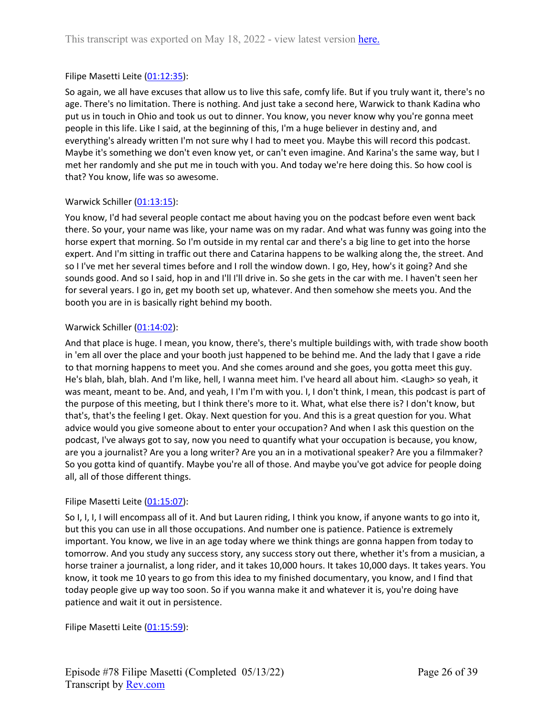## Filipe Masetti Leite ([01:12:35](https://www.rev.com/transcript-editor/Edit?token=eZqND87lbtSNelWjigZQgyN4dZTPErBAdyeXuDb6JWAdJGR1ud7CyiPFEMxfgB5Jqu3RajrQJ4ExtZzPhaMF0ynFX-g&loadFrom=DocumentDeeplink&ts=4355.83)):

So again, we all have excuses that allow us to live this safe, comfy life. But if you truly want it, there's no age. There's no limitation. There is nothing. And just take a second here, Warwick to thank Kadina who put us in touch in Ohio and took us out to dinner. You know, you never know why you're gonna meet people in this life. Like I said, at the beginning of this, I'm a huge believer in destiny and, and everything's already written I'm not sure why I had to meet you. Maybe this will record this podcast. Maybe it's something we don't even know yet, or can't even imagine. And Karina's the same way, but I met her randomly and she put me in touch with you. And today we're here doing this. So how cool is that? You know, life was so awesome.

## Warwick Schiller ([01:13:15\)](https://www.rev.com/transcript-editor/Edit?token=tIDYjzm2RFY7Sn_tTPbJz0fh7rJVqKmi5eOYLBbGYievqR2XmQhOE83LDFLV5y0DqS6wQtgc8zyS-A4mtIn2QBOEXB4&loadFrom=DocumentDeeplink&ts=4395.09):

You know, I'd had several people contact me about having you on the podcast before even went back there. So your, your name was like, your name was on my radar. And what was funny was going into the horse expert that morning. So I'm outside in my rental car and there's a big line to get into the horse expert. And I'm sitting in traffic out there and Catarina happens to be walking along the, the street. And so I I've met her several times before and I roll the window down. I go, Hey, how's it going? And she sounds good. And so I said, hop in and I'll I'll drive in. So she gets in the car with me. I haven't seen her for several years. I go in, get my booth set up, whatever. And then somehow she meets you. And the booth you are in is basically right behind my booth.

## Warwick Schiller ([01:14:02\)](https://www.rev.com/transcript-editor/Edit?token=qYE3O1VaqLq2vMrLrL1WNsEPqyO7nSOzxKfooYJfoIxysWLWRhK2YhlNwoQpUSj8NhZIBZ8r1kG4d0wjzRQjL8zu8oU&loadFrom=DocumentDeeplink&ts=4442.189):

And that place is huge. I mean, you know, there's, there's multiple buildings with, with trade show booth in 'em all over the place and your booth just happened to be behind me. And the lady that I gave a ride to that morning happens to meet you. And she comes around and she goes, you gotta meet this guy. He's blah, blah, blah. And I'm like, hell, I wanna meet him. I've heard all about him. <Laugh> so yeah, it was meant, meant to be. And, and yeah, I I'm I'm with you. I, I don't think, I mean, this podcast is part of the purpose of this meeting, but I think there's more to it. What, what else there is? I don't know, but that's, that's the feeling I get. Okay. Next question for you. And this is a great question for you. What advice would you give someone about to enter your occupation? And when I ask this question on the podcast, I've always got to say, now you need to quantify what your occupation is because, you know, are you a journalist? Are you a long writer? Are you an in a motivational speaker? Are you a filmmaker? So you gotta kind of quantify. Maybe you're all of those. And maybe you've got advice for people doing all, all of those different things.

## Filipe Masetti Leite ([01:15:07](https://www.rev.com/transcript-editor/Edit?token=r591dP6sNrBzjRUjwduME7Mpv2l9Il1Gr-EZuhVDb4O6yHmtZPj_KntmpzcTtCMFTynmeJfAq6qS9d023nvjZL4KWSU&loadFrom=DocumentDeeplink&ts=4507.17)):

So I, I, I, I will encompass all of it. And but Lauren riding, I think you know, if anyone wants to go into it, but this you can use in all those occupations. And number one is patience. Patience is extremely important. You know, we live in an age today where we think things are gonna happen from today to tomorrow. And you study any success story, any success story out there, whether it's from a musician, a horse trainer a journalist, a long rider, and it takes 10,000 hours. It takes 10,000 days. It takes years. You know, it took me 10 years to go from this idea to my finished documentary, you know, and I find that today people give up way too soon. So if you wanna make it and whatever it is, you're doing have patience and wait it out in persistence.

Filipe Masetti Leite ([01:15:59](https://www.rev.com/transcript-editor/Edit?token=KHywi_4Y9qJs37JQxlgX63KAoJNgAD6qx4g8XrmC1IWfcvH54RiNQT_pXyxfDkyPIZBxnSnjh8-Ew4wR-NX6j-Cni1E&loadFrom=DocumentDeeplink&ts=4559.25)):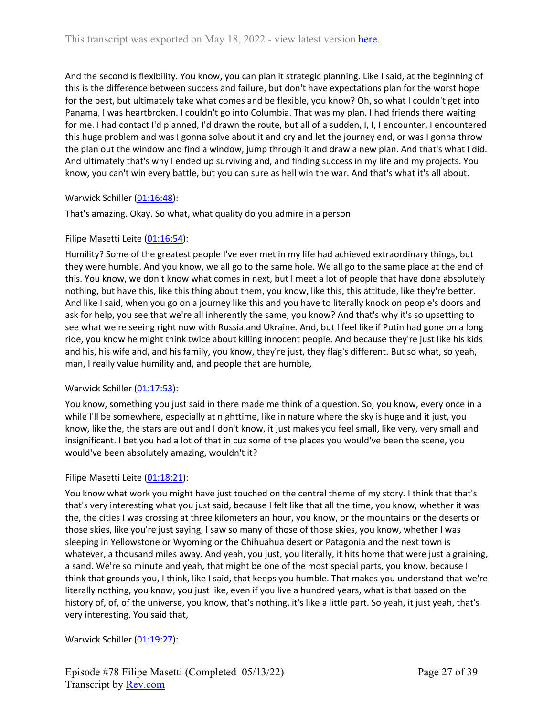And the second is flexibility. You know, you can plan it strategic planning. Like I said, at the beginning of this is the difference between success and failure, but don't have expectations plan for the worst hope for the best, but ultimately take what comes and be flexible, you know? Oh, so what I couldn't get into Panama, I was heartbroken. I couldn't go into Columbia. That was my plan. I had friends there waiting for me. I had contact I'd planned, I'd drawn the route, but all of a sudden, I, I, I encounter, I encountered this huge problem and was I gonna solve about it and cry and let the journey end, or was I gonna throw the plan out the window and find a window, jump through it and draw a new plan. And that's what I did. And ultimately that's why I ended up surviving and, and finding success in my life and my projects. You know, you can't win every battle, but you can sure as hell win the war. And that's what it's all about.

# Warwick Schiller ([01:16:48\)](https://www.rev.com/transcript-editor/Edit?token=hUbPdHGs5Fwsexfhlf8zLBV9UQN6PMVF2fITtvrBkPMNOVnIMnUorR97oHXDdZaCA5UgbV3hw6-veqPKtvfriYKIydg&loadFrom=DocumentDeeplink&ts=4608.97):

That's amazing. Okay. So what, what quality do you admire in a person

## Filipe Masetti Leite ([01:16:54](https://www.rev.com/transcript-editor/Edit?token=Ld6FM1lNc57LOw8eZAceUHyGd6xvLAi3vuCyCX-vAjmmdN_i2E8-Wmm6pSUVtYVbUbzkG6b2rvQuf8Qo1QFk6yBWFIg&loadFrom=DocumentDeeplink&ts=4614.55)):

Humility? Some of the greatest people I've ever met in my life had achieved extraordinary things, but they were humble. And you know, we all go to the same hole. We all go to the same place at the end of this. You know, we don't know what comes in next, but I meet a lot of people that have done absolutely nothing, but have this, like this thing about them, you know, like this, this attitude, like they're better. And like I said, when you go on a journey like this and you have to literally knock on people's doors and ask for help, you see that we're all inherently the same, you know? And that's why it's so upsetting to see what we're seeing right now with Russia and Ukraine. And, but I feel like if Putin had gone on a long ride, you know he might think twice about killing innocent people. And because they're just like his kids and his, his wife and, and his family, you know, they're just, they flag's different. But so what, so yeah, man, I really value humility and, and people that are humble,

## Warwick Schiller ([01:17:53\)](https://www.rev.com/transcript-editor/Edit?token=3I1lwLwM7go4vBtRCn59lJHgU-rlZCmCeOZu2Fub1yikOAmB8_jcFMApmHw9m609m3CpER2TIX1o1VO6c7XGjmsVapA&loadFrom=DocumentDeeplink&ts=4673.31):

You know, something you just said in there made me think of a question. So, you know, every once in a while I'll be somewhere, especially at nighttime, like in nature where the sky is huge and it just, you know, like the, the stars are out and I don't know, it just makes you feel small, like very, very small and insignificant. I bet you had a lot of that in cuz some of the places you would've been the scene, you would've been absolutely amazing, wouldn't it?

## Filipe Masetti Leite ([01:18:21](https://www.rev.com/transcript-editor/Edit?token=uFd_-NptsPMu1wnsDG9OqgmIXF9A1z2ccw-2TWtdKOtg2lWl7mURe4GDDEKV9My-oFKmVAYrs7hFzzPlK-FCj1a_2aU&loadFrom=DocumentDeeplink&ts=4701.42)):

You know what work you might have just touched on the central theme of my story. I think that that's that's very interesting what you just said, because I felt like that all the time, you know, whether it was the, the cities I was crossing at three kilometers an hour, you know, or the mountains or the deserts or those skies, like you're just saying, I saw so many of those of those skies, you know, whether I was sleeping in Yellowstone or Wyoming or the Chihuahua desert or Patagonia and the next town is whatever, a thousand miles away. And yeah, you just, you literally, it hits home that were just a graining, a sand. We're so minute and yeah, that might be one of the most special parts, you know, because I think that grounds you, I think, like I said, that keeps you humble. That makes you understand that we're literally nothing, you know, you just like, even if you live a hundred years, what is that based on the history of, of, of the universe, you know, that's nothing, it's like a little part. So yeah, it just yeah, that's very interesting. You said that,

Warwick Schiller ([01:19:27\)](https://www.rev.com/transcript-editor/Edit?token=87HdwWLgZ1Vr7EpPSbkEmtMI6PJLq9HuBLFXjx-1m5BlblEz9AhxgfC4VzstdU8wtHHiDmoJOtZ_d_bIdefK_zrSZqU&loadFrom=DocumentDeeplink&ts=4767.479):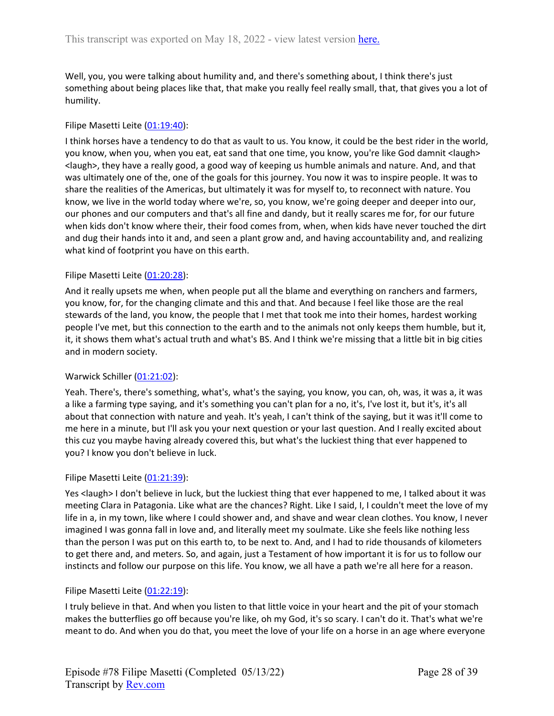Well, you, you were talking about humility and, and there's something about, I think there's just something about being places like that, that make you really feel really small, that, that gives you a lot of humility.

## Filipe Masetti Leite ([01:19:40](https://www.rev.com/transcript-editor/Edit?token=BjWuDIUencUhmiUT9j9Q0fpGA2DiXkTbzyxUJVBstYUgq2C6eXut6ikoqXAgfcPIKhmibbE36m2JXI6dD1hOuLsgCE8&loadFrom=DocumentDeeplink&ts=4780.06)):

I think horses have a tendency to do that as vault to us. You know, it could be the best rider in the world, you know, when you, when you eat, eat sand that one time, you know, you're like God damnit <laugh> <laugh>, they have a really good, a good way of keeping us humble animals and nature. And, and that was ultimately one of the, one of the goals for this journey. You now it was to inspire people. It was to share the realities of the Americas, but ultimately it was for myself to, to reconnect with nature. You know, we live in the world today where we're, so, you know, we're going deeper and deeper into our, our phones and our computers and that's all fine and dandy, but it really scares me for, for our future when kids don't know where their, their food comes from, when, when kids have never touched the dirt and dug their hands into it and, and seen a plant grow and, and having accountability and, and realizing what kind of footprint you have on this earth.

## Filipe Masetti Leite ([01:20:28](https://www.rev.com/transcript-editor/Edit?token=g_AfLIuok7BrS0YpvwwPYlvBC1Jh6Vmz2fsYlLPZs1g0A1JSpdZRz7ld7uURbOs_4Olr0Cvx-PYKG03eosDRk8QC0aA&loadFrom=DocumentDeeplink&ts=4828.34)):

And it really upsets me when, when people put all the blame and everything on ranchers and farmers, you know, for, for the changing climate and this and that. And because I feel like those are the real stewards of the land, you know, the people that I met that took me into their homes, hardest working people I've met, but this connection to the earth and to the animals not only keeps them humble, but it, it, it shows them what's actual truth and what's BS. And I think we're missing that a little bit in big cities and in modern society.

## Warwick Schiller ([01:21:02\)](https://www.rev.com/transcript-editor/Edit?token=O-kBMiVEZoFUZIAJbllSoABH9hvJIXu87c_lwodWKhotMexp6SNE8m066DegeW_zApl6GVVijX1BbYBEjtxdR0hZT-4&loadFrom=DocumentDeeplink&ts=4862.13):

Yeah. There's, there's something, what's, what's the saying, you know, you can, oh, was, it was a, it was a like a farming type saying, and it's something you can't plan for a no, it's, I've lost it, but it's, it's all about that connection with nature and yeah. It's yeah, I can't think of the saying, but it was it'll come to me here in a minute, but I'll ask you your next question or your last question. And I really excited about this cuz you maybe having already covered this, but what's the luckiest thing that ever happened to you? I know you don't believe in luck.

## Filipe Masetti Leite ([01:21:39](https://www.rev.com/transcript-editor/Edit?token=-CpXgOTvsJQA6rUJMVBdvBQ1Mzo7qj5TgQCFTM80FQ8U9fbG3UbH9SGODN_c630fvg5oJQjXx0OBqa_hLFbCkWtU5zY&loadFrom=DocumentDeeplink&ts=4899.99)):

Yes <laugh> I don't believe in luck, but the luckiest thing that ever happened to me, I talked about it was meeting Clara in Patagonia. Like what are the chances? Right. Like I said, I, I couldn't meet the love of my life in a, in my town, like where I could shower and, and shave and wear clean clothes. You know, I never imagined I was gonna fall in love and, and literally meet my soulmate. Like she feels like nothing less than the person I was put on this earth to, to be next to. And, and I had to ride thousands of kilometers to get there and, and meters. So, and again, just a Testament of how important it is for us to follow our instincts and follow our purpose on this life. You know, we all have a path we're all here for a reason.

## Filipe Masetti Leite ([01:22:19](https://www.rev.com/transcript-editor/Edit?token=mieUwllVVgKtM2KGRYytrLQ76SxBwQPQfeO9rMBXfigUBTv4K2xKSDiTNkhgG1xbYy-2MX_rEGOtfNaVq5P3tCxW-mI&loadFrom=DocumentDeeplink&ts=4939.72)):

I truly believe in that. And when you listen to that little voice in your heart and the pit of your stomach makes the butterflies go off because you're like, oh my God, it's so scary. I can't do it. That's what we're meant to do. And when you do that, you meet the love of your life on a horse in an age where everyone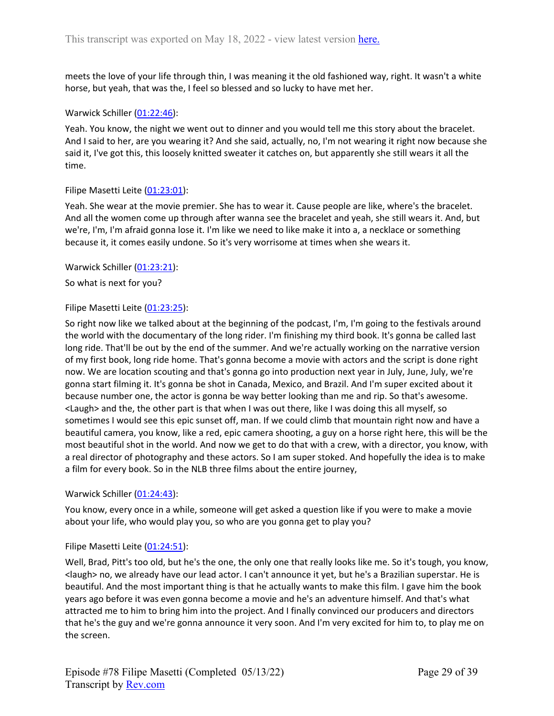meets the love of your life through thin, I was meaning it the old fashioned way, right. It wasn't a white horse, but yeah, that was the, I feel so blessed and so lucky to have met her.

## Warwick Schiller ([01:22:46\)](https://www.rev.com/transcript-editor/Edit?token=fExbz8YJVAHBnmhe0E6e9_Cg6iOzSW435WB6IBML6ExkpFrUU8YYYRMgd7FckYBWTncJgy6cjzHXcSxnKtfxdoQIyjg&loadFrom=DocumentDeeplink&ts=4966.37):

Yeah. You know, the night we went out to dinner and you would tell me this story about the bracelet. And I said to her, are you wearing it? And she said, actually, no, I'm not wearing it right now because she said it, I've got this, this loosely knitted sweater it catches on, but apparently she still wears it all the time.

## Filipe Masetti Leite ([01:23:01](https://www.rev.com/transcript-editor/Edit?token=ekq0gOrVS84TKnpg4KCOe1mv2U6iAdFOPA2SGyUQu-lAU2Q3Dx7DWPy2oH1mju4bZu0VgfGFDS5gi6J9WbTAa8BMPo4&loadFrom=DocumentDeeplink&ts=4981.14)):

Yeah. She wear at the movie premier. She has to wear it. Cause people are like, where's the bracelet. And all the women come up through after wanna see the bracelet and yeah, she still wears it. And, but we're, I'm, I'm afraid gonna lose it. I'm like we need to like make it into a, a necklace or something because it, it comes easily undone. So it's very worrisome at times when she wears it.

## Warwick Schiller ([01:23:21\)](https://www.rev.com/transcript-editor/Edit?token=YYpHQWNujFCdQnjhSDrZG1xTpm6NZOQ7Yijvkxus8D2IU6E1SdA0gQa_uz4KVruuOESREXTosym1T3GiUrGg8JP-8CM&loadFrom=DocumentDeeplink&ts=5001.9):

So what is next for you?

## Filipe Masetti Leite ([01:23:25](https://www.rev.com/transcript-editor/Edit?token=qCwRqQRm8GafqK-8aE-Jw9OR_O-GQ47yhQkoIzn-tIwoxOJhmZW-SMJ5GFq0jKZhLvEWgRUtE5PKmXPR7Y5YAW6j8Ec&loadFrom=DocumentDeeplink&ts=5005.78)):

So right now like we talked about at the beginning of the podcast, I'm, I'm going to the festivals around the world with the documentary of the long rider. I'm finishing my third book. It's gonna be called last long ride. That'll be out by the end of the summer. And we're actually working on the narrative version of my first book, long ride home. That's gonna become a movie with actors and the script is done right now. We are location scouting and that's gonna go into production next year in July, June, July, we're gonna start filming it. It's gonna be shot in Canada, Mexico, and Brazil. And I'm super excited about it because number one, the actor is gonna be way better looking than me and rip. So that's awesome. <Laugh> and the, the other part is that when I was out there, like I was doing this all myself, so sometimes I would see this epic sunset off, man. If we could climb that mountain right now and have a beautiful camera, you know, like a red, epic camera shooting, a guy on a horse right here, this will be the most beautiful shot in the world. And now we get to do that with a crew, with a director, you know, with a real director of photography and these actors. So I am super stoked. And hopefully the idea is to make a film for every book. So in the NLB three films about the entire journey,

## Warwick Schiller ([01:24:43\)](https://www.rev.com/transcript-editor/Edit?token=pJMLLYMDG1w7Nko5tiRujcYVxVVOGbv11Sy0a78EvbYsqG1w4YMVbe3DL4RapsL7YufycGQNbiE-RDL20p5nDn48awU&loadFrom=DocumentDeeplink&ts=5083.06):

You know, every once in a while, someone will get asked a question like if you were to make a movie about your life, who would play you, so who are you gonna get to play you?

## Filipe Masetti Leite ([01:24:51](https://www.rev.com/transcript-editor/Edit?token=sGsRUSUDNYDnyvTK1raMYQpaLBIZEjwDRAhr0R1rcBV0_ZNUIp5dozhosXEG54Jm26uf_Ci6Zj-FUnP-779oCM0bKnk&loadFrom=DocumentDeeplink&ts=5091.82)):

Well, Brad, Pitt's too old, but he's the one, the only one that really looks like me. So it's tough, you know, <laugh> no, we already have our lead actor. I can't announce it yet, but he's a Brazilian superstar. He is beautiful. And the most important thing is that he actually wants to make this film. I gave him the book years ago before it was even gonna become a movie and he's an adventure himself. And that's what attracted me to him to bring him into the project. And I finally convinced our producers and directors that he's the guy and we're gonna announce it very soon. And I'm very excited for him to, to play me on the screen.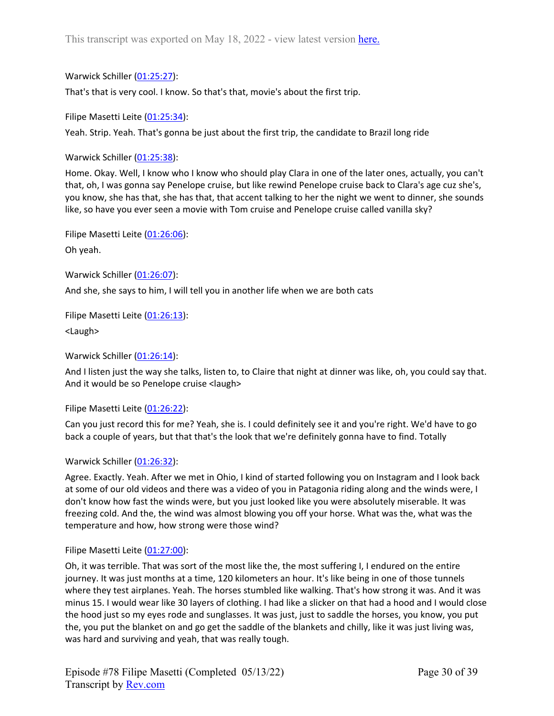Warwick Schiller ([01:25:27\)](https://www.rev.com/transcript-editor/Edit?token=fGHkI2PckeCWjqmuUcT6uhs5bQn_Im637ukR-3kv_Cl2ERpOlRdBjT9y-Dwjv9D0OBK1mO42MPzNDWtGY8YT8Q6pIBA&loadFrom=DocumentDeeplink&ts=5127.35):

That's that is very cool. I know. So that's that, movie's about the first trip.

Filipe Masetti Leite ([01:25:34](https://www.rev.com/transcript-editor/Edit?token=SAHCz3QRalSKcbRBUuQH-lK_B0i4j2pUdBYK3vDE01xoHemcMlwAYOrJaNKHBoyi2RgUMryDAIfIdc2HU9gLHc3aDEI&loadFrom=DocumentDeeplink&ts=5134.87)):

Yeah. Strip. Yeah. That's gonna be just about the first trip, the candidate to Brazil long ride

Warwick Schiller ([01:25:38\)](https://www.rev.com/transcript-editor/Edit?token=2Yh_VIt3rHl0Qbcw-5yI5RCb71BlPqLYV0vyoHfK9fvAfrwfAXfQOySznm4s_MdCDMgRGtxTbMD8cA1vk7WC-MeANz0&loadFrom=DocumentDeeplink&ts=5138.59):

Home. Okay. Well, I know who I know who should play Clara in one of the later ones, actually, you can't that, oh, I was gonna say Penelope cruise, but like rewind Penelope cruise back to Clara's age cuz she's, you know, she has that, she has that, that accent talking to her the night we went to dinner, she sounds like, so have you ever seen a movie with Tom cruise and Penelope cruise called vanilla sky?

Filipe Masetti Leite ([01:26:06](https://www.rev.com/transcript-editor/Edit?token=AORuRxVbT8tEb9TGonWsQOodiIwrwMWpSvKddJvmEAmwv4VptKysVkoj6r2Zw89DXS9V4dH_qrPbb09p9qtXeUKvLYw&loadFrom=DocumentDeeplink&ts=5166.14)): Oh yeah.

Warwick Schiller ([01:26:07\)](https://www.rev.com/transcript-editor/Edit?token=vTcCvPMefZCnVGZw5iO7w5jaKRV26Ew6WHyunen9C8gBxN8tdaAnTBMDboT-czdagBsDaBePhteK1VFbk1MIYbUodbs&loadFrom=DocumentDeeplink&ts=5167.6): And she, she says to him, I will tell you in another life when we are both cats

Filipe Masetti Leite ([01:26:13](https://www.rev.com/transcript-editor/Edit?token=3vMFo6ln5yW2bbupZmeLnLq5nBhrbO1QwIxsdXH4Kn3YcYVvH_y6N2FKNpqac32UhzbfE8A3zLUDg8nhMNqKNRJWeP4&loadFrom=DocumentDeeplink&ts=5173.3)): <Laugh>

Warwick Schiller ([01:26:14\)](https://www.rev.com/transcript-editor/Edit?token=THFgr6445NrqmON1LGxRdsY6DjXWw_zKHxOF0refoT5ejfpW7FSg6C0osLuR2neqYNsfeDn-IxQkvQkQDSgTmD3auF0&loadFrom=DocumentDeeplink&ts=5174.86):

And I listen just the way she talks, listen to, to Claire that night at dinner was like, oh, you could say that. And it would be so Penelope cruise <laugh>

Filipe Masetti Leite ([01:26:22](https://www.rev.com/transcript-editor/Edit?token=CClhDqWWF7WqElUSzye75lcADiWv8vE80AqEQpiT9fcp2JnGvl6K2-8S8FDV0aQ7iWNVL5OoVq-mULpcGXHmTmmUn_4&loadFrom=DocumentDeeplink&ts=5182.39)):

Can you just record this for me? Yeah, she is. I could definitely see it and you're right. We'd have to go back a couple of years, but that that's the look that we're definitely gonna have to find. Totally

# Warwick Schiller ([01:26:32\)](https://www.rev.com/transcript-editor/Edit?token=cTbR97ySbjXd9aKf3lpFtlS6zBFP5oQZc629FhbX-H7BbAwAETHvEhciqzhsiZYpJaFv0vZ7OegJFw06syW_tVSXpWA&loadFrom=DocumentDeeplink&ts=5192.65):

Agree. Exactly. Yeah. After we met in Ohio, I kind of started following you on Instagram and I look back at some of our old videos and there was a video of you in Patagonia riding along and the winds were, I don't know how fast the winds were, but you just looked like you were absolutely miserable. It was freezing cold. And the, the wind was almost blowing you off your horse. What was the, what was the temperature and how, how strong were those wind?

# Filipe Masetti Leite ([01:27:00](https://www.rev.com/transcript-editor/Edit?token=yoQXATugDFZp9Jznr2kQbk6ElU9gwBpQdsSDwT_M3AexPRIKqr55wJMUvxVR8RHGJzHGnS7yjJ2V7GTEto_5h5ynCTw&loadFrom=DocumentDeeplink&ts=5220.89)):

Oh, it was terrible. That was sort of the most like the, the most suffering I, I endured on the entire journey. It was just months at a time, 120 kilometers an hour. It's like being in one of those tunnels where they test airplanes. Yeah. The horses stumbled like walking. That's how strong it was. And it was minus 15. I would wear like 30 layers of clothing. I had like a slicker on that had a hood and I would close the hood just so my eyes rode and sunglasses. It was just, just to saddle the horses, you know, you put the, you put the blanket on and go get the saddle of the blankets and chilly, like it was just living was, was hard and surviving and yeah, that was really tough.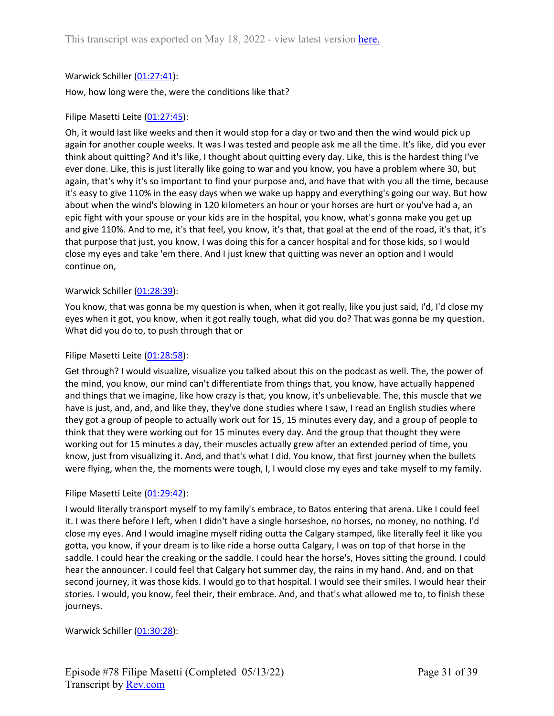## Warwick Schiller ([01:27:41\)](https://www.rev.com/transcript-editor/Edit?token=1svFUt1im4m2kGoSoC3Qsfuu0nkOkcuxsHpyFcfuGKTKRb3NAuDwLEms5y-xANvqcYC6FdK0w552GWUZ3dWxcFEfXoM&loadFrom=DocumentDeeplink&ts=5261.71):

How, how long were the, were the conditions like that?

## Filipe Masetti Leite ([01:27:45](https://www.rev.com/transcript-editor/Edit?token=B-cY0QTdblaOH58UX11DppGKHasHctRiS7pgjKnN3DSKOn6L6mOTQHU7qlVmsQergbgcDffL6yR7wfrZKfiKcm60rIc&loadFrom=DocumentDeeplink&ts=5265.89)):

Oh, it would last like weeks and then it would stop for a day or two and then the wind would pick up again for another couple weeks. It was I was tested and people ask me all the time. It's like, did you ever think about quitting? And it's like, I thought about quitting every day. Like, this is the hardest thing I've ever done. Like, this is just literally like going to war and you know, you have a problem where 30, but again, that's why it's so important to find your purpose and, and have that with you all the time, because it's easy to give 110% in the easy days when we wake up happy and everything's going our way. But how about when the wind's blowing in 120 kilometers an hour or your horses are hurt or you've had a, an epic fight with your spouse or your kids are in the hospital, you know, what's gonna make you get up and give 110%. And to me, it's that feel, you know, it's that, that goal at the end of the road, it's that, it's that purpose that just, you know, I was doing this for a cancer hospital and for those kids, so I would close my eyes and take 'em there. And I just knew that quitting was never an option and I would continue on,

## Warwick Schiller ([01:28:39\)](https://www.rev.com/transcript-editor/Edit?token=6hDcvBCrlq5oY95srFW8CSjUhZwNv0X_hZXtbv1n1ftrJR4jWBOkupD-8fc59N4koS0TCVGpH5fJDyk-BL86Ysx0cdM&loadFrom=DocumentDeeplink&ts=5319.71):

You know, that was gonna be my question is when, when it got really, like you just said, I'd, I'd close my eyes when it got, you know, when it got really tough, what did you do? That was gonna be my question. What did you do to, to push through that or

## Filipe Masetti Leite ([01:28:58](https://www.rev.com/transcript-editor/Edit?token=UclpzHmT7hehpJe_py5MBmURMAy2RT8aaeeHQu2XzmRpoGwk185Pmgh0SCbM9981AC-cU05LIbdWDZFft47knjxPuMA&loadFrom=DocumentDeeplink&ts=5338.06)):

Get through? I would visualize, visualize you talked about this on the podcast as well. The, the power of the mind, you know, our mind can't differentiate from things that, you know, have actually happened and things that we imagine, like how crazy is that, you know, it's unbelievable. The, this muscle that we have is just, and, and, and like they, they've done studies where I saw, I read an English studies where they got a group of people to actually work out for 15, 15 minutes every day, and a group of people to think that they were working out for 15 minutes every day. And the group that thought they were working out for 15 minutes a day, their muscles actually grew after an extended period of time, you know, just from visualizing it. And, and that's what I did. You know, that first journey when the bullets were flying, when the, the moments were tough, I, I would close my eyes and take myself to my family.

## Filipe Masetti Leite ([01:29:42](https://www.rev.com/transcript-editor/Edit?token=DzjebEvOV-khAndmLlMofOs-sIvqKhxdRa1Yw6_jVxsXHTWROuWJ_nRRRVzAJ1ZI-Fd13NzcQ_IjFtr7PqfG-2baB38&loadFrom=DocumentDeeplink&ts=5382.58)):

I would literally transport myself to my family's embrace, to Batos entering that arena. Like I could feel it. I was there before I left, when I didn't have a single horseshoe, no horses, no money, no nothing. I'd close my eyes. And I would imagine myself riding outta the Calgary stamped, like literally feel it like you gotta, you know, if your dream is to like ride a horse outta Calgary, I was on top of that horse in the saddle. I could hear the creaking or the saddle. I could hear the horse's, Hoves sitting the ground. I could hear the announcer. I could feel that Calgary hot summer day, the rains in my hand. And, and on that second journey, it was those kids. I would go to that hospital. I would see their smiles. I would hear their stories. I would, you know, feel their, their embrace. And, and that's what allowed me to, to finish these journeys.

Warwick Schiller ([01:30:28\)](https://www.rev.com/transcript-editor/Edit?token=Bg3-XTEWMQd0TGQqTKr8KYTLXYNT7VlI_JPPQ9pW4Xy1dhI0nehS-r5shbNsd86LFjD8ivkCrD2QKuY6y-AB0Pda4Cw&loadFrom=DocumentDeeplink&ts=5428.9):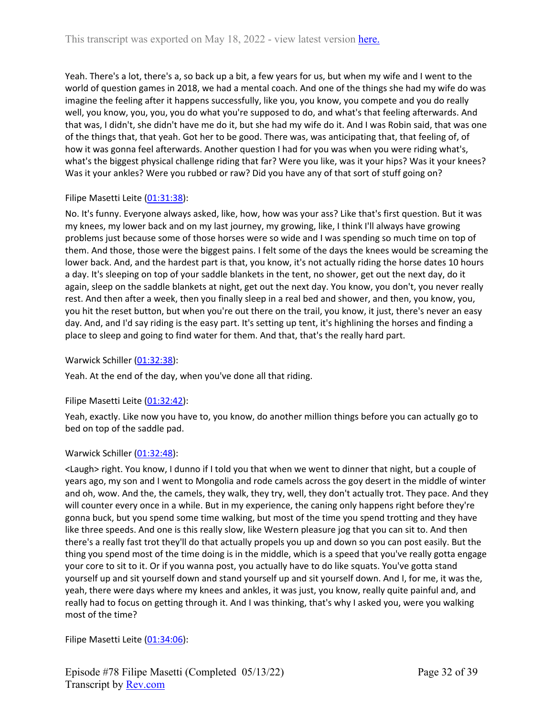Yeah. There's a lot, there's a, so back up a bit, a few years for us, but when my wife and I went to the world of question games in 2018, we had a mental coach. And one of the things she had my wife do was imagine the feeling after it happens successfully, like you, you know, you compete and you do really well, you know, you, you, you do what you're supposed to do, and what's that feeling afterwards. And that was, I didn't, she didn't have me do it, but she had my wife do it. And I was Robin said, that was one of the things that, that yeah. Got her to be good. There was, was anticipating that, that feeling of, of how it was gonna feel afterwards. Another question I had for you was when you were riding what's, what's the biggest physical challenge riding that far? Were you like, was it your hips? Was it your knees? Was it your ankles? Were you rubbed or raw? Did you have any of that sort of stuff going on?

# Filipe Masetti Leite ([01:31:38](https://www.rev.com/transcript-editor/Edit?token=8LkADeuiJ4jaM2LzqedUCFUk6OLZQtV4suljqKRTBTFcVzUvIdbRynnknUfOR19cSzSp4QNPYhB1qTaGXubZ892piJM&loadFrom=DocumentDeeplink&ts=5498.91)):

No. It's funny. Everyone always asked, like, how, how was your ass? Like that's first question. But it was my knees, my lower back and on my last journey, my growing, like, I think I'll always have growing problems just because some of those horses were so wide and I was spending so much time on top of them. And those, those were the biggest pains. I felt some of the days the knees would be screaming the lower back. And, and the hardest part is that, you know, it's not actually riding the horse dates 10 hours a day. It's sleeping on top of your saddle blankets in the tent, no shower, get out the next day, do it again, sleep on the saddle blankets at night, get out the next day. You know, you don't, you never really rest. And then after a week, then you finally sleep in a real bed and shower, and then, you know, you, you hit the reset button, but when you're out there on the trail, you know, it just, there's never an easy day. And, and I'd say riding is the easy part. It's setting up tent, it's highlining the horses and finding a place to sleep and going to find water for them. And that, that's the really hard part.

Warwick Schiller ([01:32:38\)](https://www.rev.com/transcript-editor/Edit?token=kEAaOMo5MvMugWBr6dIkFHRNQwSsDMnuE0HCP49t9cfTxx8ZRqODLIoKywlZoso8xiL40X4TZt9iiKuYHmdruxIZmuo&loadFrom=DocumentDeeplink&ts=5558.89):

Yeah. At the end of the day, when you've done all that riding.

# Filipe Masetti Leite ([01:32:42](https://www.rev.com/transcript-editor/Edit?token=qp_ygxLYKgV6Pg0Pg8BPf5poxMjWUWTzLydfd136U-ANN8eea0NshLOYd4OWu3WyNPfUuq3qFjP8Ne7RGqtDiUOMLtQ&loadFrom=DocumentDeeplink&ts=5562.41)):

Yeah, exactly. Like now you have to, you know, do another million things before you can actually go to bed on top of the saddle pad.

# Warwick Schiller ([01:32:48\)](https://www.rev.com/transcript-editor/Edit?token=u9sjR61W75bqtUnParCDwQM6ne9hp5iYo-7fvYYtqEYNubOAIU43vEeUG7_VVulUfSB5bayh_1UhBxtoLWE3QcOxbD0&loadFrom=DocumentDeeplink&ts=5568.939):

<Laugh> right. You know, I dunno if I told you that when we went to dinner that night, but a couple of years ago, my son and I went to Mongolia and rode camels across the goy desert in the middle of winter and oh, wow. And the, the camels, they walk, they try, well, they don't actually trot. They pace. And they will counter every once in a while. But in my experience, the caning only happens right before they're gonna buck, but you spend some time walking, but most of the time you spend trotting and they have like three speeds. And one is this really slow, like Western pleasure jog that you can sit to. And then there's a really fast trot they'll do that actually propels you up and down so you can post easily. But the thing you spend most of the time doing is in the middle, which is a speed that you've really gotta engage your core to sit to it. Or if you wanna post, you actually have to do like squats. You've gotta stand yourself up and sit yourself down and stand yourself up and sit yourself down. And I, for me, it was the, yeah, there were days where my knees and ankles, it was just, you know, really quite painful and, and really had to focus on getting through it. And I was thinking, that's why I asked you, were you walking most of the time?

Filipe Masetti Leite ([01:34:06](https://www.rev.com/transcript-editor/Edit?token=U-wRy8v4LxzSUxUU-poyWNVnNNtN5fa1dGcDHFR86DeHIz0tdTfEhnyfITlCN3Zjfv8ON3f591w_Dohx04uCDijOFFs&loadFrom=DocumentDeeplink&ts=5646.03)):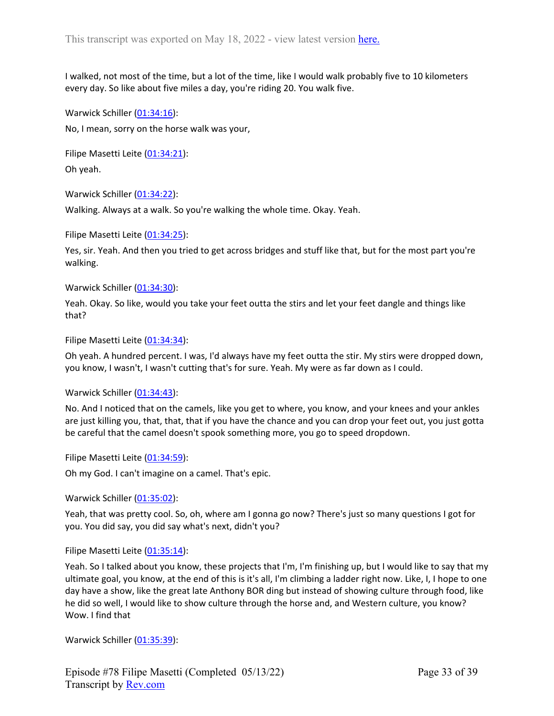I walked, not most of the time, but a lot of the time, like I would walk probably five to 10 kilometers every day. So like about five miles a day, you're riding 20. You walk five.

Warwick Schiller ([01:34:16\)](https://www.rev.com/transcript-editor/Edit?token=WXGS66KP5JsqEFWXeJVUdy1A8hEZL7Brfb2BzIyPnyzJkTgczatriNtMEXs3OEZvBCLQ5VpV2G-l0FnxHBSdce2kvT4&loadFrom=DocumentDeeplink&ts=5656.2):

No, I mean, sorry on the horse walk was your,

Filipe Masetti Leite ([01:34:21](https://www.rev.com/transcript-editor/Edit?token=H5G-r1PI4XMftHCrtpSOEzlZIPXfqyhgPJKeRWXuOpDJfeiFnEcR2uUWzk_u0r0dl2D_RNww-DVavGpyw3Oo26SYguw&loadFrom=DocumentDeeplink&ts=5661.6)):

Oh yeah.

Warwick Schiller ([01:34:22\)](https://www.rev.com/transcript-editor/Edit?token=eBR5Bq4rPDJIVLNRu0SppEZSftl5WPrnxbx36vyT2wehZ1E3_y297KTeCMgvBe1TJO-a_S3b3SgUSMK0LA0Ie5b69gA&loadFrom=DocumentDeeplink&ts=5662.72):

Walking. Always at a walk. So you're walking the whole time. Okay. Yeah.

Filipe Masetti Leite ([01:34:25](https://www.rev.com/transcript-editor/Edit?token=ws_ZI81VgPHz2KUIFtLCV3HxBBm2EFR3OTBJLPIPFNjdPgqG2bvL00PFKi3rq2bHal6Gayx4JPfD3eBpllo5EirQfzo&loadFrom=DocumentDeeplink&ts=5665.22)):

Yes, sir. Yeah. And then you tried to get across bridges and stuff like that, but for the most part you're walking.

Warwick Schiller ([01:34:30\)](https://www.rev.com/transcript-editor/Edit?token=zrafMjl9LuAEFEH1L575KHaj2_4UtLwv0BJDMLvo78C3fxmOKrohtspsB-eq0REJ03dmFvVMFBfkpbG-VahiDVOL_4Y&loadFrom=DocumentDeeplink&ts=5670.3):

Yeah. Okay. So like, would you take your feet outta the stirs and let your feet dangle and things like that?

Filipe Masetti Leite ([01:34:34](https://www.rev.com/transcript-editor/Edit?token=FAelHm2P7dCynIoc7no4z_UY9XzoZ2aHAPJjtF-a2DKINM57DLBh_fhSAUlmYEwzpd2QxRmp1w6Nfi7TYlSH54pUUdQ&loadFrom=DocumentDeeplink&ts=5674.85)):

Oh yeah. A hundred percent. I was, I'd always have my feet outta the stir. My stirs were dropped down, you know, I wasn't, I wasn't cutting that's for sure. Yeah. My were as far down as I could.

Warwick Schiller ([01:34:43\)](https://www.rev.com/transcript-editor/Edit?token=rsk-Kkk14YjPsNZjVwD7hh5M_KP_r8QK0gvOsejh_0Gk9XJDQGk6ERnfvHtiu8PaufZY6slQMGY8OwX8oV135KlkJn4&loadFrom=DocumentDeeplink&ts=5683.29):

No. And I noticed that on the camels, like you get to where, you know, and your knees and your ankles are just killing you, that, that, that if you have the chance and you can drop your feet out, you just gotta be careful that the camel doesn't spook something more, you go to speed dropdown.

Filipe Masetti Leite ([01:34:59](https://www.rev.com/transcript-editor/Edit?token=RIfH5z3ghQYcXORjsIY2Y35lvCw4OukaiaeJlVHzCezK7T3fgb75n4uOOXdGzrxKk9k2h1HQfzhv6isXVJtz3IuhlBs&loadFrom=DocumentDeeplink&ts=5699.78)):

Oh my God. I can't imagine on a camel. That's epic.

Warwick Schiller ([01:35:02\)](https://www.rev.com/transcript-editor/Edit?token=oeSeLiKnyC_E9cWylIZ051hup2vCfxfFQb4pQCBHPcPped7AeCb-AZXftkUUuQOMTHFLHtxu214vWsJ_YsjZR3dKpjg&loadFrom=DocumentDeeplink&ts=5702.67):

Yeah, that was pretty cool. So, oh, where am I gonna go now? There's just so many questions I got for you. You did say, you did say what's next, didn't you?

Filipe Masetti Leite ([01:35:14](https://www.rev.com/transcript-editor/Edit?token=RFvYrkg_OgsdFh_D0mWwzrMX2VoQEDYYGimTVsSRulDF_VflYmntr0WH30xxiKwIdaR_iQPGPxj3VjVy3hMhvPaqbvA&loadFrom=DocumentDeeplink&ts=5714.439)):

Yeah. So I talked about you know, these projects that I'm, I'm finishing up, but I would like to say that my ultimate goal, you know, at the end of this is it's all, I'm climbing a ladder right now. Like, I, I hope to one day have a show, like the great late Anthony BOR ding but instead of showing culture through food, like he did so well, I would like to show culture through the horse and, and Western culture, you know? Wow. I find that

Warwick Schiller ([01:35:39\)](https://www.rev.com/transcript-editor/Edit?token=P3nXgK_J6PmfKSLWhsoXs5qcw1iBphzs0MALcBUEpbcmUwmH_Jl-u1GCzcC80GWiEtattE7OxwG-LcoCOo-hWZQ8yQI&loadFrom=DocumentDeeplink&ts=5739.36):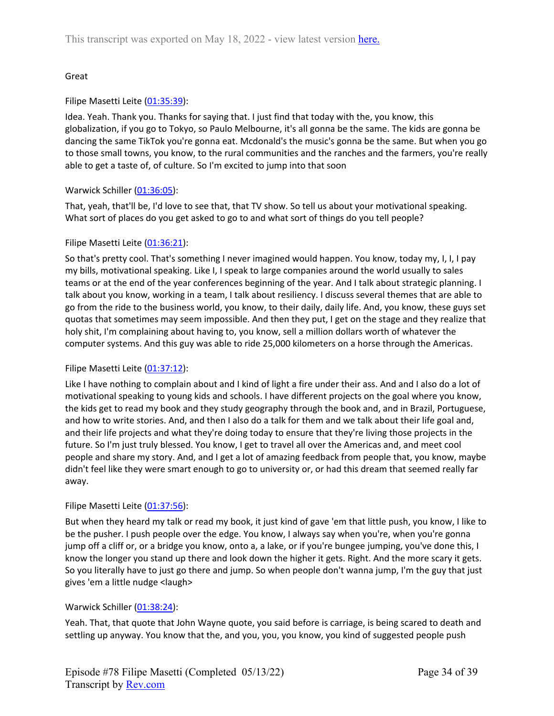# Great

# Filipe Masetti Leite ([01:35:39](https://www.rev.com/transcript-editor/Edit?token=wBVawJlK5BYjWP9HPRt--IL-GSMVXEEbRA-iP5vU4ycifAUrI0NqLlc3D6ZWNN8qZHzuY0aWzmGnsxAcnYCSfvYGuD8&loadFrom=DocumentDeeplink&ts=5739.71)):

Idea. Yeah. Thank you. Thanks for saying that. I just find that today with the, you know, this globalization, if you go to Tokyo, so Paulo Melbourne, it's all gonna be the same. The kids are gonna be dancing the same TikTok you're gonna eat. Mcdonald's the music's gonna be the same. But when you go to those small towns, you know, to the rural communities and the ranches and the farmers, you're really able to get a taste of, of culture. So I'm excited to jump into that soon

## Warwick Schiller ([01:36:05\)](https://www.rev.com/transcript-editor/Edit?token=M4OGARIk6Fxm_oJBKMTWxu772xl3nKjWf2xuGDk6yDG1fbPrcyvroh2PH9ECdKbfnpr4NNKMXlvThymOcfNt06-7hYk&loadFrom=DocumentDeeplink&ts=5765.12):

That, yeah, that'll be, I'd love to see that, that TV show. So tell us about your motivational speaking. What sort of places do you get asked to go to and what sort of things do you tell people?

## Filipe Masetti Leite ([01:36:21](https://www.rev.com/transcript-editor/Edit?token=_-V-uJ7Eku3pCnkSvFfHfuz22uKsTQFeu3nJJ8V9B_f83OH_YJQLWfLo-msk6Q75xe_0tjSLb3sf3N22pNXBigQzlwo&loadFrom=DocumentDeeplink&ts=5781.81)):

So that's pretty cool. That's something I never imagined would happen. You know, today my, I, I, I pay my bills, motivational speaking. Like I, I speak to large companies around the world usually to sales teams or at the end of the year conferences beginning of the year. And I talk about strategic planning. I talk about you know, working in a team, I talk about resiliency. I discuss several themes that are able to go from the ride to the business world, you know, to their daily, daily life. And, you know, these guys set quotas that sometimes may seem impossible. And then they put, I get on the stage and they realize that holy shit, I'm complaining about having to, you know, sell a million dollars worth of whatever the computer systems. And this guy was able to ride 25,000 kilometers on a horse through the Americas.

# Filipe Masetti Leite ([01:37:12](https://www.rev.com/transcript-editor/Edit?token=gj53G3b4-b7uUe6wwuQwV4oxTVuYYCrVTVO_w7LaP3D65dhvXtfp9NKNSaYfkF5l1s-sMl9tORhVNDD65q9LJW6A9sM&loadFrom=DocumentDeeplink&ts=5832.08)):

Like I have nothing to complain about and I kind of light a fire under their ass. And and I also do a lot of motivational speaking to young kids and schools. I have different projects on the goal where you know, the kids get to read my book and they study geography through the book and, and in Brazil, Portuguese, and how to write stories. And, and then I also do a talk for them and we talk about their life goal and, and their life projects and what they're doing today to ensure that they're living those projects in the future. So I'm just truly blessed. You know, I get to travel all over the Americas and, and meet cool people and share my story. And, and I get a lot of amazing feedback from people that, you know, maybe didn't feel like they were smart enough to go to university or, or had this dream that seemed really far away.

## Filipe Masetti Leite ([01:37:56](https://www.rev.com/transcript-editor/Edit?token=cVVSIaUWRW7eRpVi3Lh_yPfu32ectJr86EhRRGoS79bZfCpjgPQS-7yuz-9_RboEWprPeWJHtZpnMvVhCejUs5wwS3c&loadFrom=DocumentDeeplink&ts=5876.5)):

But when they heard my talk or read my book, it just kind of gave 'em that little push, you know, I like to be the pusher. I push people over the edge. You know, I always say when you're, when you're gonna jump off a cliff or, or a bridge you know, onto a, a lake, or if you're bungee jumping, you've done this, I know the longer you stand up there and look down the higher it gets. Right. And the more scary it gets. So you literally have to just go there and jump. So when people don't wanna jump, I'm the guy that just gives 'em a little nudge <laugh>

# Warwick Schiller ([01:38:24\)](https://www.rev.com/transcript-editor/Edit?token=wZ8ZXaVeMBJ4sQsMnfC7QgfvvB1O-HfNYuWnbK5rw7jRMFFRk08P2zDeNqXazY5YAtmeNNmkBKUv1MOfzqR6fa4XAoA&loadFrom=DocumentDeeplink&ts=5904.58):

Yeah. That, that quote that John Wayne quote, you said before is carriage, is being scared to death and settling up anyway. You know that the, and you, you, you know, you kind of suggested people push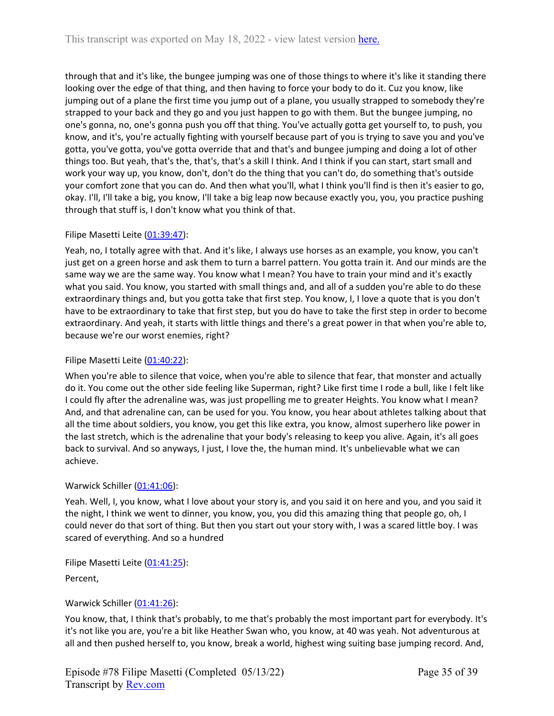through that and it's like, the bungee jumping was one of those things to where it's like it standing there looking over the edge of that thing, and then having to force your body to do it. Cuz you know, like jumping out of a plane the first time you jump out of a plane, you usually strapped to somebody they're strapped to your back and they go and you just happen to go with them. But the bungee jumping, no one's gonna, no, one's gonna push you off that thing. You've actually gotta get yourself to, to push, you know, and it's, you're actually fighting with yourself because part of you is trying to save you and you've gotta, you've gotta, you've gotta override that and that's and bungee jumping and doing a lot of other things too. But yeah, that's the, that's, that's a skill I think. And I think if you can start, start small and work your way up, you know, don't, don't do the thing that you can't do, do something that's outside your comfort zone that you can do. And then what you'll, what I think you'll find is then it's easier to go, okay. I'll, I'll take a big, you know, I'll take a big leap now because exactly you, you, you practice pushing through that stuff is, I don't know what you think of that.

## Filipe Masetti Leite ([01:39:47](https://www.rev.com/transcript-editor/Edit?token=Igirr24IIV4Bar3z1f9AyF_3gd-QPj8-RdpMeyNdueqMVZEJGTZZ0o45TgDb_Cck0F65EZGRuAgpzxOU8ql3GMSU_A8&loadFrom=DocumentDeeplink&ts=5987.34)):

Yeah, no, I totally agree with that. And it's like, I always use horses as an example, you know, you can't just get on a green horse and ask them to turn a barrel pattern. You gotta train it. And our minds are the same way we are the same way. You know what I mean? You have to train your mind and it's exactly what you said. You know, you started with small things and, and all of a sudden you're able to do these extraordinary things and, but you gotta take that first step. You know, I, I love a quote that is you don't have to be extraordinary to take that first step, but you do have to take the first step in order to become extraordinary. And yeah, it starts with little things and there's a great power in that when you're able to, because we're our worst enemies, right?

# Filipe Masetti Leite ([01:40:22](https://www.rev.com/transcript-editor/Edit?token=z-NapoLIPfLtlObCvvxJNLurc4axyBw5J4Frg7jO8qhOODvYqYM9QwyqwUrFhp0CYPh9mWJ2osh-I1I7mXcjbeTVCoA&loadFrom=DocumentDeeplink&ts=6022.85)):

When you're able to silence that voice, when you're able to silence that fear, that monster and actually do it. You come out the other side feeling like Superman, right? Like first time I rode a bull, like I felt like I could fly after the adrenaline was, was just propelling me to greater Heights. You know what I mean? And, and that adrenaline can, can be used for you. You know, you hear about athletes talking about that all the time about soldiers, you know, you get this like extra, you know, almost superhero like power in the last stretch, which is the adrenaline that your body's releasing to keep you alive. Again, it's all goes back to survival. And so anyways, I just, I love the, the human mind. It's unbelievable what we can achieve.

## Warwick Schiller ([01:41:06\)](https://www.rev.com/transcript-editor/Edit?token=bTM7VY-k0l74PXr5WLkcIVckBRhwFVeb3MjXuokemD57tFyg9mqLjxjGNRrRJ1zRAMRdvmvdPDKeWh3cCIyDjYKqD2w&loadFrom=DocumentDeeplink&ts=6066.95):

Yeah. Well, I, you know, what I love about your story is, and you said it on here and you, and you said it the night, I think we went to dinner, you know, you, you did this amazing thing that people go, oh, I could never do that sort of thing. But then you start out your story with, I was a scared little boy. I was scared of everything. And so a hundred

Filipe Masetti Leite ([01:41:25](https://www.rev.com/transcript-editor/Edit?token=vLQT5zB0MNWM_1E5RU3oLw76fxH31cnXW1B-0jv5v4xBiB8SYKaDuL6ikWdGoAdaAixNaeqrpqX5On895plZCC9oVIY&loadFrom=DocumentDeeplink&ts=6085.72)):

Percent,

# Warwick Schiller ([01:41:26\)](https://www.rev.com/transcript-editor/Edit?token=Fl_xHhUmoR4ynp0yRlRxVf91IvLVdsQqzpki5D4xbiIVMv17cs8bSC9NVShrG2KoM_6rsS2c69WptwBY8HoahC-h9IE&loadFrom=DocumentDeeplink&ts=6086.42):

You know, that, I think that's probably, to me that's probably the most important part for everybody. It's it's not like you are, you're a bit like Heather Swan who, you know, at 40 was yeah. Not adventurous at all and then pushed herself to, you know, break a world, highest wing suiting base jumping record. And,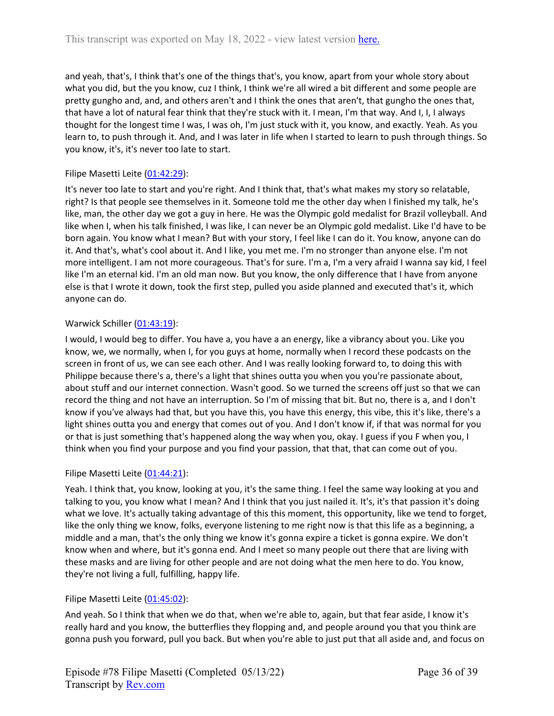and yeah, that's, I think that's one of the things that's, you know, apart from your whole story about what you did, but the you know, cuz I think, I think we're all wired a bit different and some people are pretty gungho and, and, and others aren't and I think the ones that aren't, that gungho the ones that, that have a lot of natural fear think that they're stuck with it. I mean, I'm that way. And I, I, I always thought for the longest time I was, I was oh, I'm just stuck with it, you know, and exactly. Yeah. As you learn to, to push through it. And, and I was later in life when I started to learn to push through things. So you know, it's, it's never too late to start.

# Filipe Masetti Leite ([01:42:29](https://www.rev.com/transcript-editor/Edit?token=SJB2TfCZVjy4U-NH1MOvhFaaSYh1DkUUG7Q0FJxCOZWfepRgxQhQ39VnUnOOoeUE9pxvjUfAf_bvyQPzG2ymEd45cWY&loadFrom=DocumentDeeplink&ts=6149.4)):

It's never too late to start and you're right. And I think that, that's what makes my story so relatable, right? Is that people see themselves in it. Someone told me the other day when I finished my talk, he's like, man, the other day we got a guy in here. He was the Olympic gold medalist for Brazil volleyball. And like when I, when his talk finished, I was like, I can never be an Olympic gold medalist. Like I'd have to be born again. You know what I mean? But with your story, I feel like I can do it. You know, anyone can do it. And that's, what's cool about it. And I like, you met me. I'm no stronger than anyone else. I'm not more intelligent. I am not more courageous. That's for sure. I'm a, I'm a very afraid I wanna say kid, I feel like I'm an eternal kid. I'm an old man now. But you know, the only difference that I have from anyone else is that I wrote it down, took the first step, pulled you aside planned and executed that's it, which anyone can do.

## Warwick Schiller ([01:43:19\)](https://www.rev.com/transcript-editor/Edit?token=kF-nQqWM1RtF7lKEkE3RyzKPDQ9ZD6ai_JfT4o_XpYkZBdECJ3fQv_T1ZJiDNd7MrOJ9w_RsA2PuTgDCx6rcZmcwzbA&loadFrom=DocumentDeeplink&ts=6199.15):

I would, I would beg to differ. You have a, you have a an energy, like a vibrancy about you. Like you know, we, we normally, when I, for you guys at home, normally when I record these podcasts on the screen in front of us, we can see each other. And I was really looking forward to, to doing this with Philippe because there's a, there's a light that shines outta you when you you're passionate about, about stuff and our internet connection. Wasn't good. So we turned the screens off just so that we can record the thing and not have an interruption. So I'm of missing that bit. But no, there is a, and I don't know if you've always had that, but you have this, you have this energy, this vibe, this it's like, there's a light shines outta you and energy that comes out of you. And I don't know if, if that was normal for you or that is just something that's happened along the way when you, okay. I guess if you F when you, I think when you find your purpose and you find your passion, that that, that can come out of you.

## Filipe Masetti Leite ([01:44:21](https://www.rev.com/transcript-editor/Edit?token=ckqMGOECXlG4XkFI_ktKS39UGPy7FSPK4fCzQKrGOc3IHvFh8iBytDRem6zMoPQBXw3c8B9wg1_xAQ0Z89u7qTuxqRo&loadFrom=DocumentDeeplink&ts=6261.59)):

Yeah. I think that, you know, looking at you, it's the same thing. I feel the same way looking at you and talking to you, you know what I mean? And I think that you just nailed it. It's, it's that passion it's doing what we love. It's actually taking advantage of this this moment, this opportunity, like we tend to forget, like the only thing we know, folks, everyone listening to me right now is that this life as a beginning, a middle and a man, that's the only thing we know it's gonna expire a ticket is gonna expire. We don't know when and where, but it's gonna end. And I meet so many people out there that are living with these masks and are living for other people and are not doing what the men here to do. You know, they're not living a full, fulfilling, happy life.

# Filipe Masetti Leite ([01:45:02](https://www.rev.com/transcript-editor/Edit?token=A4v-M71sAaMZRsQclwHiikjjctJJOBfDRu_rGGsDbw3ioNV8Er8jg3gYwT7qYRS1wzb-Z-fWLkpQYGnb-5QjKWaXldQ&loadFrom=DocumentDeeplink&ts=6302.34)):

And yeah. So I think that when we do that, when we're able to, again, but that fear aside, I know it's really hard and you know, the butterflies they flopping and, and people around you that you think are gonna push you forward, pull you back. But when you're able to just put that all aside and, and focus on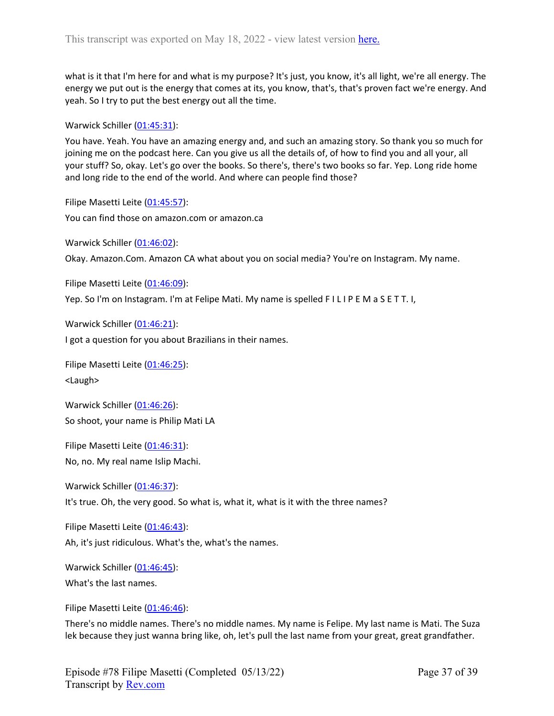what is it that I'm here for and what is my purpose? It's just, you know, it's all light, we're all energy. The energy we put out is the energy that comes at its, you know, that's, that's proven fact we're energy. And yeah. So I try to put the best energy out all the time.

Warwick Schiller ([01:45:31\)](https://www.rev.com/transcript-editor/Edit?token=UlJGMx8e-XCF9ZfYQ7UFizOmINCHB8ls092B55tjcRtM_7CB--xzb1nRu7YG1pz5jajRh_hlwflm-yv3J4ty7SB7TGU&loadFrom=DocumentDeeplink&ts=6331.75):

You have. Yeah. You have an amazing energy and, and such an amazing story. So thank you so much for joining me on the podcast here. Can you give us all the details of, of how to find you and all your, all your stuff? So, okay. Let's go over the books. So there's, there's two books so far. Yep. Long ride home and long ride to the end of the world. And where can people find those?

Filipe Masetti Leite ([01:45:57](https://www.rev.com/transcript-editor/Edit?token=fvH2uCvX02cjUJ1TuCb1VUViSiGvG51Rmlyx6Xf6FA7lURe7_yYe2XJMDk9pMceboL3xyWvrs7p8IrUP33LbQXtfMoE&loadFrom=DocumentDeeplink&ts=6357.47)): You can find those on amazon.com or amazon.ca

Warwick Schiller ([01:46:02\)](https://www.rev.com/transcript-editor/Edit?token=xGVI0Ouzdh1ru1IFGUv7ytRYuStDpAQyP3G5cMa94LqH0n-15K38iv299zQoJnywBSWsIFElcBMvWKQGbl-2g1L4P0k&loadFrom=DocumentDeeplink&ts=6362.39):

Okay. Amazon.Com. Amazon CA what about you on social media? You're on Instagram. My name.

Filipe Masetti Leite ([01:46:09](https://www.rev.com/transcript-editor/Edit?token=7pw5yif1DYB8U93JaKsNzMilMM9VnnJNIJEodCaiHPK7mCNVM4Pzl7xeXkUjTeNW-xgQpcqP0bkvPU9T1HLw4lY9PTQ&loadFrom=DocumentDeeplink&ts=6369.27)):

Yep. So I'm on Instagram. I'm at Felipe Mati. My name is spelled F I L I P E M a S E T T. I,

Warwick Schiller ([01:46:21\)](https://www.rev.com/transcript-editor/Edit?token=BTWFed406M1f-iubqBZVXcbNlJAsR9x6at7jgPGNuNKWIW6WD-Eo3-SDAFl4ew5TYRfLLhl90oy9RNHkmeNXIQS2kcw&loadFrom=DocumentDeeplink&ts=6381.27):

I got a question for you about Brazilians in their names.

Filipe Masetti Leite ([01:46:25](https://www.rev.com/transcript-editor/Edit?token=iYygse06rPQ_ytUylxv1C4shaDCTHRXpczRhhXrrLyRKGGQbhS3QcmGkUh0QqbtxZv07VP91YMBPRdV-rtwdXnyQnJk&loadFrom=DocumentDeeplink&ts=6385.1)): <Laugh>

Warwick Schiller ([01:46:26\)](https://www.rev.com/transcript-editor/Edit?token=hiAaanmFECbDd-O9zHQ_0Z7QR8tbPJnPnuF31eY4Z0Ro3tip_YdOEePqeXCwaJT1gwmKbz5YuKz7dFiLpiqfPNrai1I&loadFrom=DocumentDeeplink&ts=6386.66): So shoot, your name is Philip Mati LA

Filipe Masetti Leite ([01:46:31](https://www.rev.com/transcript-editor/Edit?token=pOTdHppcBn87KwslciE1m1P--jH56vilvbn6PLCR6Ch8NMLr4SZAXLqQmxL_kCOWKDGul5TVdEmszwNwIZ2JeKns6Nk&loadFrom=DocumentDeeplink&ts=6391.67)): No, no. My real name Islip Machi.

Warwick Schiller ([01:46:37\)](https://www.rev.com/transcript-editor/Edit?token=ZAoQ-iGDFwbVYhPv3gJdsnas-ym5zqMHdFqpUmxC8EcPNoufkVL1s4gVbKFCm7XsMw6asLcRhSIXwnmkAHO1EfqL0t0&loadFrom=DocumentDeeplink&ts=6397.32): It's true. Oh, the very good. So what is, what it, what is it with the three names?

Filipe Masetti Leite ([01:46:43](https://www.rev.com/transcript-editor/Edit?token=HF59-NWwCycfMtlBmlQxsdZ2XjvFhh4aC6BcBl1y_fRMTJtKgF0RSctfjsEpug6WNKIia4VlMCIuhLyMIKU-HaImwD8&loadFrom=DocumentDeeplink&ts=6403.4)): Ah, it's just ridiculous. What's the, what's the names.

Warwick Schiller ([01:46:45\)](https://www.rev.com/transcript-editor/Edit?token=SpvDVbCC2192_lxcHy519p7_0QPIxwOuL5rL0PC1xVdvx8uKUNoOrwSDxkJ2Qde-sKo2dAoF02iOuE0_aqjQeOfP_Ys&loadFrom=DocumentDeeplink&ts=6405.66):

What's the last names.

Filipe Masetti Leite ([01:46:46](https://www.rev.com/transcript-editor/Edit?token=5MV1ATvkP78hH3iqMaq8OqBCUCNWYu8trsyApSh-WdRTfOVgm7O577Z3BWKd_tl983Q0Ti_xukwd8UXZJb_-pefpmJs&loadFrom=DocumentDeeplink&ts=6406.36)):

There's no middle names. There's no middle names. My name is Felipe. My last name is Mati. The Suza lek because they just wanna bring like, oh, let's pull the last name from your great, great grandfather.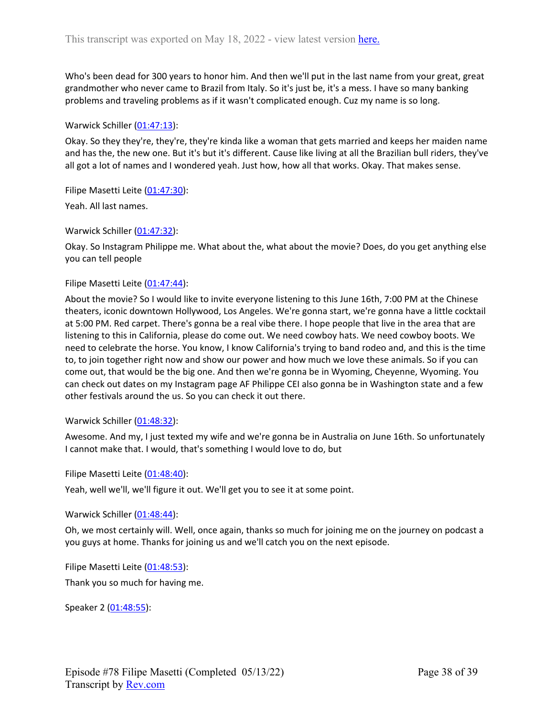Who's been dead for 300 years to honor him. And then we'll put in the last name from your great, great grandmother who never came to Brazil from Italy. So it's just be, it's a mess. I have so many banking problems and traveling problems as if it wasn't complicated enough. Cuz my name is so long.

### Warwick Schiller ([01:47:13\)](https://www.rev.com/transcript-editor/Edit?token=Y_SSr_SVzyW7FH2RKCkZmTjzUl4TYePg2IkZiFMw785BkY677ss5DCmQ3KeCOugj-LIeqN1yvqLeDGr8Iu_Ez1abuYo&loadFrom=DocumentDeeplink&ts=6433.41):

Okay. So they they're, they're, they're kinda like a woman that gets married and keeps her maiden name and has the, the new one. But it's but it's different. Cause like living at all the Brazilian bull riders, they've all got a lot of names and I wondered yeah. Just how, how all that works. Okay. That makes sense.

Filipe Masetti Leite ([01:47:30](https://www.rev.com/transcript-editor/Edit?token=vNHq6JzL-H5U_rbFj86hMyPmdyfA0eJxYiIypoDY4DDGgPc2mgj3rcF0cRFrcr5lFZEd2TBOh49p586f6Tse9iGAmYE&loadFrom=DocumentDeeplink&ts=6450.71)):

Yeah. All last names.

Warwick Schiller ([01:47:32\)](https://www.rev.com/transcript-editor/Edit?token=IAe5TZ5KU_Ixm1gvzNoWyFazAqsIVqx6tLxD1zkeR6o5JaKtbQUcgb_cctQ0m2vj1Cbq4V89jM_HjrK7IU9gu-xy9yU&loadFrom=DocumentDeeplink&ts=6452.3):

Okay. So Instagram Philippe me. What about the, what about the movie? Does, do you get anything else you can tell people

#### Filipe Masetti Leite ([01:47:44](https://www.rev.com/transcript-editor/Edit?token=kAGCm_27Eh9-ibSikaVltOsIbMZW4TLNBVyBTJMzsh5VM_6EeMtdTDG5CUmMDG89nQcCCzItuSmuBarxiyDrYZia3bY&loadFrom=DocumentDeeplink&ts=6464.79)):

About the movie? So I would like to invite everyone listening to this June 16th, 7:00 PM at the Chinese theaters, iconic downtown Hollywood, Los Angeles. We're gonna start, we're gonna have a little cocktail at 5:00 PM. Red carpet. There's gonna be a real vibe there. I hope people that live in the area that are listening to this in California, please do come out. We need cowboy hats. We need cowboy boots. We need to celebrate the horse. You know, I know California's trying to band rodeo and, and this is the time to, to join together right now and show our power and how much we love these animals. So if you can come out, that would be the big one. And then we're gonna be in Wyoming, Cheyenne, Wyoming. You can check out dates on my Instagram page AF Philippe CEI also gonna be in Washington state and a few other festivals around the us. So you can check it out there.

Warwick Schiller ([01:48:32\)](https://www.rev.com/transcript-editor/Edit?token=cLhpxvHYariKj9AA0q2k_0BOOpnEzlE3MoG2ypAwtake_f-Np163SkflANNsjsilsehfa4snz1J9deSA2JWDDmMCcw0&loadFrom=DocumentDeeplink&ts=6512.43):

Awesome. And my, I just texted my wife and we're gonna be in Australia on June 16th. So unfortunately I cannot make that. I would, that's something I would love to do, but

Filipe Masetti Leite ([01:48:40](https://www.rev.com/transcript-editor/Edit?token=4Sbj47cNcgFWSB7VNBTiLwbsxU6VH9qUXInzAldrgl7mpVy4JGtPA6Rkbs4VnWpe3jGKkeiWpJ3XjIuZAlj3NtOdSWs&loadFrom=DocumentDeeplink&ts=6520.67)):

Yeah, well we'll, we'll figure it out. We'll get you to see it at some point.

Warwick Schiller ([01:48:44\)](https://www.rev.com/transcript-editor/Edit?token=TksY1d2m2Lcclgs0YkYTkrKIV0zkT03IwRMVZox7YwY6tYQdXxVbriDiPSkjqlXVAA-HZa4oshXc8z0oU6hEadlbVIQ&loadFrom=DocumentDeeplink&ts=6524.11):

Oh, we most certainly will. Well, once again, thanks so much for joining me on the journey on podcast a you guys at home. Thanks for joining us and we'll catch you on the next episode.

Filipe Masetti Leite ([01:48:53](https://www.rev.com/transcript-editor/Edit?token=4cIgSEcFTT-a2RcNaQHGkA95eQMDSo209xztAx22FpQGxSZIMmuoANrgxL0yMmepHve-OTWvjY_sd2gqhfKQeaaz4vk&loadFrom=DocumentDeeplink&ts=6533)): Thank you so much for having me.

Speaker 2 ([01:48:55](https://www.rev.com/transcript-editor/Edit?token=UrCNb8ip5hkBDbp-Lwg9XphOBwneG06VpOAFdh7BtO8TW2uOhDsda4LRaJjo4t7gt6QwWYjx4T3sC6K-cbPjkHUnh30&loadFrom=DocumentDeeplink&ts=6535.45)):